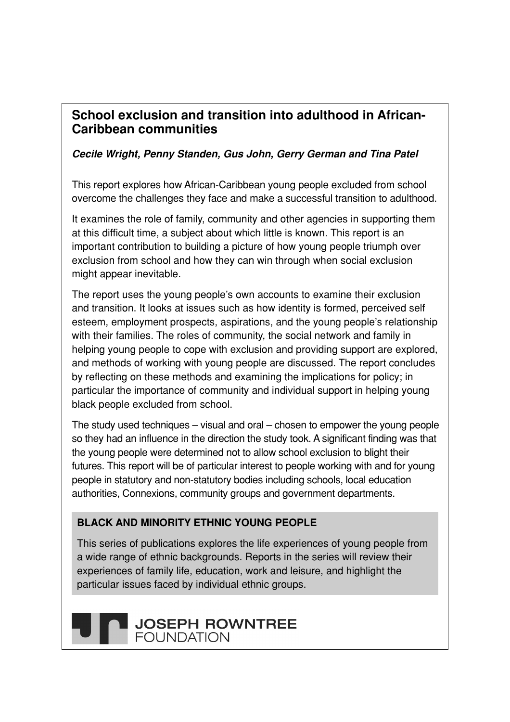## **School exclusion and transition into adulthood in African-Caribbean communities**

#### **Cecile Wright, Penny Standen, Gus John, Gerry German and Tina Patel**

This report explores how African-Caribbean young people excluded from school overcome the challenges they face and make a successful transition to adulthood.

It examines the role of family, community and other agencies in supporting them at this difficult time, a subject about which little is known. This report is an important contribution to building a picture of how young people triumph over exclusion from school and how they can win through when social exclusion might appear inevitable.

The report uses the young people's own accounts to examine their exclusion and transition. It looks at issues such as how identity is formed, perceived self esteem, employment prospects, aspirations, and the young people's relationship with their families. The roles of community, the social network and family in helping young people to cope with exclusion and providing support are explored, and methods of working with young people are discussed. The report concludes by reflecting on these methods and examining the implications for policy; in particular the importance of community and individual support in helping young black people excluded from school.

The study used techniques – visual and oral – chosen to empower the young people so they had an influence in the direction the study took. A significant finding was that the young people were determined not to allow school exclusion to blight their futures. This report will be of particular interest to people working with and for young people in statutory and non-statutory bodies including schools, local education authorities, Connexions, community groups and government departments.

#### **BLACK AND MINORITY ETHNIC YOUNG PEOPLE**

**I JOSEPH ROWNTREE** 

This series of publications explores the life experiences of young people from a wide range of ethnic backgrounds. Reports in the series will review their experiences of family life, education, work and leisure, and highlight the particular issues faced by individual ethnic groups.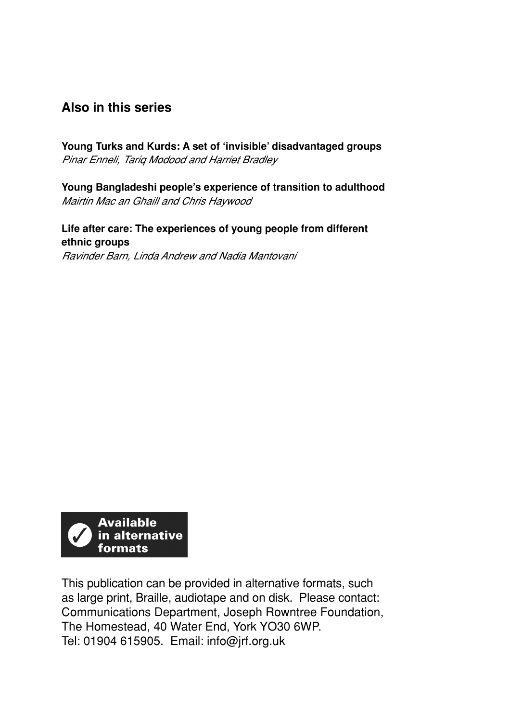## **Also in this series**

**Young Turks and Kurds: A set of 'invisible' disadvantaged groups** Pinar Enneli, Tariq Modood and Harriet Bradley

**Young Bangladeshi people's experience of transition to adulthood** Mairtin Mac an Ghaill and Chris Haywood

**Life after care: The experiences of young people from different ethnic groups** Ravinder Barn, Linda Andrew and Nadia Mantovani



This publication can be provided in alternative formats, such as large print, Braille, audiotape and on disk. Please contact: Communications Department, Joseph Rowntree Foundation, The Homestead, 40 Water End, York YO30 6WP. Tel: 01904 615905. Email: info@jrf.org.uk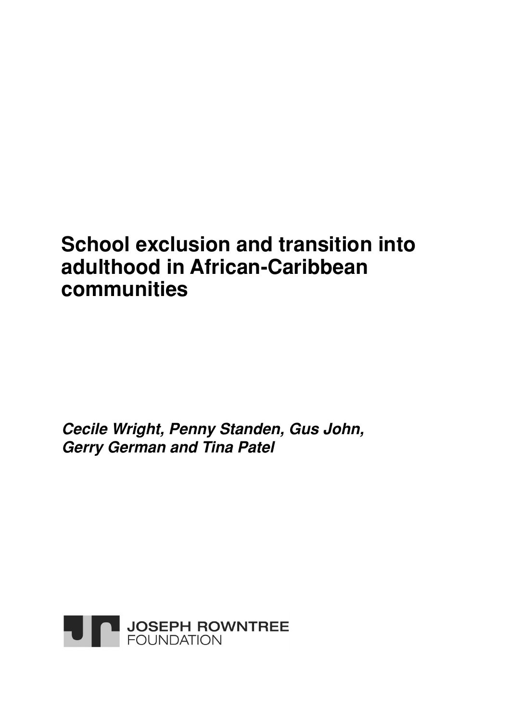# **School exclusion and transition into adulthood in African-Caribbean communities**

**Cecile Wright, Penny Standen, Gus John, Gerry German and Tina Patel**

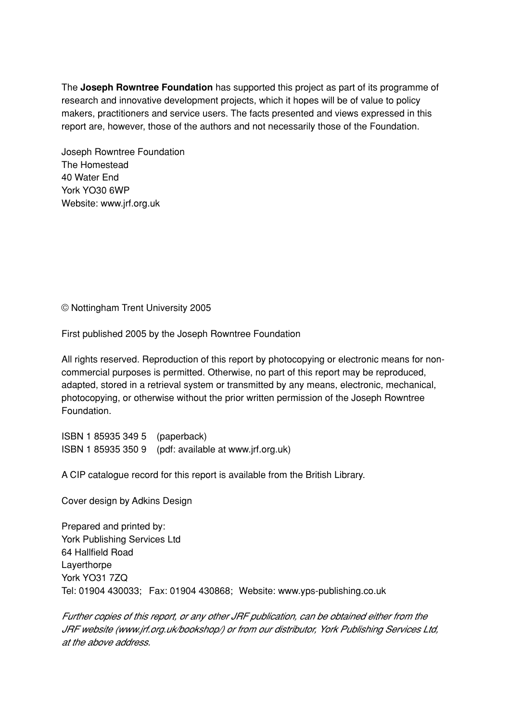The **Joseph Rowntree Foundation** has supported this project as part of its programme of research and innovative development projects, which it hopes will be of value to policy makers, practitioners and service users. The facts presented and views expressed in this report are, however, those of the authors and not necessarily those of the Foundation.

Joseph Rowntree Foundation The Homestead 40 Water End York YO30 6WP Website: www.jrf.org.uk

© Nottingham Trent University 2005

First published 2005 by the Joseph Rowntree Foundation

All rights reserved. Reproduction of this report by photocopying or electronic means for noncommercial purposes is permitted. Otherwise, no part of this report may be reproduced, adapted, stored in a retrieval system or transmitted by any means, electronic, mechanical, photocopying, or otherwise without the prior written permission of the Joseph Rowntree Foundation.

ISBN 1 85935 349 5 (paperback) ISBN 1 85935 350 9 (pdf: available at www.jrf.org.uk)

A CIP catalogue record for this report is available from the British Library.

Cover design by Adkins Design

Prepared and printed by: York Publishing Services Ltd 64 Hallfield Road Layerthorpe York YO31 7ZQ Tel: 01904 430033; Fax: 01904 430868; Website: www.yps-publishing.co.uk

Further copies of this report, or any other JRF publication, can be obtained either from the JRF website (www.jrf.org.uk/bookshop/) or from our distributor, York Publishing Services Ltd, at the above address.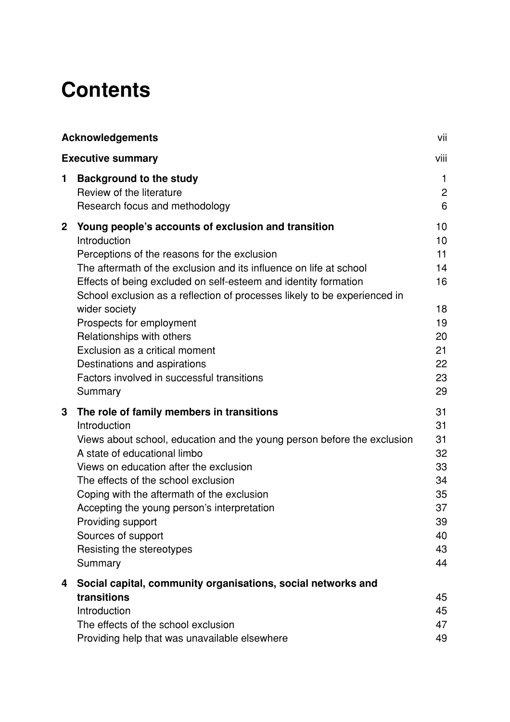# **Contents**

| <b>Acknowledgements</b><br><b>Executive summary</b><br>viii |                                                                                                                                                                                                                                                                                                                                                                                                                                                                                                                                                |                                                                      |
|-------------------------------------------------------------|------------------------------------------------------------------------------------------------------------------------------------------------------------------------------------------------------------------------------------------------------------------------------------------------------------------------------------------------------------------------------------------------------------------------------------------------------------------------------------------------------------------------------------------------|----------------------------------------------------------------------|
|                                                             |                                                                                                                                                                                                                                                                                                                                                                                                                                                                                                                                                |                                                                      |
| $\mathbf{2}$                                                | Young people's accounts of exclusion and transition<br>Introduction<br>Perceptions of the reasons for the exclusion<br>The aftermath of the exclusion and its influence on life at school<br>Effects of being excluded on self-esteem and identity formation<br>School exclusion as a reflection of processes likely to be experienced in<br>wider society<br>Prospects for employment<br>Relationships with others<br>Exclusion as a critical moment<br>Destinations and aspirations<br>Factors involved in successful transitions<br>Summary | 10<br>10<br>11<br>14<br>16<br>18<br>19<br>20<br>21<br>22<br>23<br>29 |
| 3                                                           | The role of family members in transitions<br>Introduction<br>Views about school, education and the young person before the exclusion<br>A state of educational limbo<br>Views on education after the exclusion<br>The effects of the school exclusion<br>Coping with the aftermath of the exclusion<br>Accepting the young person's interpretation<br>Providing support<br>Sources of support<br>Resisting the stereotypes<br>Summary                                                                                                          | 31<br>31<br>31<br>32<br>33<br>34<br>35<br>37<br>39<br>40<br>43<br>44 |
| 4                                                           | Social capital, community organisations, social networks and<br>transitions<br>Introduction<br>The effects of the school exclusion<br>Providing help that was unavailable elsewhere                                                                                                                                                                                                                                                                                                                                                            | 45<br>45<br>47<br>49                                                 |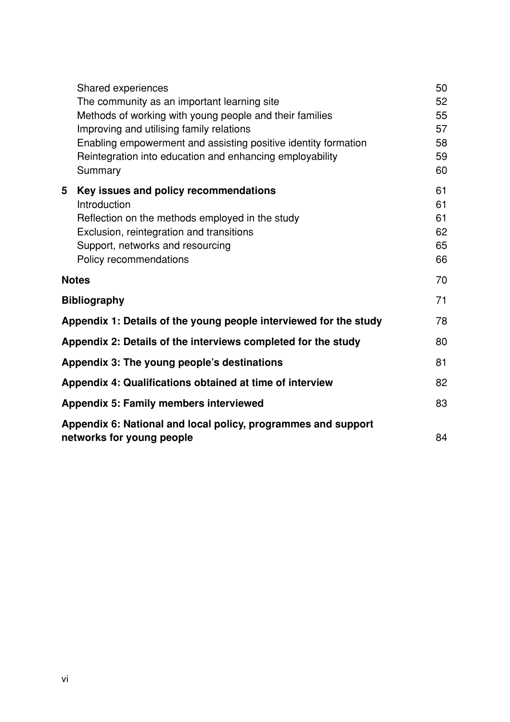|                                                                   | Shared experiences<br>The community as an important learning site<br>Methods of working with young people and their families<br>Improving and utilising family relations<br>Enabling empowerment and assisting positive identity formation<br>Reintegration into education and enhancing employability<br>Summary | 50<br>52<br>55<br>57<br>58<br>59<br>60 |
|-------------------------------------------------------------------|-------------------------------------------------------------------------------------------------------------------------------------------------------------------------------------------------------------------------------------------------------------------------------------------------------------------|----------------------------------------|
| 5                                                                 | Key issues and policy recommendations<br>Introduction<br>Reflection on the methods employed in the study<br>Exclusion, reintegration and transitions<br>Support, networks and resourcing<br>Policy recommendations                                                                                                | 61<br>61<br>61<br>62<br>65<br>66       |
|                                                                   | <b>Notes</b>                                                                                                                                                                                                                                                                                                      |                                        |
| <b>Bibliography</b>                                               |                                                                                                                                                                                                                                                                                                                   | 71                                     |
| Appendix 1: Details of the young people interviewed for the study |                                                                                                                                                                                                                                                                                                                   | 78                                     |
| Appendix 2: Details of the interviews completed for the study     |                                                                                                                                                                                                                                                                                                                   | 80                                     |
|                                                                   | Appendix 3: The young people's destinations                                                                                                                                                                                                                                                                       |                                        |
|                                                                   | Appendix 4: Qualifications obtained at time of interview                                                                                                                                                                                                                                                          | 82                                     |
|                                                                   | <b>Appendix 5: Family members interviewed</b>                                                                                                                                                                                                                                                                     |                                        |
|                                                                   | Appendix 6: National and local policy, programmes and support<br>networks for young people                                                                                                                                                                                                                        | 84                                     |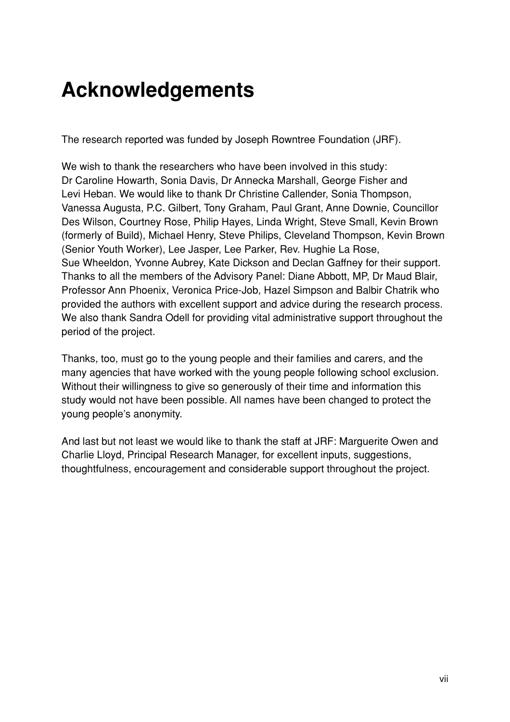# **Acknowledgements**

The research reported was funded by Joseph Rowntree Foundation (JRF).

We wish to thank the researchers who have been involved in this study: Dr Caroline Howarth, Sonia Davis, Dr Annecka Marshall, George Fisher and Levi Heban. We would like to thank Dr Christine Callender, Sonia Thompson, Vanessa Augusta, P.C. Gilbert, Tony Graham, Paul Grant, Anne Downie, Councillor Des Wilson, Courtney Rose, Philip Hayes, Linda Wright, Steve Small, Kevin Brown (formerly of Build), Michael Henry, Steve Philips, Cleveland Thompson, Kevin Brown (Senior Youth Worker), Lee Jasper, Lee Parker, Rev. Hughie La Rose, Sue Wheeldon, Yvonne Aubrey, Kate Dickson and Declan Gaffney for their support. Thanks to all the members of the Advisory Panel: Diane Abbott, MP, Dr Maud Blair, Professor Ann Phoenix, Veronica Price-Job, Hazel Simpson and Balbir Chatrik who provided the authors with excellent support and advice during the research process. We also thank Sandra Odell for providing vital administrative support throughout the period of the project.

Thanks, too, must go to the young people and their families and carers, and the many agencies that have worked with the young people following school exclusion. Without their willingness to give so generously of their time and information this study would not have been possible. All names have been changed to protect the young people's anonymity.

And last but not least we would like to thank the staff at JRF: Marguerite Owen and Charlie Lloyd, Principal Research Manager, for excellent inputs, suggestions, thoughtfulness, encouragement and considerable support throughout the project.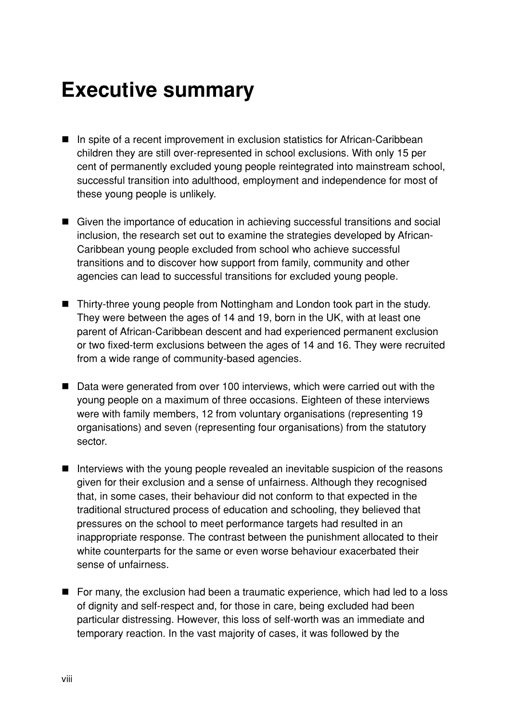# **Executive summary**

- $\blacksquare$  In spite of a recent improvement in exclusion statistics for African-Caribbean children they are still over-represented in school exclusions. With only 15 per cent of permanently excluded young people reintegrated into mainstream school, successful transition into adulthood, employment and independence for most of these young people is unlikely.
- Given the importance of education in achieving successful transitions and social inclusion, the research set out to examine the strategies developed by African-Caribbean young people excluded from school who achieve successful transitions and to discover how support from family, community and other agencies can lead to successful transitions for excluded young people.
- Thirty-three young people from Nottingham and London took part in the study. They were between the ages of 14 and 19, born in the UK, with at least one parent of African-Caribbean descent and had experienced permanent exclusion or two fixed-term exclusions between the ages of 14 and 16. They were recruited from a wide range of community-based agencies.
- Data were generated from over 100 interviews, which were carried out with the young people on a maximum of three occasions. Eighteen of these interviews were with family members, 12 from voluntary organisations (representing 19 organisations) and seven (representing four organisations) from the statutory sector.
- Interviews with the young people revealed an inevitable suspicion of the reasons given for their exclusion and a sense of unfairness. Although they recognised that, in some cases, their behaviour did not conform to that expected in the traditional structured process of education and schooling, they believed that pressures on the school to meet performance targets had resulted in an inappropriate response. The contrast between the punishment allocated to their white counterparts for the same or even worse behaviour exacerbated their sense of unfairness.
- For many, the exclusion had been a traumatic experience, which had led to a loss of dignity and self-respect and, for those in care, being excluded had been particular distressing. However, this loss of self-worth was an immediate and temporary reaction. In the vast majority of cases, it was followed by the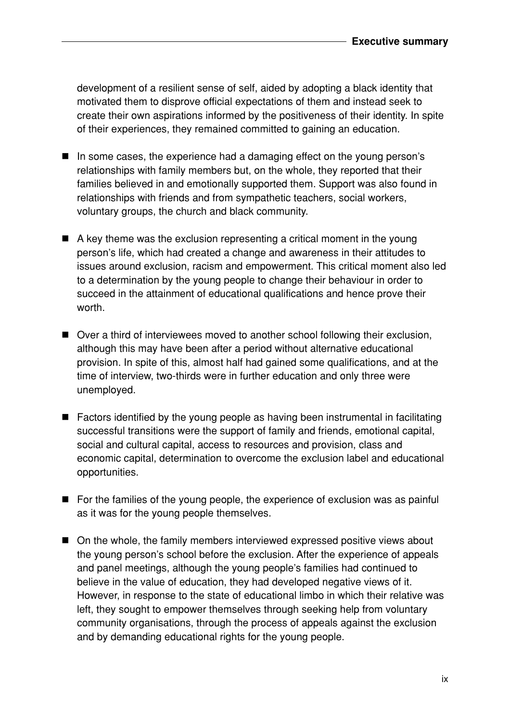development of a resilient sense of self, aided by adopting a black identity that motivated them to disprove official expectations of them and instead seek to create their own aspirations informed by the positiveness of their identity. In spite of their experiences, they remained committed to gaining an education.

- In some cases, the experience had a damaging effect on the young person's relationships with family members but, on the whole, they reported that their families believed in and emotionally supported them. Support was also found in relationships with friends and from sympathetic teachers, social workers, voluntary groups, the church and black community.
- $\blacksquare$  A key theme was the exclusion representing a critical moment in the young person's life, which had created a change and awareness in their attitudes to issues around exclusion, racism and empowerment. This critical moment also led to a determination by the young people to change their behaviour in order to succeed in the attainment of educational qualifications and hence prove their worth.
- Over a third of interviewees moved to another school following their exclusion, although this may have been after a period without alternative educational provision. In spite of this, almost half had gained some qualifications, and at the time of interview, two-thirds were in further education and only three were unemployed.
- Factors identified by the young people as having been instrumental in facilitating successful transitions were the support of family and friends, emotional capital, social and cultural capital, access to resources and provision, class and economic capital, determination to overcome the exclusion label and educational opportunities.
- For the families of the young people, the experience of exclusion was as painful as it was for the young people themselves.
- On the whole, the family members interviewed expressed positive views about the young person's school before the exclusion. After the experience of appeals and panel meetings, although the young people's families had continued to believe in the value of education, they had developed negative views of it. However, in response to the state of educational limbo in which their relative was left, they sought to empower themselves through seeking help from voluntary community organisations, through the process of appeals against the exclusion and by demanding educational rights for the young people.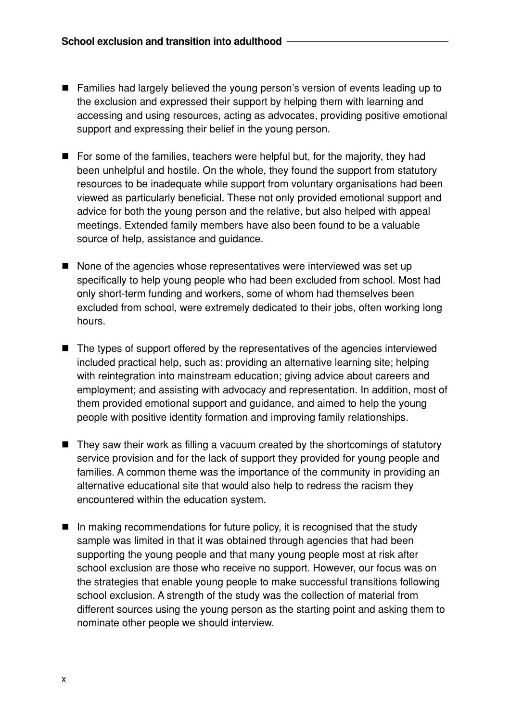- Families had largely believed the young person's version of events leading up to the exclusion and expressed their support by helping them with learning and accessing and using resources, acting as advocates, providing positive emotional support and expressing their belief in the young person.
- $\blacksquare$  For some of the families, teachers were helpful but, for the majority, they had been unhelpful and hostile. On the whole, they found the support from statutory resources to be inadequate while support from voluntary organisations had been viewed as particularly beneficial. These not only provided emotional support and advice for both the young person and the relative, but also helped with appeal meetings. Extended family members have also been found to be a valuable source of help, assistance and guidance.
- $\blacksquare$  None of the agencies whose representatives were interviewed was set up specifically to help young people who had been excluded from school. Most had only short-term funding and workers, some of whom had themselves been excluded from school, were extremely dedicated to their jobs, often working long hours.
- $\blacksquare$  The types of support offered by the representatives of the agencies interviewed included practical help, such as: providing an alternative learning site; helping with reintegration into mainstream education; giving advice about careers and employment; and assisting with advocacy and representation. In addition, most of them provided emotional support and guidance, and aimed to help the young people with positive identity formation and improving family relationships.
- $\blacksquare$  They saw their work as filling a vacuum created by the shortcomings of statutory service provision and for the lack of support they provided for young people and families. A common theme was the importance of the community in providing an alternative educational site that would also help to redress the racism they encountered within the education system.
- $\blacksquare$  In making recommendations for future policy, it is recognised that the study sample was limited in that it was obtained through agencies that had been supporting the young people and that many young people most at risk after school exclusion are those who receive no support. However, our focus was on the strategies that enable young people to make successful transitions following school exclusion. A strength of the study was the collection of material from different sources using the young person as the starting point and asking them to nominate other people we should interview.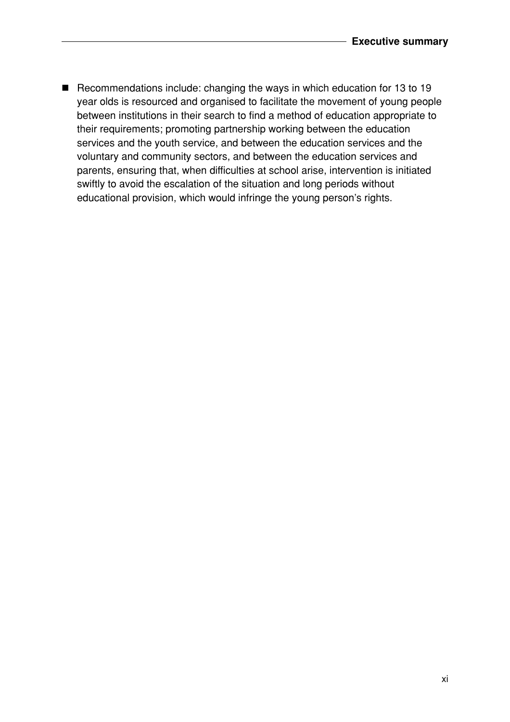■ Recommendations include: changing the ways in which education for 13 to 19 year olds is resourced and organised to facilitate the movement of young people between institutions in their search to find a method of education appropriate to their requirements; promoting partnership working between the education services and the youth service, and between the education services and the voluntary and community sectors, and between the education services and parents, ensuring that, when difficulties at school arise, intervention is initiated swiftly to avoid the escalation of the situation and long periods without educational provision, which would infringe the young person's rights.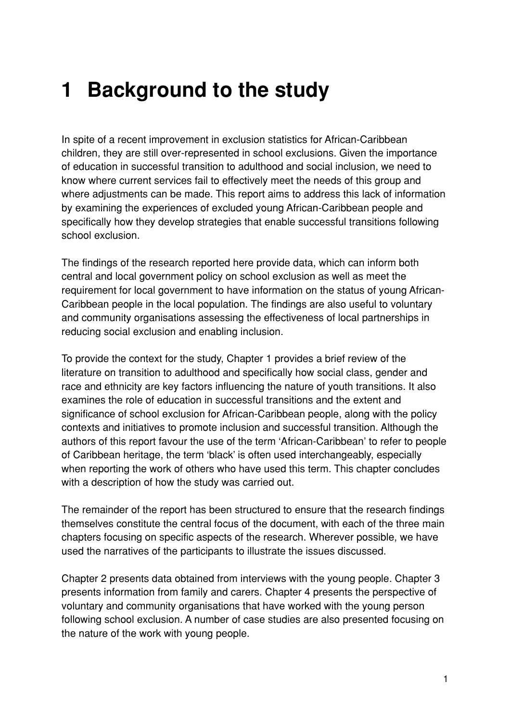# **1 Background to the study**

In spite of a recent improvement in exclusion statistics for African-Caribbean children, they are still over-represented in school exclusions. Given the importance of education in successful transition to adulthood and social inclusion, we need to know where current services fail to effectively meet the needs of this group and where adjustments can be made. This report aims to address this lack of information by examining the experiences of excluded young African-Caribbean people and specifically how they develop strategies that enable successful transitions following school exclusion.

The findings of the research reported here provide data, which can inform both central and local government policy on school exclusion as well as meet the requirement for local government to have information on the status of young African-Caribbean people in the local population. The findings are also useful to voluntary and community organisations assessing the effectiveness of local partnerships in reducing social exclusion and enabling inclusion.

To provide the context for the study, Chapter 1 provides a brief review of the literature on transition to adulthood and specifically how social class, gender and race and ethnicity are key factors influencing the nature of youth transitions. It also examines the role of education in successful transitions and the extent and significance of school exclusion for African-Caribbean people, along with the policy contexts and initiatives to promote inclusion and successful transition. Although the authors of this report favour the use of the term 'African-Caribbean' to refer to people of Caribbean heritage, the term 'black' is often used interchangeably, especially when reporting the work of others who have used this term. This chapter concludes with a description of how the study was carried out.

The remainder of the report has been structured to ensure that the research findings themselves constitute the central focus of the document, with each of the three main chapters focusing on specific aspects of the research. Wherever possible, we have used the narratives of the participants to illustrate the issues discussed.

Chapter 2 presents data obtained from interviews with the young people. Chapter 3 presents information from family and carers. Chapter 4 presents the perspective of voluntary and community organisations that have worked with the young person following school exclusion. A number of case studies are also presented focusing on the nature of the work with young people.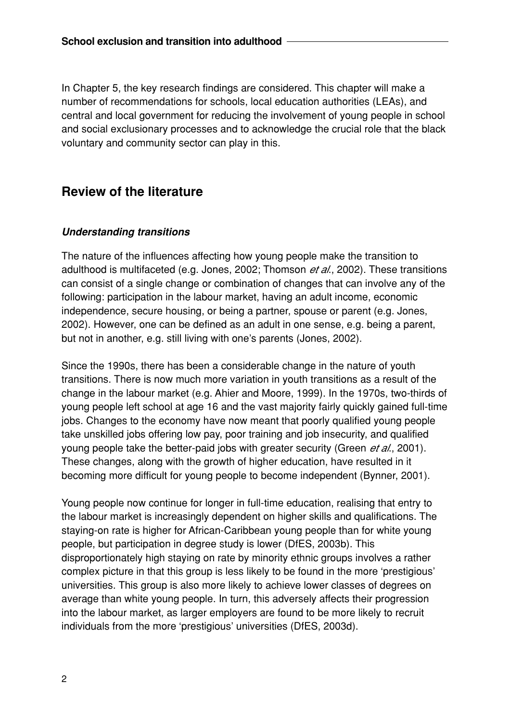In Chapter 5, the key research findings are considered. This chapter will make a number of recommendations for schools, local education authorities (LEAs), and central and local government for reducing the involvement of young people in school and social exclusionary processes and to acknowledge the crucial role that the black voluntary and community sector can play in this.

## **Review of the literature**

#### **Understanding transitions**

The nature of the influences affecting how young people make the transition to adulthood is multifaceted (e.g. Jones, 2002; Thomson et al., 2002). These transitions can consist of a single change or combination of changes that can involve any of the following: participation in the labour market, having an adult income, economic independence, secure housing, or being a partner, spouse or parent (e.g. Jones, 2002). However, one can be defined as an adult in one sense, e.g. being a parent, but not in another, e.g. still living with one's parents (Jones, 2002).

Since the 1990s, there has been a considerable change in the nature of youth transitions. There is now much more variation in youth transitions as a result of the change in the labour market (e.g. Ahier and Moore, 1999). In the 1970s, two-thirds of young people left school at age 16 and the vast majority fairly quickly gained full-time jobs. Changes to the economy have now meant that poorly qualified young people take unskilled jobs offering low pay, poor training and job insecurity, and qualified young people take the better-paid jobs with greater security (Green et al., 2001). These changes, along with the growth of higher education, have resulted in it becoming more difficult for young people to become independent (Bynner, 2001).

Young people now continue for longer in full-time education, realising that entry to the labour market is increasingly dependent on higher skills and qualifications. The staying-on rate is higher for African-Caribbean young people than for white young people, but participation in degree study is lower (DfES, 2003b). This disproportionately high staying on rate by minority ethnic groups involves a rather complex picture in that this group is less likely to be found in the more 'prestigious' universities. This group is also more likely to achieve lower classes of degrees on average than white young people. In turn, this adversely affects their progression into the labour market, as larger employers are found to be more likely to recruit individuals from the more 'prestigious' universities (DfES, 2003d).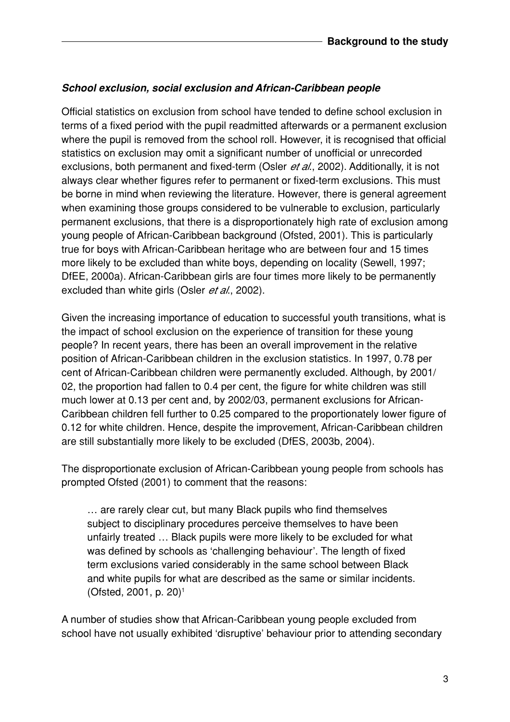#### **School exclusion, social exclusion and African-Caribbean people**

Official statistics on exclusion from school have tended to define school exclusion in terms of a fixed period with the pupil readmitted afterwards or a permanent exclusion where the pupil is removed from the school roll. However, it is recognised that official statistics on exclusion may omit a significant number of unofficial or unrecorded exclusions, both permanent and fixed-term (Osler et al., 2002). Additionally, it is not always clear whether figures refer to permanent or fixed-term exclusions. This must be borne in mind when reviewing the literature. However, there is general agreement when examining those groups considered to be vulnerable to exclusion, particularly permanent exclusions, that there is a disproportionately high rate of exclusion among young people of African-Caribbean background (Ofsted, 2001). This is particularly true for boys with African-Caribbean heritage who are between four and 15 times more likely to be excluded than white boys, depending on locality (Sewell, 1997; DfEE, 2000a). African-Caribbean girls are four times more likely to be permanently excluded than white girls (Osler et al., 2002).

Given the increasing importance of education to successful youth transitions, what is the impact of school exclusion on the experience of transition for these young people? In recent years, there has been an overall improvement in the relative position of African-Caribbean children in the exclusion statistics. In 1997, 0.78 per cent of African-Caribbean children were permanently excluded. Although, by 2001/ 02, the proportion had fallen to 0.4 per cent, the figure for white children was still much lower at 0.13 per cent and, by 2002/03, permanent exclusions for African-Caribbean children fell further to 0.25 compared to the proportionately lower figure of 0.12 for white children. Hence, despite the improvement, African-Caribbean children are still substantially more likely to be excluded (DfES, 2003b, 2004).

The disproportionate exclusion of African-Caribbean young people from schools has prompted Ofsted (2001) to comment that the reasons:

… are rarely clear cut, but many Black pupils who find themselves subject to disciplinary procedures perceive themselves to have been unfairly treated … Black pupils were more likely to be excluded for what was defined by schools as 'challenging behaviour'. The length of fixed term exclusions varied considerably in the same school between Black and white pupils for what are described as the same or similar incidents. (Ofsted, 2001, p. 20)1

A number of studies show that African-Caribbean young people excluded from school have not usually exhibited 'disruptive' behaviour prior to attending secondary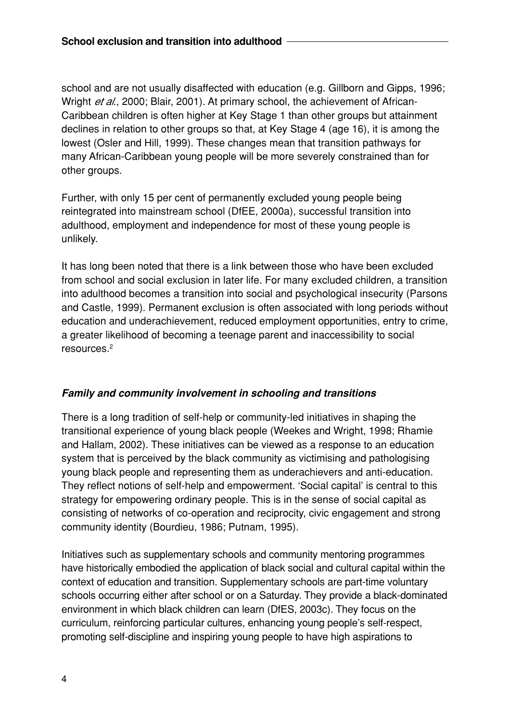school and are not usually disaffected with education (e.g. Gillborn and Gipps, 1996; Wright et al., 2000; Blair, 2001). At primary school, the achievement of African-Caribbean children is often higher at Key Stage 1 than other groups but attainment declines in relation to other groups so that, at Key Stage 4 (age 16), it is among the lowest (Osler and Hill, 1999). These changes mean that transition pathways for many African-Caribbean young people will be more severely constrained than for other groups.

Further, with only 15 per cent of permanently excluded young people being reintegrated into mainstream school (DfEE, 2000a), successful transition into adulthood, employment and independence for most of these young people is unlikely.

It has long been noted that there is a link between those who have been excluded from school and social exclusion in later life. For many excluded children, a transition into adulthood becomes a transition into social and psychological insecurity (Parsons and Castle, 1999). Permanent exclusion is often associated with long periods without education and underachievement, reduced employment opportunities, entry to crime, a greater likelihood of becoming a teenage parent and inaccessibility to social resources.2

#### **Family and community involvement in schooling and transitions**

There is a long tradition of self-help or community-led initiatives in shaping the transitional experience of young black people (Weekes and Wright, 1998; Rhamie and Hallam, 2002). These initiatives can be viewed as a response to an education system that is perceived by the black community as victimising and pathologising young black people and representing them as underachievers and anti-education. They reflect notions of self-help and empowerment. 'Social capital' is central to this strategy for empowering ordinary people. This is in the sense of social capital as consisting of networks of co-operation and reciprocity, civic engagement and strong community identity (Bourdieu, 1986; Putnam, 1995).

Initiatives such as supplementary schools and community mentoring programmes have historically embodied the application of black social and cultural capital within the context of education and transition. Supplementary schools are part-time voluntary schools occurring either after school or on a Saturday. They provide a black-dominated environment in which black children can learn (DfES, 2003c). They focus on the curriculum, reinforcing particular cultures, enhancing young people's self-respect, promoting self-discipline and inspiring young people to have high aspirations to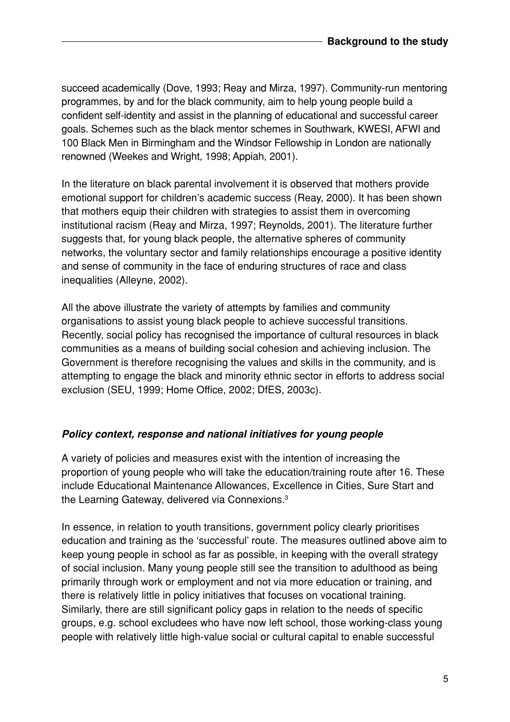succeed academically (Dove, 1993; Reay and Mirza, 1997). Community-run mentoring programmes, by and for the black community, aim to help young people build a confident self-identity and assist in the planning of educational and successful career goals. Schemes such as the black mentor schemes in Southwark, KWESI, AFWI and 100 Black Men in Birmingham and the Windsor Fellowship in London are nationally renowned (Weekes and Wright, 1998; Appiah, 2001).

In the literature on black parental involvement it is observed that mothers provide emotional support for children's academic success (Reay, 2000). It has been shown that mothers equip their children with strategies to assist them in overcoming institutional racism (Reay and Mirza, 1997; Reynolds, 2001). The literature further suggests that, for young black people, the alternative spheres of community networks, the voluntary sector and family relationships encourage a positive identity and sense of community in the face of enduring structures of race and class inequalities (Alleyne, 2002).

All the above illustrate the variety of attempts by families and community organisations to assist young black people to achieve successful transitions. Recently, social policy has recognised the importance of cultural resources in black communities as a means of building social cohesion and achieving inclusion. The Government is therefore recognising the values and skills in the community, and is attempting to engage the black and minority ethnic sector in efforts to address social exclusion (SEU, 1999; Home Office, 2002; DfES, 2003c).

#### **Policy context, response and national initiatives for young people**

A variety of policies and measures exist with the intention of increasing the proportion of young people who will take the education/training route after 16. These include Educational Maintenance Allowances, Excellence in Cities, Sure Start and the Learning Gateway, delivered via Connexions.3

In essence, in relation to youth transitions, government policy clearly prioritises education and training as the 'successful' route. The measures outlined above aim to keep young people in school as far as possible, in keeping with the overall strategy of social inclusion. Many young people still see the transition to adulthood as being primarily through work or employment and not via more education or training, and there is relatively little in policy initiatives that focuses on vocational training. Similarly, there are still significant policy gaps in relation to the needs of specific groups, e.g. school excludees who have now left school, those working-class young people with relatively little high-value social or cultural capital to enable successful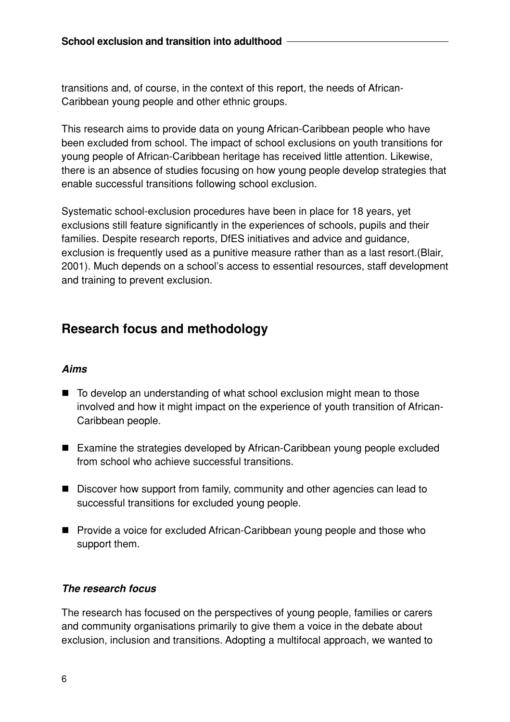transitions and, of course, in the context of this report, the needs of African-Caribbean young people and other ethnic groups.

This research aims to provide data on young African-Caribbean people who have been excluded from school. The impact of school exclusions on youth transitions for young people of African-Caribbean heritage has received little attention. Likewise, there is an absence of studies focusing on how young people develop strategies that enable successful transitions following school exclusion.

Systematic school-exclusion procedures have been in place for 18 years, yet exclusions still feature significantly in the experiences of schools, pupils and their families. Despite research reports, DfES initiatives and advice and guidance, exclusion is frequently used as a punitive measure rather than as a last resort.(Blair, 2001). Much depends on a school's access to essential resources, staff development and training to prevent exclusion.

## **Research focus and methodology**

#### **Aims**

- $\blacksquare$  To develop an understanding of what school exclusion might mean to those involved and how it might impact on the experience of youth transition of African-Caribbean people.
- Examine the strategies developed by African-Caribbean young people excluded from school who achieve successful transitions.
- Discover how support from family, community and other agencies can lead to successful transitions for excluded young people.
- **Provide a voice for excluded African-Caribbean young people and those who** support them.

#### **The research focus**

The research has focused on the perspectives of young people, families or carers and community organisations primarily to give them a voice in the debate about exclusion, inclusion and transitions. Adopting a multifocal approach, we wanted to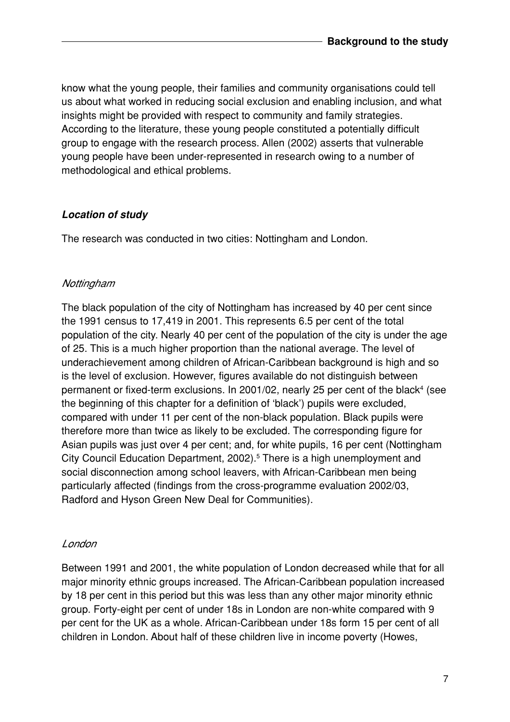know what the young people, their families and community organisations could tell us about what worked in reducing social exclusion and enabling inclusion, and what insights might be provided with respect to community and family strategies. According to the literature, these young people constituted a potentially difficult group to engage with the research process. Allen (2002) asserts that vulnerable young people have been under-represented in research owing to a number of methodological and ethical problems.

#### **Location of study**

The research was conducted in two cities: Nottingham and London.

#### Nottingham

The black population of the city of Nottingham has increased by 40 per cent since the 1991 census to 17,419 in 2001. This represents 6.5 per cent of the total population of the city. Nearly 40 per cent of the population of the city is under the age of 25. This is a much higher proportion than the national average. The level of underachievement among children of African-Caribbean background is high and so is the level of exclusion. However, figures available do not distinguish between permanent or fixed-term exclusions. In 2001/02, nearly 25 per cent of the black<sup>4</sup> (see the beginning of this chapter for a definition of 'black') pupils were excluded, compared with under 11 per cent of the non-black population. Black pupils were therefore more than twice as likely to be excluded. The corresponding figure for Asian pupils was just over 4 per cent; and, for white pupils, 16 per cent (Nottingham City Council Education Department, 2002).<sup>5</sup> There is a high unemployment and social disconnection among school leavers, with African-Caribbean men being particularly affected (findings from the cross-programme evaluation 2002/03, Radford and Hyson Green New Deal for Communities).

#### London

Between 1991 and 2001, the white population of London decreased while that for all major minority ethnic groups increased. The African-Caribbean population increased by 18 per cent in this period but this was less than any other major minority ethnic group. Forty-eight per cent of under 18s in London are non-white compared with 9 per cent for the UK as a whole. African-Caribbean under 18s form 15 per cent of all children in London. About half of these children live in income poverty (Howes,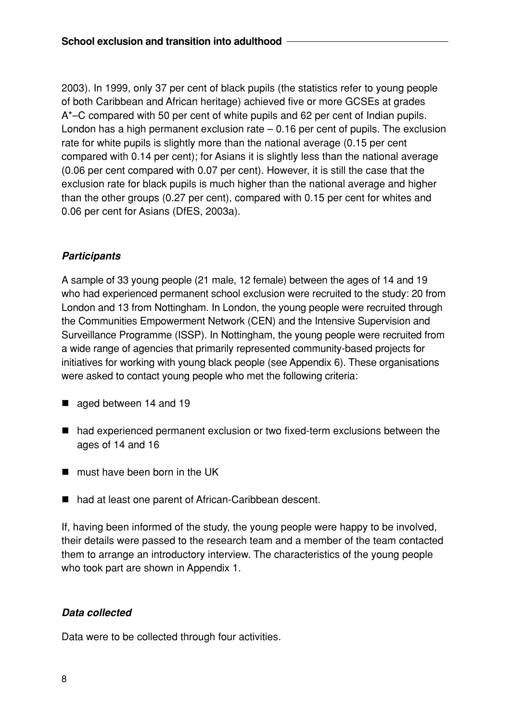2003). In 1999, only 37 per cent of black pupils (the statistics refer to young people of both Caribbean and African heritage) achieved five or more GCSEs at grades A\*–C compared with 50 per cent of white pupils and 62 per cent of Indian pupils. London has a high permanent exclusion rate – 0.16 per cent of pupils. The exclusion rate for white pupils is slightly more than the national average (0.15 per cent compared with 0.14 per cent); for Asians it is slightly less than the national average (0.06 per cent compared with 0.07 per cent). However, it is still the case that the exclusion rate for black pupils is much higher than the national average and higher than the other groups (0.27 per cent), compared with 0.15 per cent for whites and 0.06 per cent for Asians (DfES, 2003a).

#### **Participants**

A sample of 33 young people (21 male, 12 female) between the ages of 14 and 19 who had experienced permanent school exclusion were recruited to the study: 20 from London and 13 from Nottingham. In London, the young people were recruited through the Communities Empowerment Network (CEN) and the Intensive Supervision and Surveillance Programme (ISSP). In Nottingham, the young people were recruited from a wide range of agencies that primarily represented community-based projects for initiatives for working with young black people (see Appendix 6). These organisations were asked to contact young people who met the following criteria:

- aged between 14 and 19
- had experienced permanent exclusion or two fixed-term exclusions between the ages of 14 and 16
- $\blacksquare$  must have been born in the UK
- had at least one parent of African-Caribbean descent.

If, having been informed of the study, the young people were happy to be involved, their details were passed to the research team and a member of the team contacted them to arrange an introductory interview. The characteristics of the young people who took part are shown in Appendix 1.

#### **Data collected**

Data were to be collected through four activities.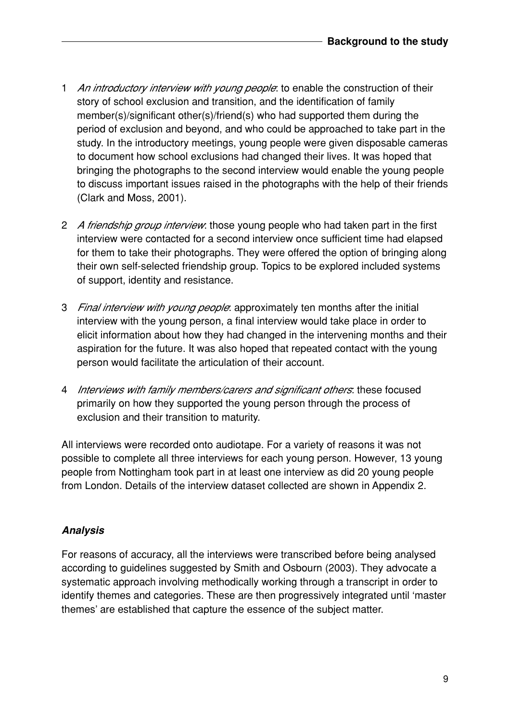- 1 An introductory interview with young people: to enable the construction of their story of school exclusion and transition, and the identification of family member(s)/significant other(s)/friend(s) who had supported them during the period of exclusion and beyond, and who could be approached to take part in the study. In the introductory meetings, young people were given disposable cameras to document how school exclusions had changed their lives. It was hoped that bringing the photographs to the second interview would enable the young people to discuss important issues raised in the photographs with the help of their friends (Clark and Moss, 2001).
- 2 A friendship group interview: those young people who had taken part in the first interview were contacted for a second interview once sufficient time had elapsed for them to take their photographs. They were offered the option of bringing along their own self-selected friendship group. Topics to be explored included systems of support, identity and resistance.
- 3 Final interview with young people: approximately ten months after the initial interview with the young person, a final interview would take place in order to elicit information about how they had changed in the intervening months and their aspiration for the future. It was also hoped that repeated contact with the young person would facilitate the articulation of their account.
- 4 Interviews with family members/carers and significant others: these focused primarily on how they supported the young person through the process of exclusion and their transition to maturity.

All interviews were recorded onto audiotape. For a variety of reasons it was not possible to complete all three interviews for each young person. However, 13 young people from Nottingham took part in at least one interview as did 20 young people from London. Details of the interview dataset collected are shown in Appendix 2.

#### **Analysis**

For reasons of accuracy, all the interviews were transcribed before being analysed according to guidelines suggested by Smith and Osbourn (2003). They advocate a systematic approach involving methodically working through a transcript in order to identify themes and categories. These are then progressively integrated until 'master themes' are established that capture the essence of the subject matter.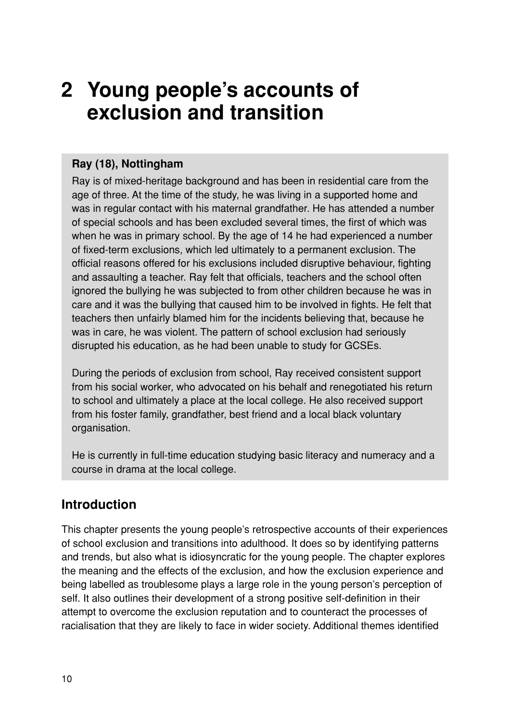# **2 Young people's accounts of exclusion and transition**

#### **Ray (18), Nottingham**

Ray is of mixed-heritage background and has been in residential care from the age of three. At the time of the study, he was living in a supported home and was in regular contact with his maternal grandfather. He has attended a number of special schools and has been excluded several times, the first of which was when he was in primary school. By the age of 14 he had experienced a number of fixed-term exclusions, which led ultimately to a permanent exclusion. The official reasons offered for his exclusions included disruptive behaviour, fighting and assaulting a teacher. Ray felt that officials, teachers and the school often ignored the bullying he was subjected to from other children because he was in care and it was the bullying that caused him to be involved in fights. He felt that teachers then unfairly blamed him for the incidents believing that, because he was in care, he was violent. The pattern of school exclusion had seriously disrupted his education, as he had been unable to study for GCSEs.

During the periods of exclusion from school, Ray received consistent support from his social worker, who advocated on his behalf and renegotiated his return to school and ultimately a place at the local college. He also received support from his foster family, grandfather, best friend and a local black voluntary organisation.

He is currently in full-time education studying basic literacy and numeracy and a course in drama at the local college.

### **Introduction**

This chapter presents the young people's retrospective accounts of their experiences of school exclusion and transitions into adulthood. It does so by identifying patterns and trends, but also what is idiosyncratic for the young people. The chapter explores the meaning and the effects of the exclusion, and how the exclusion experience and being labelled as troublesome plays a large role in the young person's perception of self. It also outlines their development of a strong positive self-definition in their attempt to overcome the exclusion reputation and to counteract the processes of racialisation that they are likely to face in wider society. Additional themes identified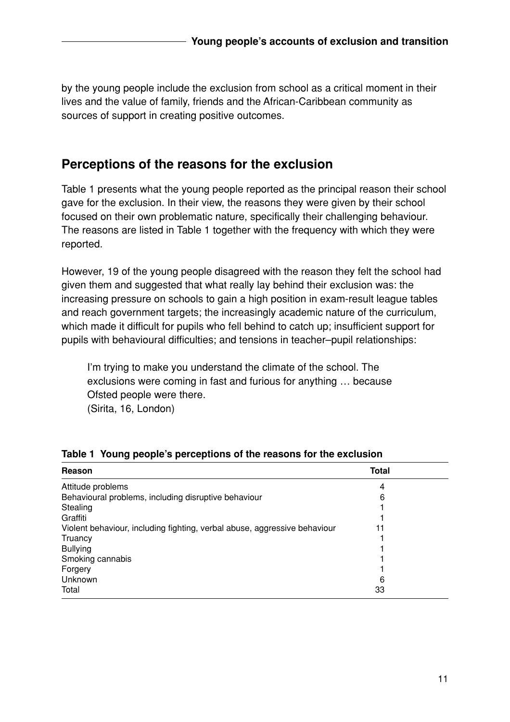by the young people include the exclusion from school as a critical moment in their lives and the value of family, friends and the African-Caribbean community as sources of support in creating positive outcomes.

### **Perceptions of the reasons for the exclusion**

Table 1 presents what the young people reported as the principal reason their school gave for the exclusion. In their view, the reasons they were given by their school focused on their own problematic nature, specifically their challenging behaviour. The reasons are listed in Table 1 together with the frequency with which they were reported.

However, 19 of the young people disagreed with the reason they felt the school had given them and suggested that what really lay behind their exclusion was: the increasing pressure on schools to gain a high position in exam-result league tables and reach government targets; the increasingly academic nature of the curriculum, which made it difficult for pupils who fell behind to catch up; insufficient support for pupils with behavioural difficulties; and tensions in teacher–pupil relationships:

I'm trying to make you understand the climate of the school. The exclusions were coming in fast and furious for anything … because Ofsted people were there. (Sirita, 16, London)

| Reason                                                                    | <b>Total</b> |  |
|---------------------------------------------------------------------------|--------------|--|
| Attitude problems                                                         | 4            |  |
| Behavioural problems, including disruptive behaviour                      | 6            |  |
| Stealing                                                                  |              |  |
| Graffiti                                                                  |              |  |
| Violent behaviour, including fighting, verbal abuse, aggressive behaviour | 11           |  |
| Truancy                                                                   |              |  |
| <b>Bullying</b>                                                           |              |  |
| Smoking cannabis                                                          |              |  |
| Forgery                                                                   |              |  |
| Unknown                                                                   | 6            |  |
| Total                                                                     | 33           |  |

#### **Table 1 Young people's perceptions of the reasons for the exclusion**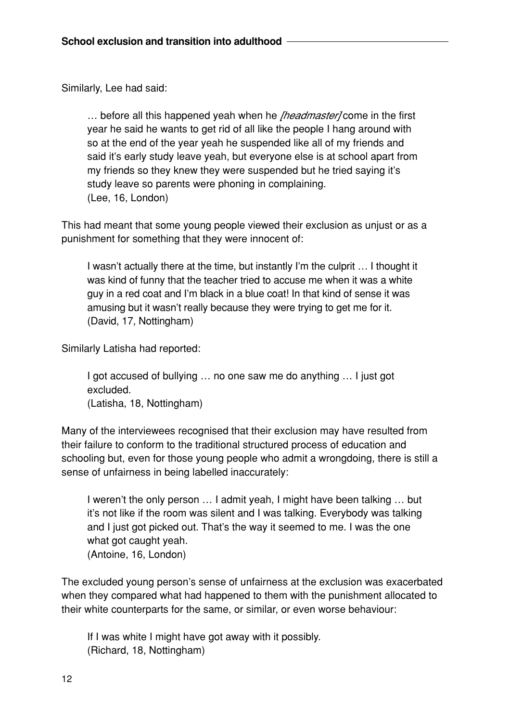Similarly, Lee had said:

... before all this happened yeah when he *[headmaster]* come in the first year he said he wants to get rid of all like the people I hang around with so at the end of the year yeah he suspended like all of my friends and said it's early study leave yeah, but everyone else is at school apart from my friends so they knew they were suspended but he tried saying it's study leave so parents were phoning in complaining. (Lee, 16, London)

This had meant that some young people viewed their exclusion as unjust or as a punishment for something that they were innocent of:

I wasn't actually there at the time, but instantly I'm the culprit … I thought it was kind of funny that the teacher tried to accuse me when it was a white guy in a red coat and I'm black in a blue coat! In that kind of sense it was amusing but it wasn't really because they were trying to get me for it. (David, 17, Nottingham)

Similarly Latisha had reported:

I got accused of bullying … no one saw me do anything … I just got excluded. (Latisha, 18, Nottingham)

Many of the interviewees recognised that their exclusion may have resulted from their failure to conform to the traditional structured process of education and schooling but, even for those young people who admit a wrongdoing, there is still a sense of unfairness in being labelled inaccurately:

I weren't the only person … I admit yeah, I might have been talking … but it's not like if the room was silent and I was talking. Everybody was talking and I just got picked out. That's the way it seemed to me. I was the one what got caught yeah. (Antoine, 16, London)

The excluded young person's sense of unfairness at the exclusion was exacerbated when they compared what had happened to them with the punishment allocated to their white counterparts for the same, or similar, or even worse behaviour:

If I was white I might have got away with it possibly. (Richard, 18, Nottingham)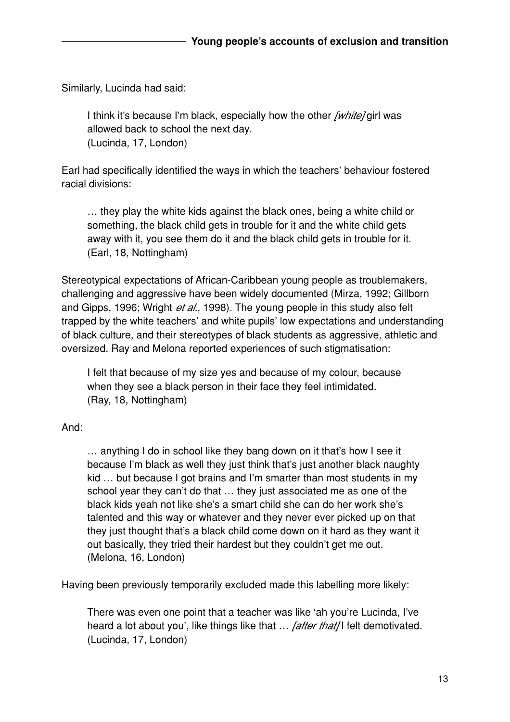Similarly, Lucinda had said:

I think it's because I'm black, especially how the other *[white]* girl was allowed back to school the next day. (Lucinda, 17, London)

Earl had specifically identified the ways in which the teachers' behaviour fostered racial divisions:

… they play the white kids against the black ones, being a white child or something, the black child gets in trouble for it and the white child gets away with it, you see them do it and the black child gets in trouble for it. (Earl, 18, Nottingham)

Stereotypical expectations of African-Caribbean young people as troublemakers, challenging and aggressive have been widely documented (Mirza, 1992; Gillborn and Gipps, 1996; Wright *et al.*, 1998). The young people in this study also felt trapped by the white teachers' and white pupils' low expectations and understanding of black culture, and their stereotypes of black students as aggressive, athletic and oversized. Ray and Melona reported experiences of such stigmatisation:

I felt that because of my size yes and because of my colour, because when they see a black person in their face they feel intimidated. (Ray, 18, Nottingham)

#### And:

… anything I do in school like they bang down on it that's how I see it because I'm black as well they just think that's just another black naughty kid … but because I got brains and I'm smarter than most students in my school year they can't do that … they just associated me as one of the black kids yeah not like she's a smart child she can do her work she's talented and this way or whatever and they never ever picked up on that they just thought that's a black child come down on it hard as they want it out basically, they tried their hardest but they couldn't get me out. (Melona, 16, London)

Having been previously temporarily excluded made this labelling more likely:

There was even one point that a teacher was like 'ah you're Lucinda, I've heard a lot about you', like things like that ... *[after that*/I felt demotivated. (Lucinda, 17, London)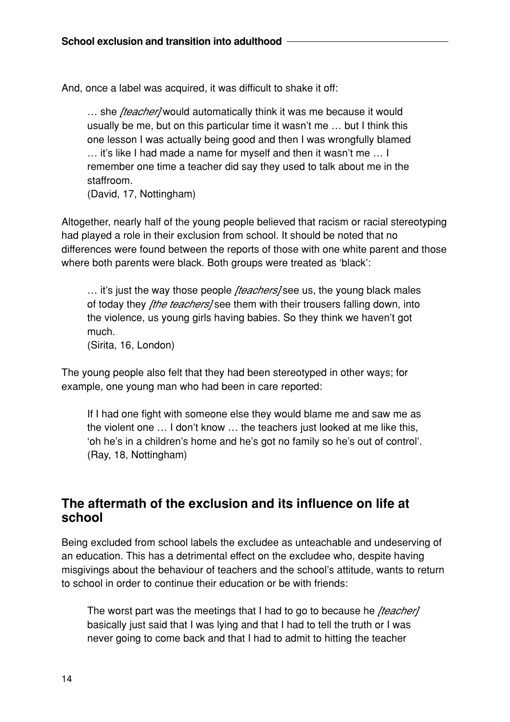And, once a label was acquired, it was difficult to shake it off:

... she *[teacher]* would automatically think it was me because it would usually be me, but on this particular time it wasn't me … but I think this one lesson I was actually being good and then I was wrongfully blamed … it's like I had made a name for myself and then it wasn't me … I remember one time a teacher did say they used to talk about me in the staffroom.

(David, 17, Nottingham)

Altogether, nearly half of the young people believed that racism or racial stereotyping had played a role in their exclusion from school. It should be noted that no differences were found between the reports of those with one white parent and those where both parents were black. Both groups were treated as 'black':

... it's just the way those people *[teachers]* see us, the young black males of today they *[the teachers]* see them with their trousers falling down, into the violence, us young girls having babies. So they think we haven't got much.

(Sirita, 16, London)

The young people also felt that they had been stereotyped in other ways; for example, one young man who had been in care reported:

If I had one fight with someone else they would blame me and saw me as the violent one … I don't know … the teachers just looked at me like this, 'oh he's in a children's home and he's got no family so he's out of control'. (Ray, 18, Nottingham)

### **The aftermath of the exclusion and its influence on life at school**

Being excluded from school labels the excludee as unteachable and undeserving of an education. This has a detrimental effect on the excludee who, despite having misgivings about the behaviour of teachers and the school's attitude, wants to return to school in order to continue their education or be with friends:

The worst part was the meetings that I had to go to because he *[teacher]* basically just said that I was lying and that I had to tell the truth or I was never going to come back and that I had to admit to hitting the teacher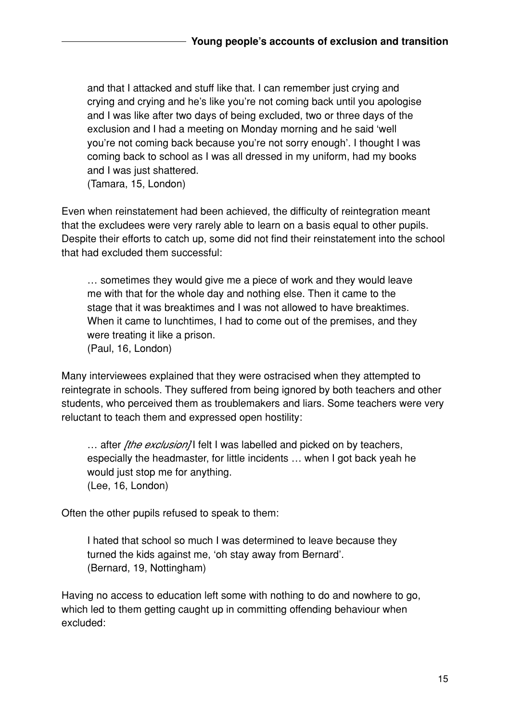and that I attacked and stuff like that. I can remember just crying and crying and crying and he's like you're not coming back until you apologise and I was like after two days of being excluded, two or three days of the exclusion and I had a meeting on Monday morning and he said 'well you're not coming back because you're not sorry enough'. I thought I was coming back to school as I was all dressed in my uniform, had my books and I was just shattered.

(Tamara, 15, London)

Even when reinstatement had been achieved, the difficulty of reintegration meant that the excludees were very rarely able to learn on a basis equal to other pupils. Despite their efforts to catch up, some did not find their reinstatement into the school that had excluded them successful:

… sometimes they would give me a piece of work and they would leave me with that for the whole day and nothing else. Then it came to the stage that it was breaktimes and I was not allowed to have breaktimes. When it came to lunchtimes, I had to come out of the premises, and they were treating it like a prison.

(Paul, 16, London)

Many interviewees explained that they were ostracised when they attempted to reintegrate in schools. They suffered from being ignored by both teachers and other students, who perceived them as troublemakers and liars. Some teachers were very reluctant to teach them and expressed open hostility:

... after *[the exclusion]* I felt I was labelled and picked on by teachers, especially the headmaster, for little incidents … when I got back yeah he would just stop me for anything. (Lee, 16, London)

Often the other pupils refused to speak to them:

I hated that school so much I was determined to leave because they turned the kids against me, 'oh stay away from Bernard'. (Bernard, 19, Nottingham)

Having no access to education left some with nothing to do and nowhere to go, which led to them getting caught up in committing offending behaviour when excluded: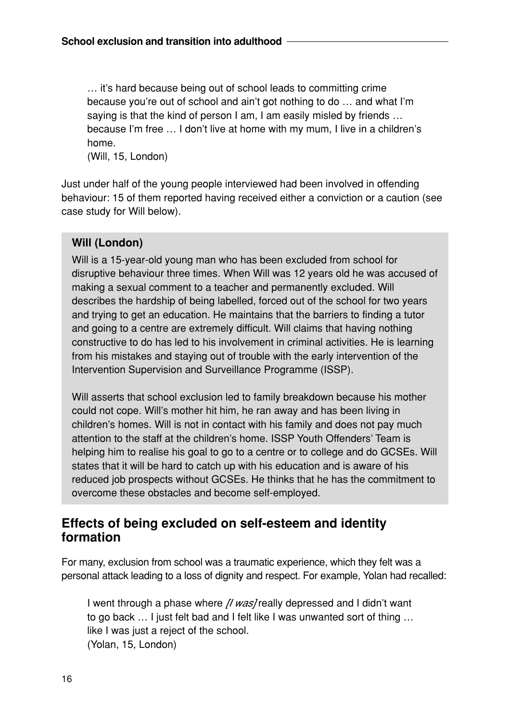… it's hard because being out of school leads to committing crime because you're out of school and ain't got nothing to do … and what I'm saying is that the kind of person I am, I am easily misled by friends … because I'm free … I don't live at home with my mum, I live in a children's home.

(Will, 15, London)

Just under half of the young people interviewed had been involved in offending behaviour: 15 of them reported having received either a conviction or a caution (see case study for Will below).

### **Will (London)**

Will is a 15-year-old young man who has been excluded from school for disruptive behaviour three times. When Will was 12 years old he was accused of making a sexual comment to a teacher and permanently excluded. Will describes the hardship of being labelled, forced out of the school for two years and trying to get an education. He maintains that the barriers to finding a tutor and going to a centre are extremely difficult. Will claims that having nothing constructive to do has led to his involvement in criminal activities. He is learning from his mistakes and staying out of trouble with the early intervention of the Intervention Supervision and Surveillance Programme (ISSP).

Will asserts that school exclusion led to family breakdown because his mother could not cope. Will's mother hit him, he ran away and has been living in children's homes. Will is not in contact with his family and does not pay much attention to the staff at the children's home. ISSP Youth Offenders' Team is helping him to realise his goal to go to a centre or to college and do GCSEs. Will states that it will be hard to catch up with his education and is aware of his reduced job prospects without GCSEs. He thinks that he has the commitment to overcome these obstacles and become self-employed.

### **Effects of being excluded on self-esteem and identity formation**

For many, exclusion from school was a traumatic experience, which they felt was a personal attack leading to a loss of dignity and respect. For example, Yolan had recalled:

I went through a phase where *[I was]* really depressed and I didn't want to go back … I just felt bad and I felt like I was unwanted sort of thing … like I was just a reject of the school. (Yolan, 15, London)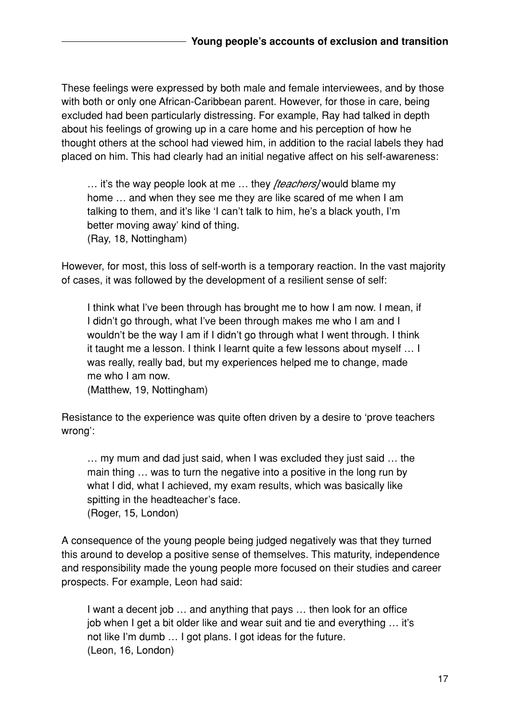These feelings were expressed by both male and female interviewees, and by those with both or only one African-Caribbean parent. However, for those in care, being excluded had been particularly distressing. For example, Ray had talked in depth about his feelings of growing up in a care home and his perception of how he thought others at the school had viewed him, in addition to the racial labels they had placed on him. This had clearly had an initial negative affect on his self-awareness:

... it's the way people look at me ... they *[teachers]* would blame my home … and when they see me they are like scared of me when I am talking to them, and it's like 'I can't talk to him, he's a black youth, I'm better moving away' kind of thing. (Ray, 18, Nottingham)

However, for most, this loss of self-worth is a temporary reaction. In the vast majority of cases, it was followed by the development of a resilient sense of self:

I think what I've been through has brought me to how I am now. I mean, if I didn't go through, what I've been through makes me who I am and I wouldn't be the way I am if I didn't go through what I went through. I think it taught me a lesson. I think I learnt quite a few lessons about myself … I was really, really bad, but my experiences helped me to change, made me who I am now.

(Matthew, 19, Nottingham)

Resistance to the experience was quite often driven by a desire to 'prove teachers wrong':

… my mum and dad just said, when I was excluded they just said … the main thing … was to turn the negative into a positive in the long run by what I did, what I achieved, my exam results, which was basically like spitting in the headteacher's face. (Roger, 15, London)

A consequence of the young people being judged negatively was that they turned this around to develop a positive sense of themselves. This maturity, independence and responsibility made the young people more focused on their studies and career prospects. For example, Leon had said:

I want a decent job … and anything that pays … then look for an office job when I get a bit older like and wear suit and tie and everything … it's not like I'm dumb … I got plans. I got ideas for the future. (Leon, 16, London)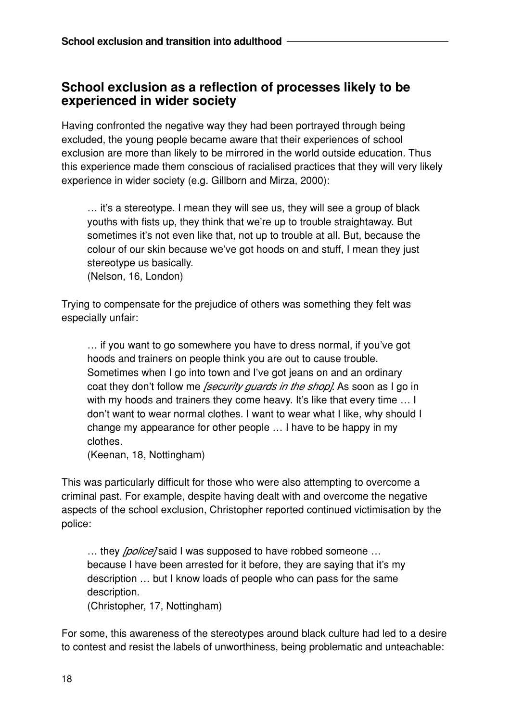## **School exclusion as a reflection of processes likely to be experienced in wider society**

Having confronted the negative way they had been portrayed through being excluded, the young people became aware that their experiences of school exclusion are more than likely to be mirrored in the world outside education. Thus this experience made them conscious of racialised practices that they will very likely experience in wider society (e.g. Gillborn and Mirza, 2000):

… it's a stereotype. I mean they will see us, they will see a group of black youths with fists up, they think that we're up to trouble straightaway. But sometimes it's not even like that, not up to trouble at all. But, because the colour of our skin because we've got hoods on and stuff, I mean they just stereotype us basically.

(Nelson, 16, London)

Trying to compensate for the prejudice of others was something they felt was especially unfair:

… if you want to go somewhere you have to dress normal, if you've got hoods and trainers on people think you are out to cause trouble. Sometimes when I go into town and I've got jeans on and an ordinary coat they don't follow me *[security quards in the shop]*. As soon as I go in with my hoods and trainers they come heavy. It's like that every time ... I don't want to wear normal clothes. I want to wear what I like, why should I change my appearance for other people … I have to be happy in my clothes.

(Keenan, 18, Nottingham)

This was particularly difficult for those who were also attempting to overcome a criminal past. For example, despite having dealt with and overcome the negative aspects of the school exclusion, Christopher reported continued victimisation by the police:

... they *[police]* said I was supposed to have robbed someone ... because I have been arrested for it before, they are saying that it's my description … but I know loads of people who can pass for the same description.

(Christopher, 17, Nottingham)

For some, this awareness of the stereotypes around black culture had led to a desire to contest and resist the labels of unworthiness, being problematic and unteachable: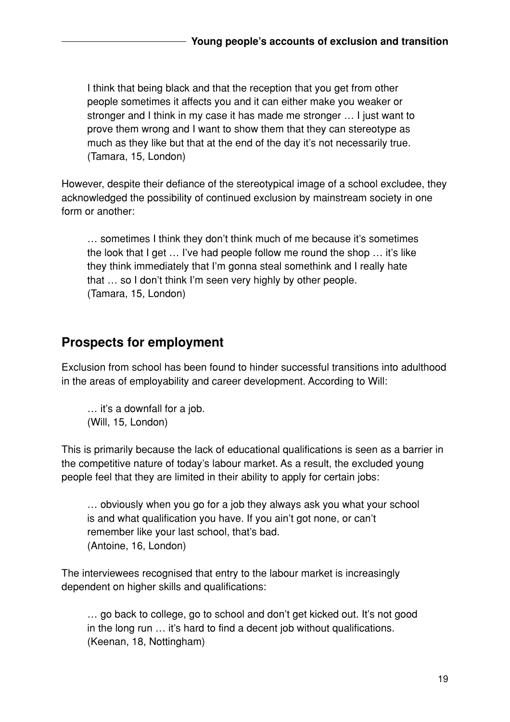I think that being black and that the reception that you get from other people sometimes it affects you and it can either make you weaker or stronger and I think in my case it has made me stronger … I just want to prove them wrong and I want to show them that they can stereotype as much as they like but that at the end of the day it's not necessarily true. (Tamara, 15, London)

However, despite their defiance of the stereotypical image of a school excludee, they acknowledged the possibility of continued exclusion by mainstream society in one form or another:

… sometimes I think they don't think much of me because it's sometimes the look that I get … I've had people follow me round the shop … it's like they think immediately that I'm gonna steal somethink and I really hate that … so I don't think I'm seen very highly by other people. (Tamara, 15, London)

## **Prospects for employment**

Exclusion from school has been found to hinder successful transitions into adulthood in the areas of employability and career development. According to Will:

… it's a downfall for a job. (Will, 15, London)

This is primarily because the lack of educational qualifications is seen as a barrier in the competitive nature of today's labour market. As a result, the excluded young people feel that they are limited in their ability to apply for certain jobs:

… obviously when you go for a job they always ask you what your school is and what qualification you have. If you ain't got none, or can't remember like your last school, that's bad. (Antoine, 16, London)

The interviewees recognised that entry to the labour market is increasingly dependent on higher skills and qualifications:

… go back to college, go to school and don't get kicked out. It's not good in the long run … it's hard to find a decent job without qualifications. (Keenan, 18, Nottingham)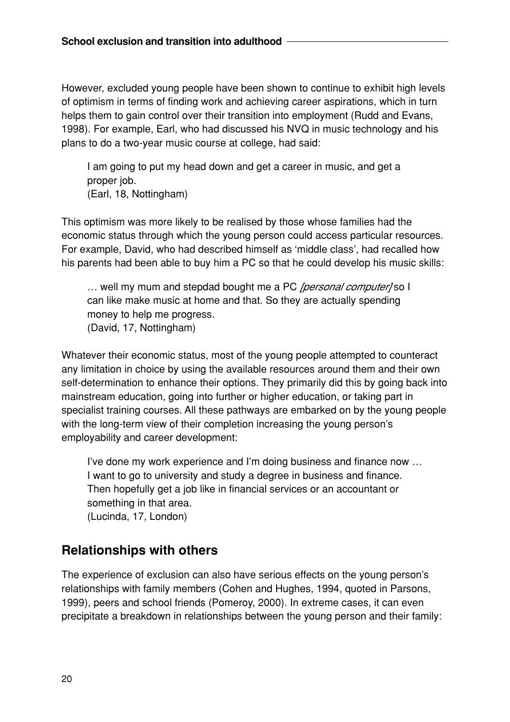However, excluded young people have been shown to continue to exhibit high levels of optimism in terms of finding work and achieving career aspirations, which in turn helps them to gain control over their transition into employment (Rudd and Evans, 1998). For example, Earl, who had discussed his NVQ in music technology and his plans to do a two-year music course at college, had said:

I am going to put my head down and get a career in music, and get a proper job. (Earl, 18, Nottingham)

This optimism was more likely to be realised by those whose families had the economic status through which the young person could access particular resources. For example, David, who had described himself as 'middle class', had recalled how his parents had been able to buy him a PC so that he could develop his music skills:

... well my mum and stepdad bought me a PC *[personal computer]* so I can like make music at home and that. So they are actually spending money to help me progress. (David, 17, Nottingham)

Whatever their economic status, most of the young people attempted to counteract any limitation in choice by using the available resources around them and their own self-determination to enhance their options. They primarily did this by going back into mainstream education, going into further or higher education, or taking part in specialist training courses. All these pathways are embarked on by the young people with the long-term view of their completion increasing the young person's employability and career development:

I've done my work experience and I'm doing business and finance now … I want to go to university and study a degree in business and finance. Then hopefully get a job like in financial services or an accountant or something in that area. (Lucinda, 17, London)

## **Relationships with others**

The experience of exclusion can also have serious effects on the young person's relationships with family members (Cohen and Hughes, 1994, quoted in Parsons, 1999), peers and school friends (Pomeroy, 2000). In extreme cases, it can even precipitate a breakdown in relationships between the young person and their family: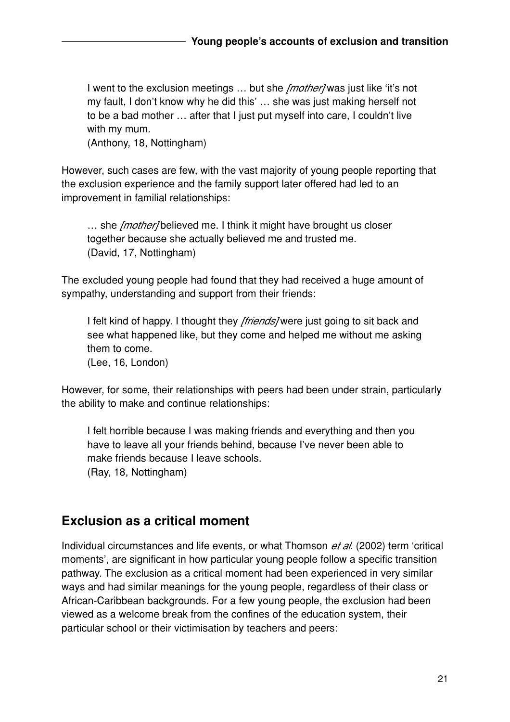I went to the exclusion meetings ... but she *[mother]* was just like 'it's not my fault, I don't know why he did this' … she was just making herself not to be a bad mother … after that I just put myself into care, I couldn't live with my mum.

(Anthony, 18, Nottingham)

However, such cases are few, with the vast majority of young people reporting that the exclusion experience and the family support later offered had led to an improvement in familial relationships:

... she [mother] believed me. I think it might have brought us closer together because she actually believed me and trusted me. (David, 17, Nottingham)

The excluded young people had found that they had received a huge amount of sympathy, understanding and support from their friends:

I felt kind of happy. I thought they *[friends]* were just going to sit back and see what happened like, but they come and helped me without me asking them to come. (Lee, 16, London)

However, for some, their relationships with peers had been under strain, particularly the ability to make and continue relationships:

I felt horrible because I was making friends and everything and then you have to leave all your friends behind, because I've never been able to make friends because I leave schools. (Ray, 18, Nottingham)

# **Exclusion as a critical moment**

Individual circumstances and life events, or what Thomson  $et$  a. (2002) term 'critical moments', are significant in how particular young people follow a specific transition pathway. The exclusion as a critical moment had been experienced in very similar ways and had similar meanings for the young people, regardless of their class or African-Caribbean backgrounds. For a few young people, the exclusion had been viewed as a welcome break from the confines of the education system, their particular school or their victimisation by teachers and peers: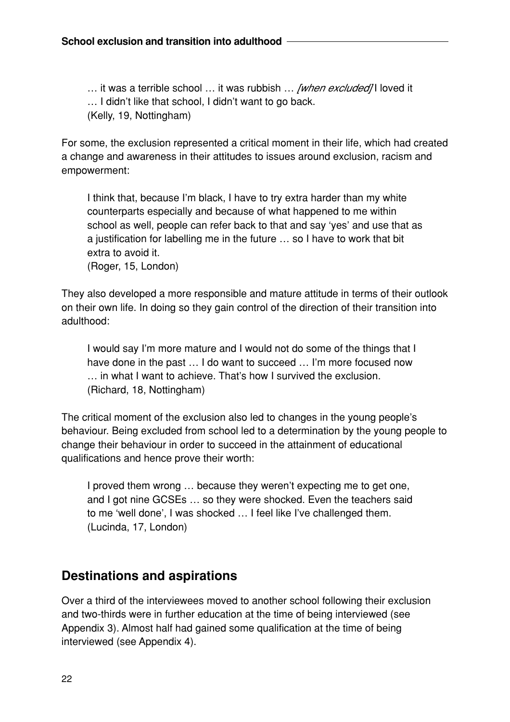... it was a terrible school ... it was rubbish ... *[when excluded*] loved it … I didn't like that school, I didn't want to go back. (Kelly, 19, Nottingham)

For some, the exclusion represented a critical moment in their life, which had created a change and awareness in their attitudes to issues around exclusion, racism and empowerment:

I think that, because I'm black, I have to try extra harder than my white counterparts especially and because of what happened to me within school as well, people can refer back to that and say 'yes' and use that as a justification for labelling me in the future … so I have to work that bit extra to avoid it.

(Roger, 15, London)

They also developed a more responsible and mature attitude in terms of their outlook on their own life. In doing so they gain control of the direction of their transition into adulthood:

I would say I'm more mature and I would not do some of the things that I have done in the past ... I do want to succeed ... I'm more focused now … in what I want to achieve. That's how I survived the exclusion. (Richard, 18, Nottingham)

The critical moment of the exclusion also led to changes in the young people's behaviour. Being excluded from school led to a determination by the young people to change their behaviour in order to succeed in the attainment of educational qualifications and hence prove their worth:

I proved them wrong … because they weren't expecting me to get one, and I got nine GCSEs … so they were shocked. Even the teachers said to me 'well done', I was shocked … I feel like I've challenged them. (Lucinda, 17, London)

## **Destinations and aspirations**

Over a third of the interviewees moved to another school following their exclusion and two-thirds were in further education at the time of being interviewed (see Appendix 3). Almost half had gained some qualification at the time of being interviewed (see Appendix 4).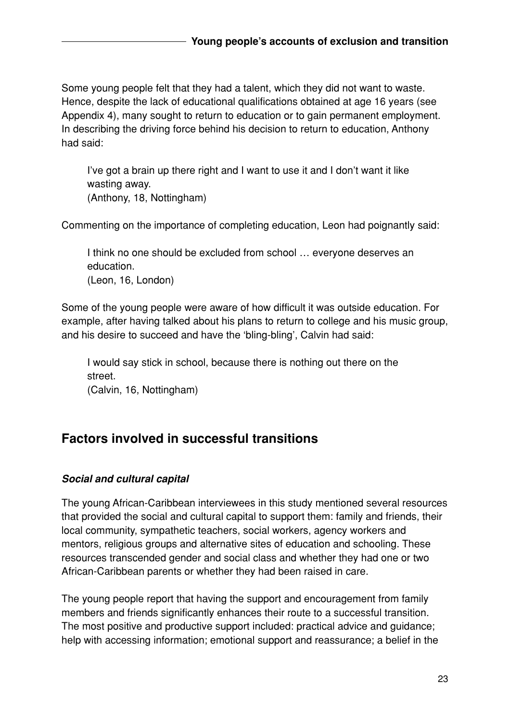Some young people felt that they had a talent, which they did not want to waste. Hence, despite the lack of educational qualifications obtained at age 16 years (see Appendix 4), many sought to return to education or to gain permanent employment. In describing the driving force behind his decision to return to education, Anthony had said:

I've got a brain up there right and I want to use it and I don't want it like wasting away. (Anthony, 18, Nottingham)

Commenting on the importance of completing education, Leon had poignantly said:

I think no one should be excluded from school … everyone deserves an education. (Leon, 16, London)

Some of the young people were aware of how difficult it was outside education. For example, after having talked about his plans to return to college and his music group, and his desire to succeed and have the 'bling-bling', Calvin had said:

I would say stick in school, because there is nothing out there on the street.

(Calvin, 16, Nottingham)

## **Factors involved in successful transitions**

#### **Social and cultural capital**

The young African-Caribbean interviewees in this study mentioned several resources that provided the social and cultural capital to support them: family and friends, their local community, sympathetic teachers, social workers, agency workers and mentors, religious groups and alternative sites of education and schooling. These resources transcended gender and social class and whether they had one or two African-Caribbean parents or whether they had been raised in care.

The young people report that having the support and encouragement from family members and friends significantly enhances their route to a successful transition. The most positive and productive support included: practical advice and guidance; help with accessing information; emotional support and reassurance; a belief in the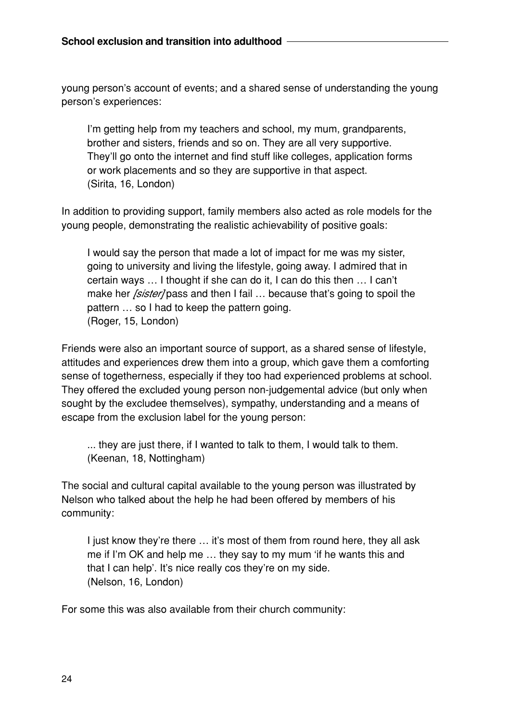young person's account of events; and a shared sense of understanding the young person's experiences:

I'm getting help from my teachers and school, my mum, grandparents, brother and sisters, friends and so on. They are all very supportive. They'll go onto the internet and find stuff like colleges, application forms or work placements and so they are supportive in that aspect. (Sirita, 16, London)

In addition to providing support, family members also acted as role models for the young people, demonstrating the realistic achievability of positive goals:

I would say the person that made a lot of impact for me was my sister, going to university and living the lifestyle, going away. I admired that in certain ways … I thought if she can do it, I can do this then … I can't make her *[sister]* pass and then I fail ... because that's going to spoil the pattern … so I had to keep the pattern going. (Roger, 15, London)

Friends were also an important source of support, as a shared sense of lifestyle, attitudes and experiences drew them into a group, which gave them a comforting sense of togetherness, especially if they too had experienced problems at school. They offered the excluded young person non-judgemental advice (but only when sought by the excludee themselves), sympathy, understanding and a means of escape from the exclusion label for the young person:

... they are just there, if I wanted to talk to them, I would talk to them. (Keenan, 18, Nottingham)

The social and cultural capital available to the young person was illustrated by Nelson who talked about the help he had been offered by members of his community:

I just know they're there ... it's most of them from round here, they all ask me if I'm OK and help me … they say to my mum 'if he wants this and that I can help'. It's nice really cos they're on my side. (Nelson, 16, London)

For some this was also available from their church community: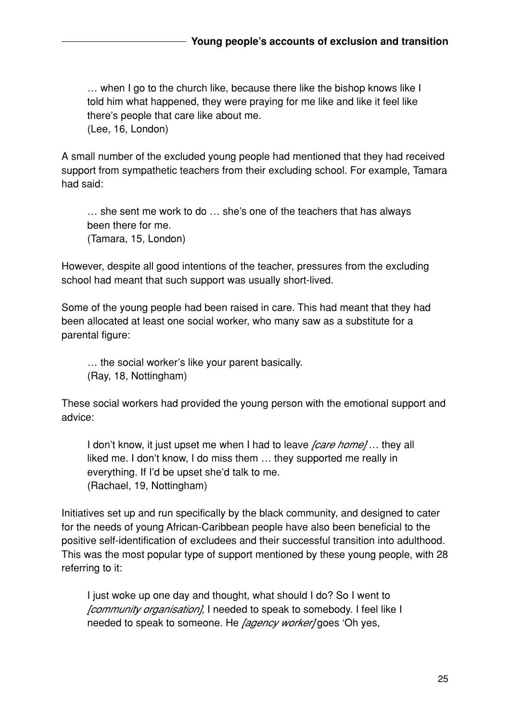… when I go to the church like, because there like the bishop knows like I told him what happened, they were praying for me like and like it feel like there's people that care like about me. (Lee, 16, London)

A small number of the excluded young people had mentioned that they had received support from sympathetic teachers from their excluding school. For example, Tamara had said:

… she sent me work to do … she's one of the teachers that has always been there for me. (Tamara, 15, London)

However, despite all good intentions of the teacher, pressures from the excluding school had meant that such support was usually short-lived.

Some of the young people had been raised in care. This had meant that they had been allocated at least one social worker, who many saw as a substitute for a parental figure:

… the social worker's like your parent basically. (Ray, 18, Nottingham)

These social workers had provided the young person with the emotional support and advice:

I don't know, it just upset me when I had to leave *[care home]* ... they all liked me. I don't know, I do miss them … they supported me really in everything. If I'd be upset she'd talk to me. (Rachael, 19, Nottingham)

Initiatives set up and run specifically by the black community, and designed to cater for the needs of young African-Caribbean people have also been beneficial to the positive self-identification of excludees and their successful transition into adulthood. This was the most popular type of support mentioned by these young people, with 28 referring to it:

I just woke up one day and thought, what should I do? So I went to *[community organisation]*, I needed to speak to somebody. I feel like I needed to speak to someone. He *[agency worker]* goes 'Oh yes,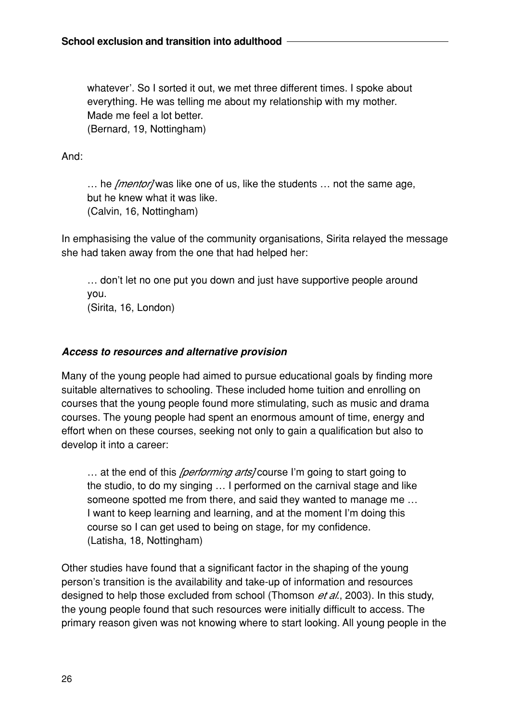whatever'. So I sorted it out, we met three different times. I spoke about everything. He was telling me about my relationship with my mother. Made me feel a lot better. (Bernard, 19, Nottingham)

And:

... he *[mentor]* was like one of us, like the students ... not the same age, but he knew what it was like. (Calvin, 16, Nottingham)

In emphasising the value of the community organisations, Sirita relayed the message she had taken away from the one that had helped her:

… don't let no one put you down and just have supportive people around you.

(Sirita, 16, London)

#### **Access to resources and alternative provision**

Many of the young people had aimed to pursue educational goals by finding more suitable alternatives to schooling. These included home tuition and enrolling on courses that the young people found more stimulating, such as music and drama courses. The young people had spent an enormous amount of time, energy and effort when on these courses, seeking not only to gain a qualification but also to develop it into a career:

... at the end of this *[performing arts]* course I'm going to start going to the studio, to do my singing … I performed on the carnival stage and like someone spotted me from there, and said they wanted to manage me … I want to keep learning and learning, and at the moment I'm doing this course so I can get used to being on stage, for my confidence. (Latisha, 18, Nottingham)

Other studies have found that a significant factor in the shaping of the young person's transition is the availability and take-up of information and resources designed to help those excluded from school (Thomson et al., 2003). In this study, the young people found that such resources were initially difficult to access. The primary reason given was not knowing where to start looking. All young people in the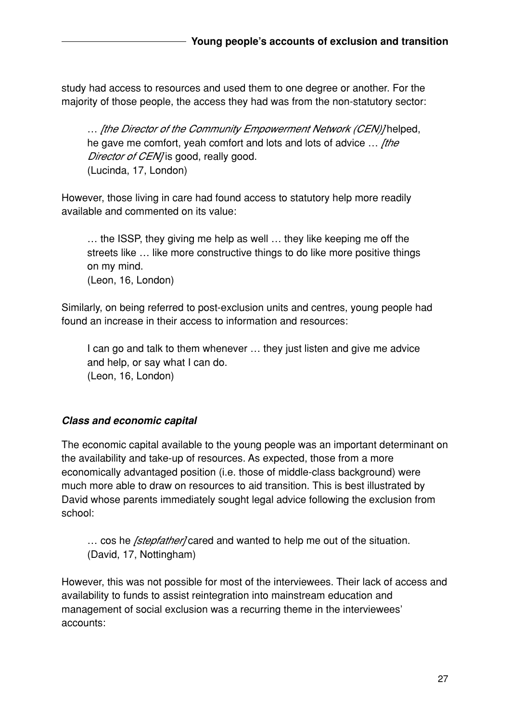study had access to resources and used them to one degree or another. For the majority of those people, the access they had was from the non-statutory sector:

... [the Director of the Community Empowerment Network (CEN)] helped, he gave me comfort, yeah comfort and lots and lots of advice ... *[the* Director of CEN/ is good, really good. (Lucinda, 17, London)

However, those living in care had found access to statutory help more readily available and commented on its value:

… the ISSP, they giving me help as well … they like keeping me off the streets like … like more constructive things to do like more positive things on my mind. (Leon, 16, London)

Similarly, on being referred to post-exclusion units and centres, young people had found an increase in their access to information and resources:

I can go and talk to them whenever … they just listen and give me advice and help, or say what I can do. (Leon, 16, London)

### **Class and economic capital**

The economic capital available to the young people was an important determinant on the availability and take-up of resources. As expected, those from a more economically advantaged position (i.e. those of middle-class background) were much more able to draw on resources to aid transition. This is best illustrated by David whose parents immediately sought legal advice following the exclusion from school:

... cos he *[stepfather]* cared and wanted to help me out of the situation. (David, 17, Nottingham)

However, this was not possible for most of the interviewees. Their lack of access and availability to funds to assist reintegration into mainstream education and management of social exclusion was a recurring theme in the interviewees' accounts: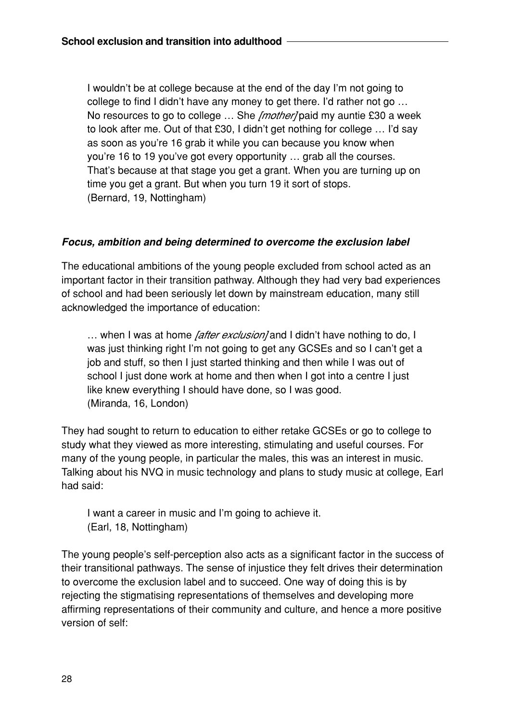I wouldn't be at college because at the end of the day I'm not going to college to find I didn't have any money to get there. I'd rather not go … No resources to go to college ... She *[mother]* paid my auntie £30 a week to look after me. Out of that £30, I didn't get nothing for college … I'd say as soon as you're 16 grab it while you can because you know when you're 16 to 19 you've got every opportunity … grab all the courses. That's because at that stage you get a grant. When you are turning up on time you get a grant. But when you turn 19 it sort of stops. (Bernard, 19, Nottingham)

#### **Focus, ambition and being determined to overcome the exclusion label**

The educational ambitions of the young people excluded from school acted as an important factor in their transition pathway. Although they had very bad experiences of school and had been seriously let down by mainstream education, many still acknowledged the importance of education:

... when I was at home *[after exclusion]* and I didn't have nothing to do, I was just thinking right I'm not going to get any GCSEs and so I can't get a job and stuff, so then I just started thinking and then while I was out of school I just done work at home and then when I got into a centre I just like knew everything I should have done, so I was good. (Miranda, 16, London)

They had sought to return to education to either retake GCSEs or go to college to study what they viewed as more interesting, stimulating and useful courses. For many of the young people, in particular the males, this was an interest in music. Talking about his NVQ in music technology and plans to study music at college, Earl had said:

I want a career in music and I'm going to achieve it. (Earl, 18, Nottingham)

The young people's self-perception also acts as a significant factor in the success of their transitional pathways. The sense of injustice they felt drives their determination to overcome the exclusion label and to succeed. One way of doing this is by rejecting the stigmatising representations of themselves and developing more affirming representations of their community and culture, and hence a more positive version of self: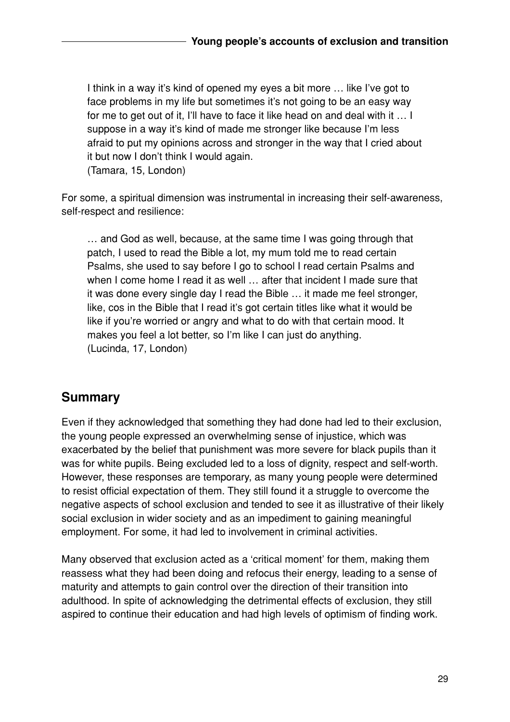I think in a way it's kind of opened my eyes a bit more … like I've got to face problems in my life but sometimes it's not going to be an easy way for me to get out of it, I'll have to face it like head on and deal with it … I suppose in a way it's kind of made me stronger like because I'm less afraid to put my opinions across and stronger in the way that I cried about it but now I don't think I would again.

(Tamara, 15, London)

For some, a spiritual dimension was instrumental in increasing their self-awareness, self-respect and resilience:

… and God as well, because, at the same time I was going through that patch, I used to read the Bible a lot, my mum told me to read certain Psalms, she used to say before I go to school I read certain Psalms and when I come home I read it as well … after that incident I made sure that it was done every single day I read the Bible … it made me feel stronger, like, cos in the Bible that I read it's got certain titles like what it would be like if you're worried or angry and what to do with that certain mood. It makes you feel a lot better, so I'm like I can just do anything. (Lucinda, 17, London)

## **Summary**

Even if they acknowledged that something they had done had led to their exclusion, the young people expressed an overwhelming sense of injustice, which was exacerbated by the belief that punishment was more severe for black pupils than it was for white pupils. Being excluded led to a loss of dignity, respect and self-worth. However, these responses are temporary, as many young people were determined to resist official expectation of them. They still found it a struggle to overcome the negative aspects of school exclusion and tended to see it as illustrative of their likely social exclusion in wider society and as an impediment to gaining meaningful employment. For some, it had led to involvement in criminal activities.

Many observed that exclusion acted as a 'critical moment' for them, making them reassess what they had been doing and refocus their energy, leading to a sense of maturity and attempts to gain control over the direction of their transition into adulthood. In spite of acknowledging the detrimental effects of exclusion, they still aspired to continue their education and had high levels of optimism of finding work.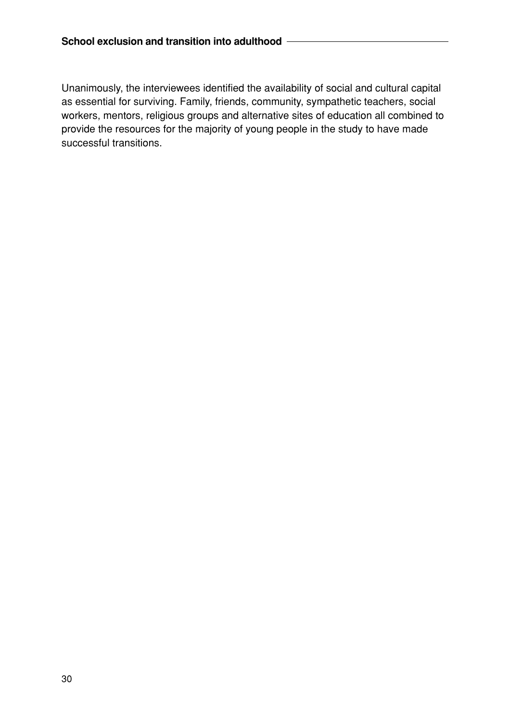Unanimously, the interviewees identified the availability of social and cultural capital as essential for surviving. Family, friends, community, sympathetic teachers, social workers, mentors, religious groups and alternative sites of education all combined to provide the resources for the majority of young people in the study to have made successful transitions.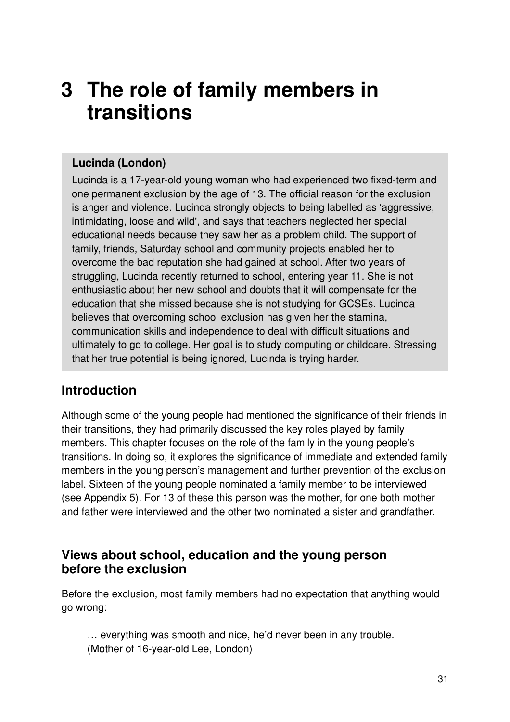# **3 The role of family members in transitions**

### **Lucinda (London)**

Lucinda is a 17-year-old young woman who had experienced two fixed-term and one permanent exclusion by the age of 13. The official reason for the exclusion is anger and violence. Lucinda strongly objects to being labelled as 'aggressive, intimidating, loose and wild', and says that teachers neglected her special educational needs because they saw her as a problem child. The support of family, friends, Saturday school and community projects enabled her to overcome the bad reputation she had gained at school. After two years of struggling, Lucinda recently returned to school, entering year 11. She is not enthusiastic about her new school and doubts that it will compensate for the education that she missed because she is not studying for GCSEs. Lucinda believes that overcoming school exclusion has given her the stamina, communication skills and independence to deal with difficult situations and ultimately to go to college. Her goal is to study computing or childcare. Stressing that her true potential is being ignored, Lucinda is trying harder.

## **Introduction**

Although some of the young people had mentioned the significance of their friends in their transitions, they had primarily discussed the key roles played by family members. This chapter focuses on the role of the family in the young people's transitions. In doing so, it explores the significance of immediate and extended family members in the young person's management and further prevention of the exclusion label. Sixteen of the young people nominated a family member to be interviewed (see Appendix 5). For 13 of these this person was the mother, for one both mother and father were interviewed and the other two nominated a sister and grandfather.

### **Views about school, education and the young person before the exclusion**

Before the exclusion, most family members had no expectation that anything would go wrong:

… everything was smooth and nice, he'd never been in any trouble. (Mother of 16-year-old Lee, London)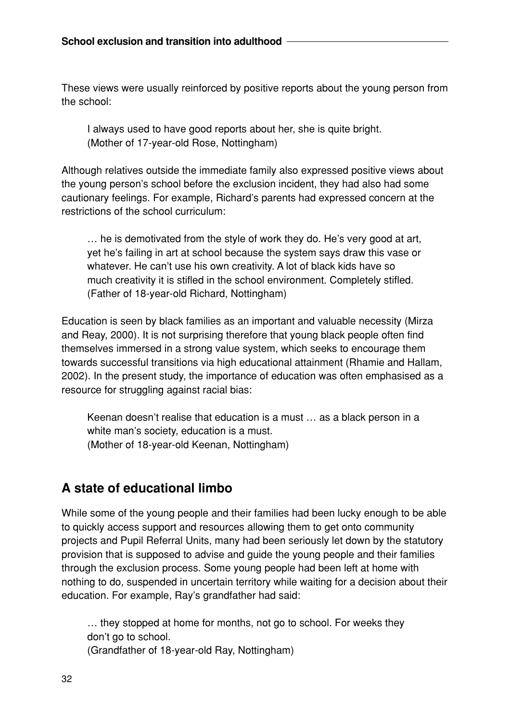These views were usually reinforced by positive reports about the young person from the school:

I always used to have good reports about her, she is quite bright. (Mother of 17-year-old Rose, Nottingham)

Although relatives outside the immediate family also expressed positive views about the young person's school before the exclusion incident, they had also had some cautionary feelings. For example, Richard's parents had expressed concern at the restrictions of the school curriculum:

… he is demotivated from the style of work they do. He's very good at art, yet he's failing in art at school because the system says draw this vase or whatever. He can't use his own creativity. A lot of black kids have so much creativity it is stifled in the school environment. Completely stifled. (Father of 18-year-old Richard, Nottingham)

Education is seen by black families as an important and valuable necessity (Mirza and Reay, 2000). It is not surprising therefore that young black people often find themselves immersed in a strong value system, which seeks to encourage them towards successful transitions via high educational attainment (Rhamie and Hallam, 2002). In the present study, the importance of education was often emphasised as a resource for struggling against racial bias:

Keenan doesn't realise that education is a must … as a black person in a white man's society, education is a must. (Mother of 18-year-old Keenan, Nottingham)

# **A state of educational limbo**

While some of the young people and their families had been lucky enough to be able to quickly access support and resources allowing them to get onto community projects and Pupil Referral Units, many had been seriously let down by the statutory provision that is supposed to advise and guide the young people and their families through the exclusion process. Some young people had been left at home with nothing to do, suspended in uncertain territory while waiting for a decision about their education. For example, Ray's grandfather had said:

… they stopped at home for months, not go to school. For weeks they don't go to school. (Grandfather of 18-year-old Ray, Nottingham)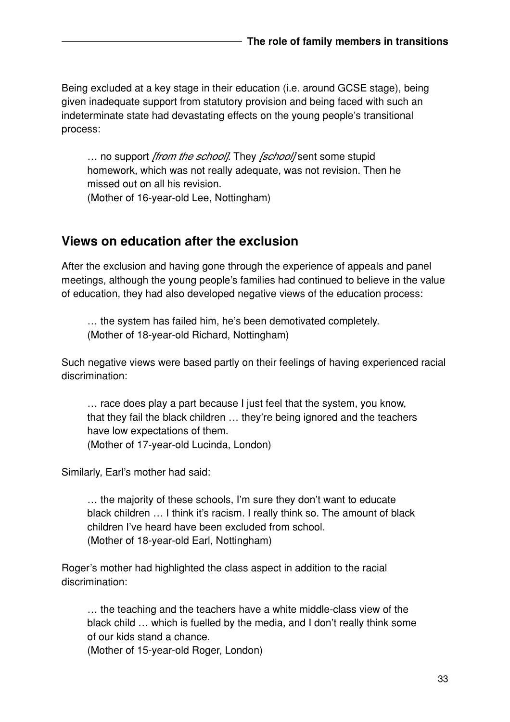Being excluded at a key stage in their education (i.e. around GCSE stage), being given inadequate support from statutory provision and being faced with such an indeterminate state had devastating effects on the young people's transitional process:

... no support *from the school*! They *[school]* sent some stupid homework, which was not really adequate, was not revision. Then he missed out on all his revision. (Mother of 16-year-old Lee, Nottingham)

## **Views on education after the exclusion**

After the exclusion and having gone through the experience of appeals and panel meetings, although the young people's families had continued to believe in the value of education, they had also developed negative views of the education process:

… the system has failed him, he's been demotivated completely. (Mother of 18-year-old Richard, Nottingham)

Such negative views were based partly on their feelings of having experienced racial discrimination:

… race does play a part because I just feel that the system, you know, that they fail the black children … they're being ignored and the teachers have low expectations of them. (Mother of 17-year-old Lucinda, London)

Similarly, Earl's mother had said:

… the majority of these schools, I'm sure they don't want to educate black children … I think it's racism. I really think so. The amount of black children I've heard have been excluded from school. (Mother of 18-year-old Earl, Nottingham)

Roger's mother had highlighted the class aspect in addition to the racial discrimination:

… the teaching and the teachers have a white middle-class view of the black child … which is fuelled by the media, and I don't really think some of our kids stand a chance.

(Mother of 15-year-old Roger, London)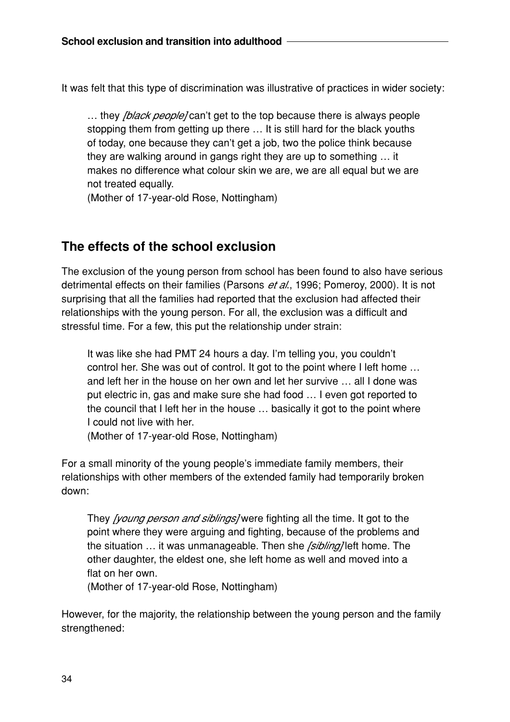It was felt that this type of discrimination was illustrative of practices in wider society:

... they *[black people]* can't get to the top because there is always people stopping them from getting up there … It is still hard for the black youths of today, one because they can't get a job, two the police think because they are walking around in gangs right they are up to something … it makes no difference what colour skin we are, we are all equal but we are not treated equally.

(Mother of 17-year-old Rose, Nottingham)

# **The effects of the school exclusion**

The exclusion of the young person from school has been found to also have serious detrimental effects on their families (Parsons et al., 1996; Pomeroy, 2000). It is not surprising that all the families had reported that the exclusion had affected their relationships with the young person. For all, the exclusion was a difficult and stressful time. For a few, this put the relationship under strain:

It was like she had PMT 24 hours a day. I'm telling you, you couldn't control her. She was out of control. It got to the point where I left home … and left her in the house on her own and let her survive … all I done was put electric in, gas and make sure she had food … I even got reported to the council that I left her in the house … basically it got to the point where I could not live with her.

(Mother of 17-year-old Rose, Nottingham)

For a small minority of the young people's immediate family members, their relationships with other members of the extended family had temporarily broken down:

They *[young person and siblings]* were fighting all the time. It got to the point where they were arguing and fighting, because of the problems and the situation ... it was unmanageable. Then she *[sibling]* left home. The other daughter, the eldest one, she left home as well and moved into a flat on her own.

(Mother of 17-year-old Rose, Nottingham)

However, for the majority, the relationship between the young person and the family strengthened: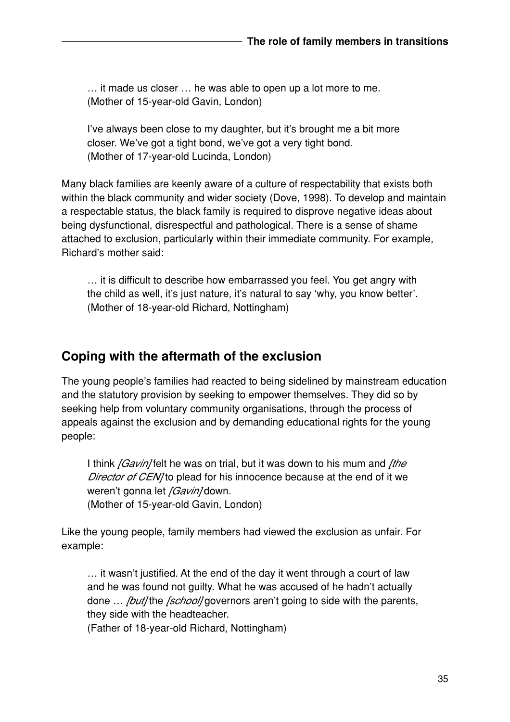… it made us closer … he was able to open up a lot more to me. (Mother of 15-year-old Gavin, London)

I've always been close to my daughter, but it's brought me a bit more closer. We've got a tight bond, we've got a very tight bond. (Mother of 17-year-old Lucinda, London)

Many black families are keenly aware of a culture of respectability that exists both within the black community and wider society (Dove, 1998). To develop and maintain a respectable status, the black family is required to disprove negative ideas about being dysfunctional, disrespectful and pathological. There is a sense of shame attached to exclusion, particularly within their immediate community. For example, Richard's mother said:

… it is difficult to describe how embarrassed you feel. You get angry with the child as well, it's just nature, it's natural to say 'why, you know better'. (Mother of 18-year-old Richard, Nottingham)

## **Coping with the aftermath of the exclusion**

The young people's families had reacted to being sidelined by mainstream education and the statutory provision by seeking to empower themselves. They did so by seeking help from voluntary community organisations, through the process of appeals against the exclusion and by demanding educational rights for the young people:

I think *[Gavin]* felt he was on trial, but it was down to his mum and *[the* Director of CEN/to plead for his innocence because at the end of it we weren't gonna let [Gavin] down.

(Mother of 15-year-old Gavin, London)

Like the young people, family members had viewed the exclusion as unfair. For example:

… it wasn't justified. At the end of the day it went through a court of law and he was found not guilty. What he was accused of he hadn't actually done ... *[but]* the *[school]* governors aren't going to side with the parents, they side with the headteacher.

(Father of 18-year-old Richard, Nottingham)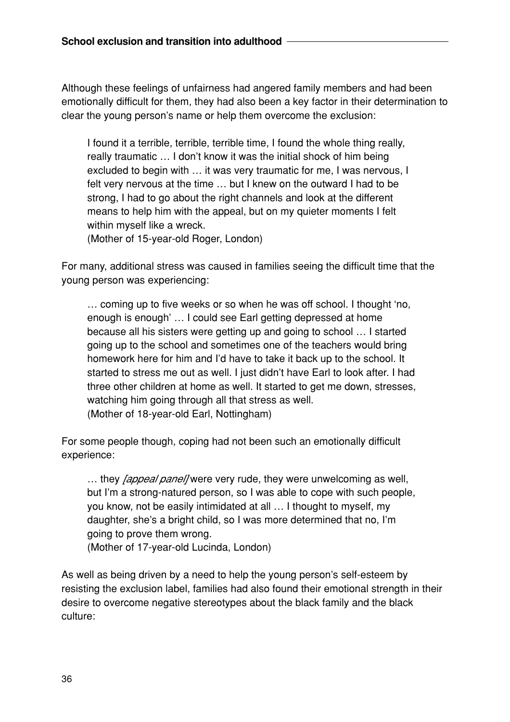Although these feelings of unfairness had angered family members and had been emotionally difficult for them, they had also been a key factor in their determination to clear the young person's name or help them overcome the exclusion:

I found it a terrible, terrible, terrible time, I found the whole thing really, really traumatic … I don't know it was the initial shock of him being excluded to begin with … it was very traumatic for me, I was nervous, I felt very nervous at the time … but I knew on the outward I had to be strong, I had to go about the right channels and look at the different means to help him with the appeal, but on my quieter moments I felt within myself like a wreck.

(Mother of 15-year-old Roger, London)

For many, additional stress was caused in families seeing the difficult time that the young person was experiencing:

… coming up to five weeks or so when he was off school. I thought 'no, enough is enough' … I could see Earl getting depressed at home because all his sisters were getting up and going to school … I started going up to the school and sometimes one of the teachers would bring homework here for him and I'd have to take it back up to the school. It started to stress me out as well. I just didn't have Earl to look after. I had three other children at home as well. It started to get me down, stresses, watching him going through all that stress as well. (Mother of 18-year-old Earl, Nottingham)

For some people though, coping had not been such an emotionally difficult experience:

... they *[appeal panel]* were very rude, they were unwelcoming as well, but I'm a strong-natured person, so I was able to cope with such people, you know, not be easily intimidated at all … I thought to myself, my daughter, she's a bright child, so I was more determined that no, I'm going to prove them wrong.

(Mother of 17-year-old Lucinda, London)

As well as being driven by a need to help the young person's self-esteem by resisting the exclusion label, families had also found their emotional strength in their desire to overcome negative stereotypes about the black family and the black culture: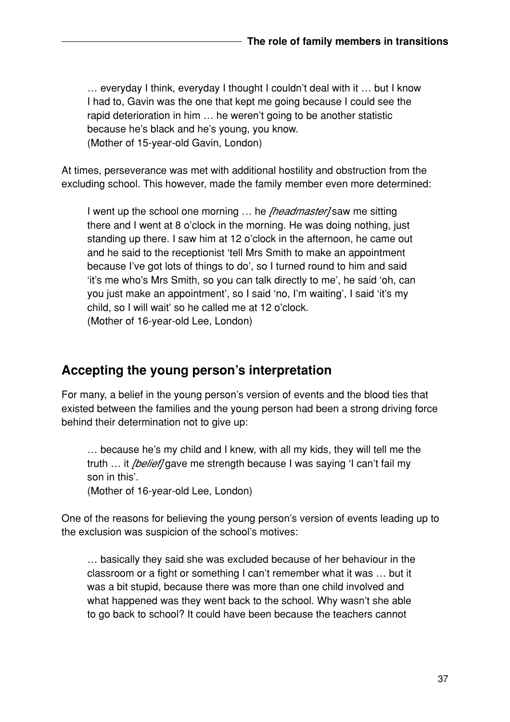… everyday I think, everyday I thought I couldn't deal with it … but I know I had to, Gavin was the one that kept me going because I could see the rapid deterioration in him … he weren't going to be another statistic because he's black and he's young, you know. (Mother of 15-year-old Gavin, London)

At times, perseverance was met with additional hostility and obstruction from the excluding school. This however, made the family member even more determined:

I went up the school one morning ... he *[headmaster]* saw me sitting there and I went at 8 o'clock in the morning. He was doing nothing, just standing up there. I saw him at 12 o'clock in the afternoon, he came out and he said to the receptionist 'tell Mrs Smith to make an appointment because I've got lots of things to do', so I turned round to him and said 'it's me who's Mrs Smith, so you can talk directly to me', he said 'oh, can you just make an appointment', so I said 'no, I'm waiting', I said 'it's my child, so I will wait' so he called me at 12 o'clock. (Mother of 16-year-old Lee, London)

## **Accepting the young person's interpretation**

For many, a belief in the young person's version of events and the blood ties that existed between the families and the young person had been a strong driving force behind their determination not to give up:

… because he's my child and I knew, with all my kids, they will tell me the truth ... it *[belief]* gave me strength because I was saying 'I can't fail my son in this'.

(Mother of 16-year-old Lee, London)

One of the reasons for believing the young person's version of events leading up to the exclusion was suspicion of the school's motives:

… basically they said she was excluded because of her behaviour in the classroom or a fight or something I can't remember what it was … but it was a bit stupid, because there was more than one child involved and what happened was they went back to the school. Why wasn't she able to go back to school? It could have been because the teachers cannot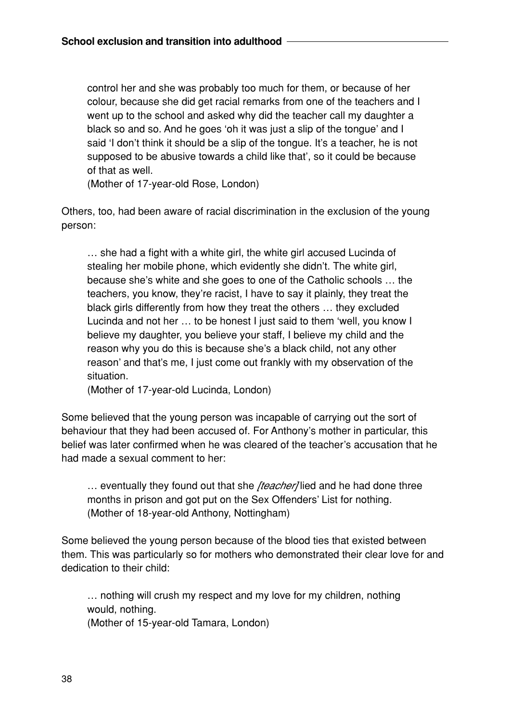control her and she was probably too much for them, or because of her colour, because she did get racial remarks from one of the teachers and I went up to the school and asked why did the teacher call my daughter a black so and so. And he goes 'oh it was just a slip of the tongue' and I said 'I don't think it should be a slip of the tongue. It's a teacher, he is not supposed to be abusive towards a child like that', so it could be because of that as well.

(Mother of 17-year-old Rose, London)

Others, too, had been aware of racial discrimination in the exclusion of the young person:

… she had a fight with a white girl, the white girl accused Lucinda of stealing her mobile phone, which evidently she didn't. The white girl, because she's white and she goes to one of the Catholic schools … the teachers, you know, they're racist, I have to say it plainly, they treat the black girls differently from how they treat the others … they excluded Lucinda and not her … to be honest I just said to them 'well, you know I believe my daughter, you believe your staff, I believe my child and the reason why you do this is because she's a black child, not any other reason' and that's me, I just come out frankly with my observation of the situation.

(Mother of 17-year-old Lucinda, London)

Some believed that the young person was incapable of carrying out the sort of behaviour that they had been accused of. For Anthony's mother in particular, this belief was later confirmed when he was cleared of the teacher's accusation that he had made a sexual comment to her:

... eventually they found out that she *[teacher]* lied and he had done three months in prison and got put on the Sex Offenders' List for nothing. (Mother of 18-year-old Anthony, Nottingham)

Some believed the young person because of the blood ties that existed between them. This was particularly so for mothers who demonstrated their clear love for and dedication to their child:

… nothing will crush my respect and my love for my children, nothing would, nothing.

(Mother of 15-year-old Tamara, London)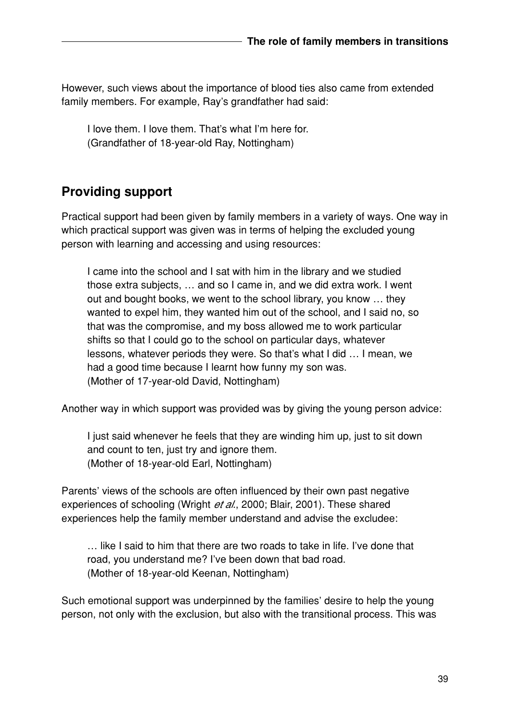However, such views about the importance of blood ties also came from extended family members. For example, Ray's grandfather had said:

I love them. I love them. That's what I'm here for. (Grandfather of 18-year-old Ray, Nottingham)

# **Providing support**

Practical support had been given by family members in a variety of ways. One way in which practical support was given was in terms of helping the excluded young person with learning and accessing and using resources:

I came into the school and I sat with him in the library and we studied those extra subjects, … and so I came in, and we did extra work. I went out and bought books, we went to the school library, you know … they wanted to expel him, they wanted him out of the school, and I said no, so that was the compromise, and my boss allowed me to work particular shifts so that I could go to the school on particular days, whatever lessons, whatever periods they were. So that's what I did … I mean, we had a good time because I learnt how funny my son was. (Mother of 17-year-old David, Nottingham)

Another way in which support was provided was by giving the young person advice:

I just said whenever he feels that they are winding him up, just to sit down and count to ten, just try and ignore them. (Mother of 18-year-old Earl, Nottingham)

Parents' views of the schools are often influenced by their own past negative experiences of schooling (Wright et al., 2000; Blair, 2001). These shared experiences help the family member understand and advise the excludee:

… like I said to him that there are two roads to take in life. I've done that road, you understand me? I've been down that bad road. (Mother of 18-year-old Keenan, Nottingham)

Such emotional support was underpinned by the families' desire to help the young person, not only with the exclusion, but also with the transitional process. This was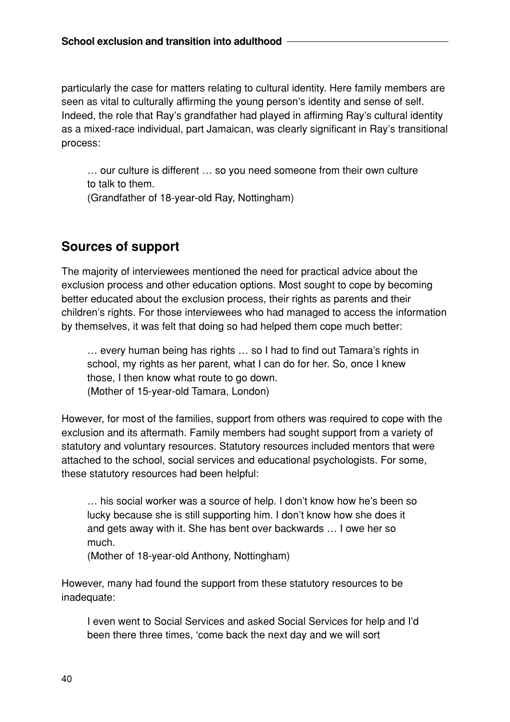particularly the case for matters relating to cultural identity. Here family members are seen as vital to culturally affirming the young person's identity and sense of self. Indeed, the role that Ray's grandfather had played in affirming Ray's cultural identity as a mixed-race individual, part Jamaican, was clearly significant in Ray's transitional process:

… our culture is different … so you need someone from their own culture to talk to them.

(Grandfather of 18-year-old Ray, Nottingham)

# **Sources of support**

The majority of interviewees mentioned the need for practical advice about the exclusion process and other education options. Most sought to cope by becoming better educated about the exclusion process, their rights as parents and their children's rights. For those interviewees who had managed to access the information by themselves, it was felt that doing so had helped them cope much better:

… every human being has rights … so I had to find out Tamara's rights in school, my rights as her parent, what I can do for her. So, once I knew those, I then know what route to go down. (Mother of 15-year-old Tamara, London)

However, for most of the families, support from others was required to cope with the exclusion and its aftermath. Family members had sought support from a variety of statutory and voluntary resources. Statutory resources included mentors that were attached to the school, social services and educational psychologists. For some, these statutory resources had been helpful:

… his social worker was a source of help. I don't know how he's been so lucky because she is still supporting him. I don't know how she does it and gets away with it. She has bent over backwards … I owe her so much.

(Mother of 18-year-old Anthony, Nottingham)

However, many had found the support from these statutory resources to be inadequate:

I even went to Social Services and asked Social Services for help and I'd been there three times, 'come back the next day and we will sort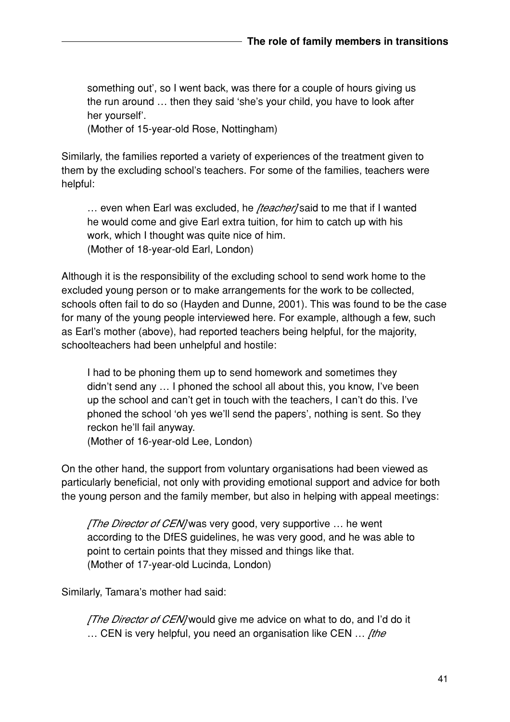something out', so I went back, was there for a couple of hours giving us the run around … then they said 'she's your child, you have to look after her yourself'.

(Mother of 15-year-old Rose, Nottingham)

Similarly, the families reported a variety of experiences of the treatment given to them by the excluding school's teachers. For some of the families, teachers were helpful:

... even when Earl was excluded, he *[teacher]* said to me that if I wanted he would come and give Earl extra tuition, for him to catch up with his work, which I thought was quite nice of him. (Mother of 18-year-old Earl, London)

Although it is the responsibility of the excluding school to send work home to the excluded young person or to make arrangements for the work to be collected, schools often fail to do so (Hayden and Dunne, 2001). This was found to be the case for many of the young people interviewed here. For example, although a few, such as Earl's mother (above), had reported teachers being helpful, for the majority, schoolteachers had been unhelpful and hostile:

I had to be phoning them up to send homework and sometimes they didn't send any … I phoned the school all about this, you know, I've been up the school and can't get in touch with the teachers, I can't do this. I've phoned the school 'oh yes we'll send the papers', nothing is sent. So they reckon he'll fail anyway.

(Mother of 16-year-old Lee, London)

On the other hand, the support from voluntary organisations had been viewed as particularly beneficial, not only with providing emotional support and advice for both the young person and the family member, but also in helping with appeal meetings:

(The Director of CEN/was very good, very supportive ... he went according to the DfES guidelines, he was very good, and he was able to point to certain points that they missed and things like that. (Mother of 17-year-old Lucinda, London)

Similarly, Tamara's mother had said:

[The Director of CEN] would give me advice on what to do, and I'd do it  $\ldots$  CEN is very helpful, you need an organisation like CEN  $\ldots$  *[the*]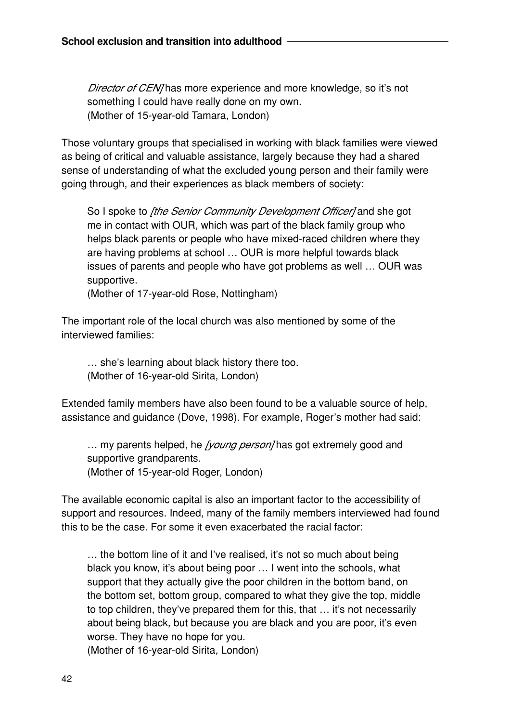Director of CEN/has more experience and more knowledge, so it's not something I could have really done on my own. (Mother of 15-year-old Tamara, London)

Those voluntary groups that specialised in working with black families were viewed as being of critical and valuable assistance, largely because they had a shared sense of understanding of what the excluded young person and their family were going through, and their experiences as black members of society:

So I spoke to *[the Senior Community Development Officer]* and she got me in contact with OUR, which was part of the black family group who helps black parents or people who have mixed-raced children where they are having problems at school … OUR is more helpful towards black issues of parents and people who have got problems as well … OUR was supportive.

(Mother of 17-year-old Rose, Nottingham)

The important role of the local church was also mentioned by some of the interviewed families:

… she's learning about black history there too. (Mother of 16-year-old Sirita, London)

Extended family members have also been found to be a valuable source of help, assistance and guidance (Dove, 1998). For example, Roger's mother had said:

... my parents helped, he *[young person]* has got extremely good and supportive grandparents. (Mother of 15-year-old Roger, London)

The available economic capital is also an important factor to the accessibility of support and resources. Indeed, many of the family members interviewed had found this to be the case. For some it even exacerbated the racial factor:

… the bottom line of it and I've realised, it's not so much about being black you know, it's about being poor … I went into the schools, what support that they actually give the poor children in the bottom band, on the bottom set, bottom group, compared to what they give the top, middle to top children, they've prepared them for this, that … it's not necessarily about being black, but because you are black and you are poor, it's even worse. They have no hope for you.

(Mother of 16-year-old Sirita, London)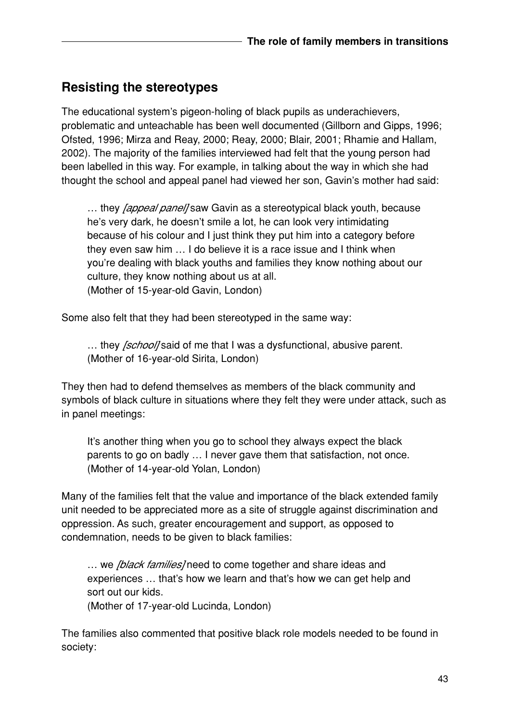# **Resisting the stereotypes**

The educational system's pigeon-holing of black pupils as underachievers, problematic and unteachable has been well documented (Gillborn and Gipps, 1996; Ofsted, 1996; Mirza and Reay, 2000; Reay, 2000; Blair, 2001; Rhamie and Hallam, 2002). The majority of the families interviewed had felt that the young person had been labelled in this way. For example, in talking about the way in which she had thought the school and appeal panel had viewed her son, Gavin's mother had said:

... they *[appeal panel]* saw Gavin as a stereotypical black youth, because he's very dark, he doesn't smile a lot, he can look very intimidating because of his colour and I just think they put him into a category before they even saw him … I do believe it is a race issue and I think when you're dealing with black youths and families they know nothing about our culture, they know nothing about us at all. (Mother of 15-year-old Gavin, London)

Some also felt that they had been stereotyped in the same way:

... they [school] said of me that I was a dysfunctional, abusive parent. (Mother of 16-year-old Sirita, London)

They then had to defend themselves as members of the black community and symbols of black culture in situations where they felt they were under attack, such as in panel meetings:

It's another thing when you go to school they always expect the black parents to go on badly … I never gave them that satisfaction, not once. (Mother of 14-year-old Yolan, London)

Many of the families felt that the value and importance of the black extended family unit needed to be appreciated more as a site of struggle against discrimination and oppression. As such, greater encouragement and support, as opposed to condemnation, needs to be given to black families:

... we *[black families]* need to come together and share ideas and experiences … that's how we learn and that's how we can get help and sort out our kids.

(Mother of 17-year-old Lucinda, London)

The families also commented that positive black role models needed to be found in society: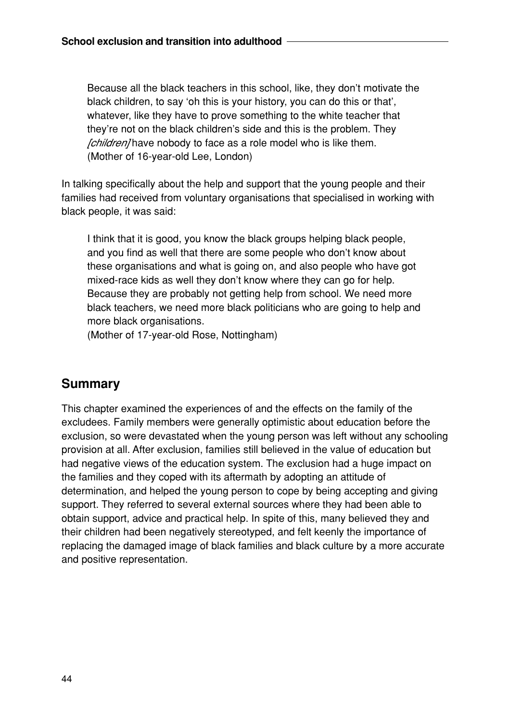Because all the black teachers in this school, like, they don't motivate the black children, to say 'oh this is your history, you can do this or that', whatever, like they have to prove something to the white teacher that they're not on the black children's side and this is the problem. They [children] have nobody to face as a role model who is like them. (Mother of 16-year-old Lee, London)

In talking specifically about the help and support that the young people and their families had received from voluntary organisations that specialised in working with black people, it was said:

I think that it is good, you know the black groups helping black people, and you find as well that there are some people who don't know about these organisations and what is going on, and also people who have got mixed-race kids as well they don't know where they can go for help. Because they are probably not getting help from school. We need more black teachers, we need more black politicians who are going to help and more black organisations.

(Mother of 17-year-old Rose, Nottingham)

## **Summary**

This chapter examined the experiences of and the effects on the family of the excludees. Family members were generally optimistic about education before the exclusion, so were devastated when the young person was left without any schooling provision at all. After exclusion, families still believed in the value of education but had negative views of the education system. The exclusion had a huge impact on the families and they coped with its aftermath by adopting an attitude of determination, and helped the young person to cope by being accepting and giving support. They referred to several external sources where they had been able to obtain support, advice and practical help. In spite of this, many believed they and their children had been negatively stereotyped, and felt keenly the importance of replacing the damaged image of black families and black culture by a more accurate and positive representation.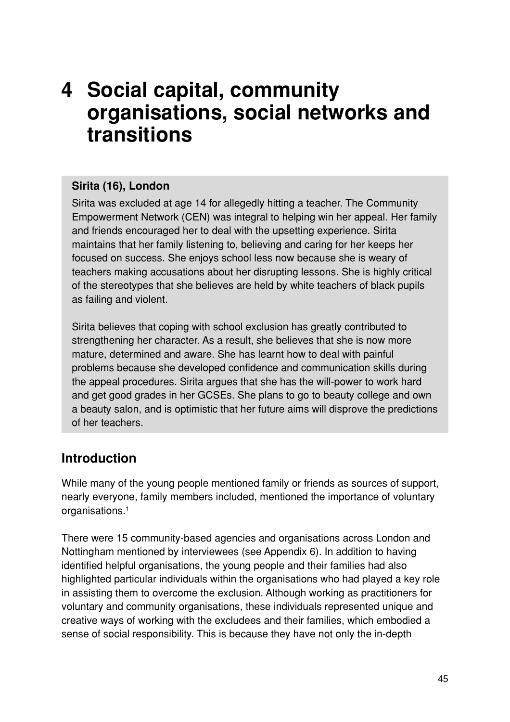# **4 Social capital, community organisations, social networks and transitions**

### **Sirita (16), London**

Sirita was excluded at age 14 for allegedly hitting a teacher. The Community Empowerment Network (CEN) was integral to helping win her appeal. Her family and friends encouraged her to deal with the upsetting experience. Sirita maintains that her family listening to, believing and caring for her keeps her focused on success. She enjoys school less now because she is weary of teachers making accusations about her disrupting lessons. She is highly critical of the stereotypes that she believes are held by white teachers of black pupils as failing and violent.

Sirita believes that coping with school exclusion has greatly contributed to strengthening her character. As a result, she believes that she is now more mature, determined and aware. She has learnt how to deal with painful problems because she developed confidence and communication skills during the appeal procedures. Sirita argues that she has the will-power to work hard and get good grades in her GCSEs. She plans to go to beauty college and own a beauty salon, and is optimistic that her future aims will disprove the predictions of her teachers.

## **Introduction**

While many of the young people mentioned family or friends as sources of support, nearly everyone, family members included, mentioned the importance of voluntary organisations.<sup>1</sup>

There were 15 community-based agencies and organisations across London and Nottingham mentioned by interviewees (see Appendix 6). In addition to having identified helpful organisations, the young people and their families had also highlighted particular individuals within the organisations who had played a key role in assisting them to overcome the exclusion. Although working as practitioners for voluntary and community organisations, these individuals represented unique and creative ways of working with the excludees and their families, which embodied a sense of social responsibility. This is because they have not only the in-depth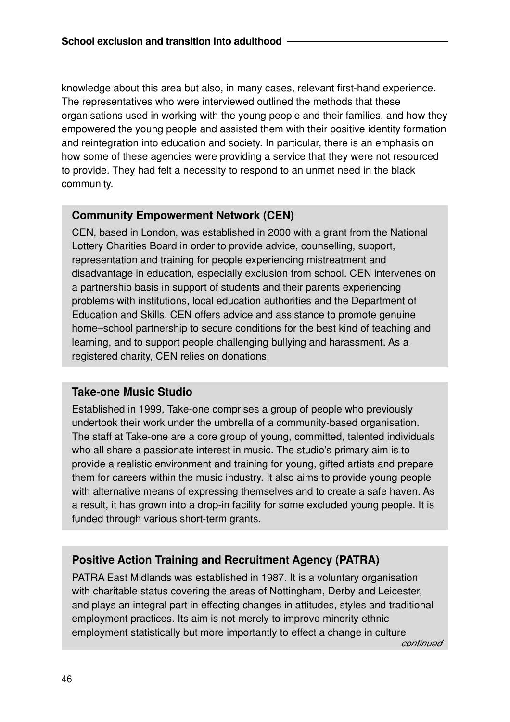knowledge about this area but also, in many cases, relevant first-hand experience. The representatives who were interviewed outlined the methods that these organisations used in working with the young people and their families, and how they empowered the young people and assisted them with their positive identity formation and reintegration into education and society. In particular, there is an emphasis on how some of these agencies were providing a service that they were not resourced to provide. They had felt a necessity to respond to an unmet need in the black community.

### **Community Empowerment Network (CEN)**

CEN, based in London, was established in 2000 with a grant from the National Lottery Charities Board in order to provide advice, counselling, support, representation and training for people experiencing mistreatment and disadvantage in education, especially exclusion from school. CEN intervenes on a partnership basis in support of students and their parents experiencing problems with institutions, local education authorities and the Department of Education and Skills. CEN offers advice and assistance to promote genuine home–school partnership to secure conditions for the best kind of teaching and learning, and to support people challenging bullying and harassment. As a registered charity, CEN relies on donations.

### **Take-one Music Studio**

Established in 1999, Take-one comprises a group of people who previously undertook their work under the umbrella of a community-based organisation. The staff at Take-one are a core group of young, committed, talented individuals who all share a passionate interest in music. The studio's primary aim is to provide a realistic environment and training for young, gifted artists and prepare them for careers within the music industry. It also aims to provide young people with alternative means of expressing themselves and to create a safe haven. As a result, it has grown into a drop-in facility for some excluded young people. It is funded through various short-term grants.

### **Positive Action Training and Recruitment Agency (PATRA)**

PATRA East Midlands was established in 1987. It is a voluntary organisation with charitable status covering the areas of Nottingham, Derby and Leicester, and plays an integral part in effecting changes in attitudes, styles and traditional employment practices. Its aim is not merely to improve minority ethnic employment statistically but more importantly to effect a change in culture

continued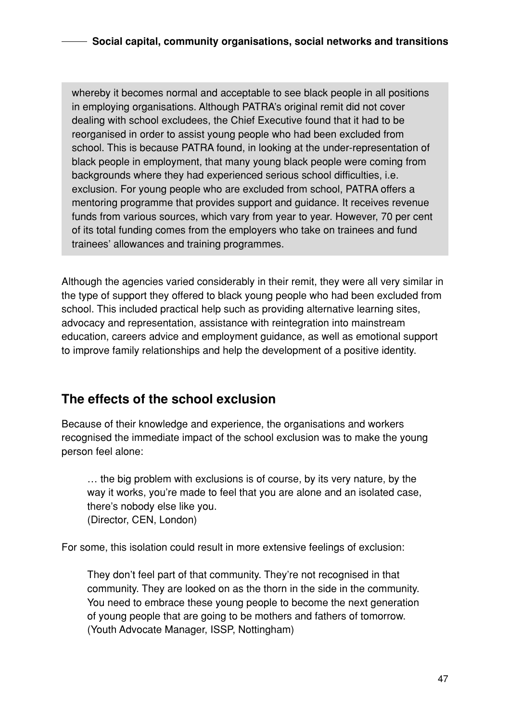whereby it becomes normal and acceptable to see black people in all positions in employing organisations. Although PATRA's original remit did not cover dealing with school excludees, the Chief Executive found that it had to be reorganised in order to assist young people who had been excluded from school. This is because PATRA found, in looking at the under-representation of black people in employment, that many young black people were coming from backgrounds where they had experienced serious school difficulties, i.e. exclusion. For young people who are excluded from school, PATRA offers a mentoring programme that provides support and guidance. It receives revenue funds from various sources, which vary from year to year. However, 70 per cent of its total funding comes from the employers who take on trainees and fund trainees' allowances and training programmes.

Although the agencies varied considerably in their remit, they were all very similar in the type of support they offered to black young people who had been excluded from school. This included practical help such as providing alternative learning sites, advocacy and representation, assistance with reintegration into mainstream education, careers advice and employment guidance, as well as emotional support to improve family relationships and help the development of a positive identity.

## **The effects of the school exclusion**

Because of their knowledge and experience, the organisations and workers recognised the immediate impact of the school exclusion was to make the young person feel alone:

… the big problem with exclusions is of course, by its very nature, by the way it works, you're made to feel that you are alone and an isolated case, there's nobody else like you. (Director, CEN, London)

For some, this isolation could result in more extensive feelings of exclusion:

They don't feel part of that community. They're not recognised in that community. They are looked on as the thorn in the side in the community. You need to embrace these young people to become the next generation of young people that are going to be mothers and fathers of tomorrow. (Youth Advocate Manager, ISSP, Nottingham)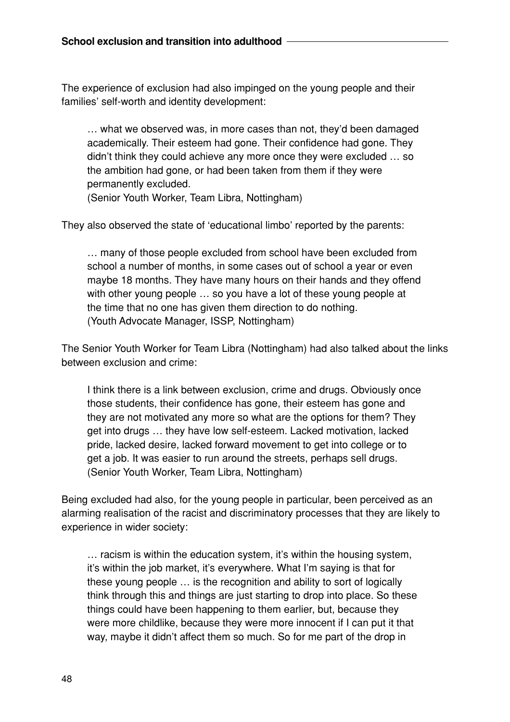The experience of exclusion had also impinged on the young people and their families' self-worth and identity development:

… what we observed was, in more cases than not, they'd been damaged academically. Their esteem had gone. Their confidence had gone. They didn't think they could achieve any more once they were excluded … so the ambition had gone, or had been taken from them if they were permanently excluded. (Senior Youth Worker, Team Libra, Nottingham)

They also observed the state of 'educational limbo' reported by the parents:

… many of those people excluded from school have been excluded from school a number of months, in some cases out of school a year or even maybe 18 months. They have many hours on their hands and they offend with other young people … so you have a lot of these young people at the time that no one has given them direction to do nothing. (Youth Advocate Manager, ISSP, Nottingham)

The Senior Youth Worker for Team Libra (Nottingham) had also talked about the links between exclusion and crime:

I think there is a link between exclusion, crime and drugs. Obviously once those students, their confidence has gone, their esteem has gone and they are not motivated any more so what are the options for them? They get into drugs … they have low self-esteem. Lacked motivation, lacked pride, lacked desire, lacked forward movement to get into college or to get a job. It was easier to run around the streets, perhaps sell drugs. (Senior Youth Worker, Team Libra, Nottingham)

Being excluded had also, for the young people in particular, been perceived as an alarming realisation of the racist and discriminatory processes that they are likely to experience in wider society:

… racism is within the education system, it's within the housing system, it's within the job market, it's everywhere. What I'm saying is that for these young people … is the recognition and ability to sort of logically think through this and things are just starting to drop into place. So these things could have been happening to them earlier, but, because they were more childlike, because they were more innocent if I can put it that way, maybe it didn't affect them so much. So for me part of the drop in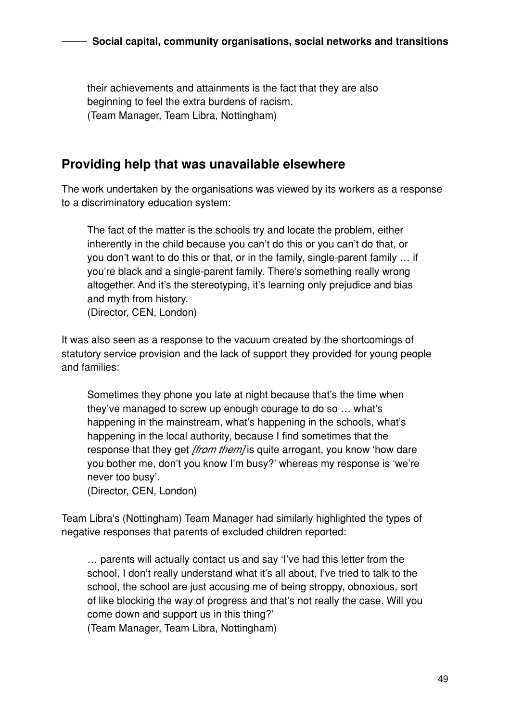their achievements and attainments is the fact that they are also beginning to feel the extra burdens of racism. (Team Manager, Team Libra, Nottingham)

### **Providing help that was unavailable elsewhere**

The work undertaken by the organisations was viewed by its workers as a response to a discriminatory education system:

The fact of the matter is the schools try and locate the problem, either inherently in the child because you can't do this or you can't do that, or you don't want to do this or that, or in the family, single-parent family … if you're black and a single-parent family. There's something really wrong altogether. And it's the stereotyping, it's learning only prejudice and bias and myth from history. (Director, CEN, London)

It was also seen as a response to the vacuum created by the shortcomings of statutory service provision and the lack of support they provided for young people and families:

Sometimes they phone you late at night because that's the time when they've managed to screw up enough courage to do so … what's happening in the mainstream, what's happening in the schools, what's happening in the local authority, because I find sometimes that the response that they get *[from them]* is quite arrogant, you know 'how dare you bother me, don't you know I'm busy?' whereas my response is 'we're never too busy'.

(Director, CEN, London)

Team Libra's (Nottingham) Team Manager had similarly highlighted the types of negative responses that parents of excluded children reported:

… parents will actually contact us and say 'I've had this letter from the school, I don't really understand what it's all about, I've tried to talk to the school, the school are just accusing me of being stroppy, obnoxious, sort of like blocking the way of progress and that's not really the case. Will you come down and support us in this thing?'

(Team Manager, Team Libra, Nottingham)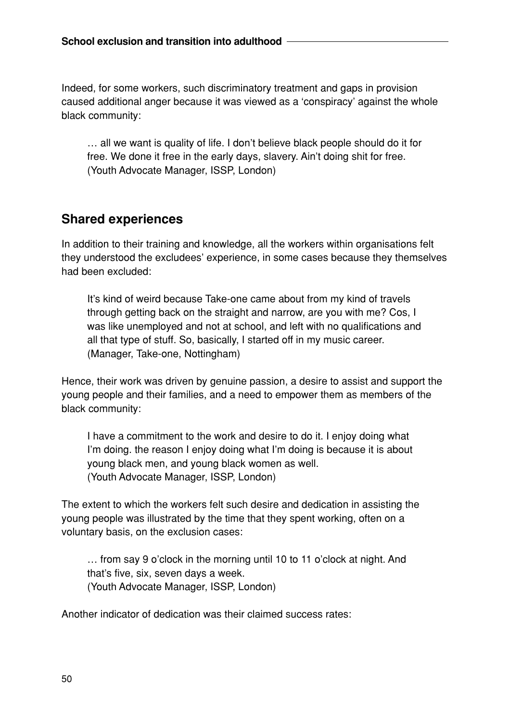Indeed, for some workers, such discriminatory treatment and gaps in provision caused additional anger because it was viewed as a 'conspiracy' against the whole black community:

… all we want is quality of life. I don't believe black people should do it for free. We done it free in the early days, slavery. Ain't doing shit for free. (Youth Advocate Manager, ISSP, London)

## **Shared experiences**

In addition to their training and knowledge, all the workers within organisations felt they understood the excludees' experience, in some cases because they themselves had been excluded:

It's kind of weird because Take-one came about from my kind of travels through getting back on the straight and narrow, are you with me? Cos, I was like unemployed and not at school, and left with no qualifications and all that type of stuff. So, basically, I started off in my music career. (Manager, Take-one, Nottingham)

Hence, their work was driven by genuine passion, a desire to assist and support the young people and their families, and a need to empower them as members of the black community:

I have a commitment to the work and desire to do it. I enjoy doing what I'm doing. the reason I enjoy doing what I'm doing is because it is about young black men, and young black women as well. (Youth Advocate Manager, ISSP, London)

The extent to which the workers felt such desire and dedication in assisting the young people was illustrated by the time that they spent working, often on a voluntary basis, on the exclusion cases:

… from say 9 o'clock in the morning until 10 to 11 o'clock at night. And that's five, six, seven days a week. (Youth Advocate Manager, ISSP, London)

Another indicator of dedication was their claimed success rates: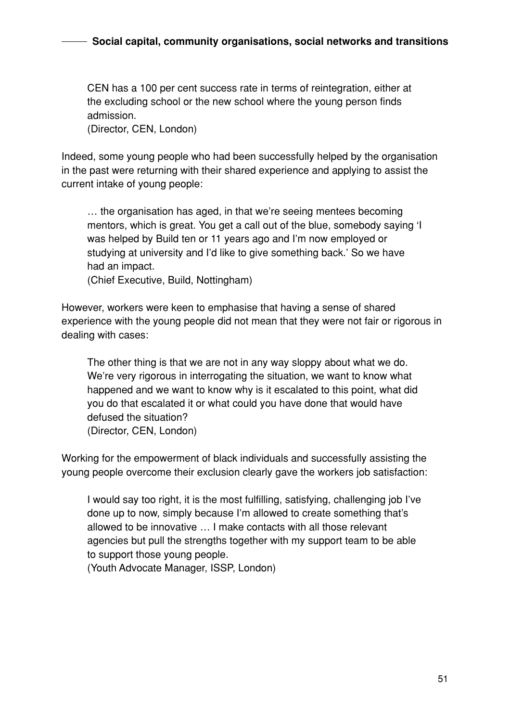CEN has a 100 per cent success rate in terms of reintegration, either at the excluding school or the new school where the young person finds admission.

(Director, CEN, London)

Indeed, some young people who had been successfully helped by the organisation in the past were returning with their shared experience and applying to assist the current intake of young people:

… the organisation has aged, in that we're seeing mentees becoming mentors, which is great. You get a call out of the blue, somebody saying 'I was helped by Build ten or 11 years ago and I'm now employed or studying at university and I'd like to give something back.' So we have had an impact.

(Chief Executive, Build, Nottingham)

However, workers were keen to emphasise that having a sense of shared experience with the young people did not mean that they were not fair or rigorous in dealing with cases:

The other thing is that we are not in any way sloppy about what we do. We're very rigorous in interrogating the situation, we want to know what happened and we want to know why is it escalated to this point, what did you do that escalated it or what could you have done that would have defused the situation? (Director, CEN, London)

Working for the empowerment of black individuals and successfully assisting the young people overcome their exclusion clearly gave the workers job satisfaction:

I would say too right, it is the most fulfilling, satisfying, challenging job I've done up to now, simply because I'm allowed to create something that's allowed to be innovative … I make contacts with all those relevant agencies but pull the strengths together with my support team to be able to support those young people.

(Youth Advocate Manager, ISSP, London)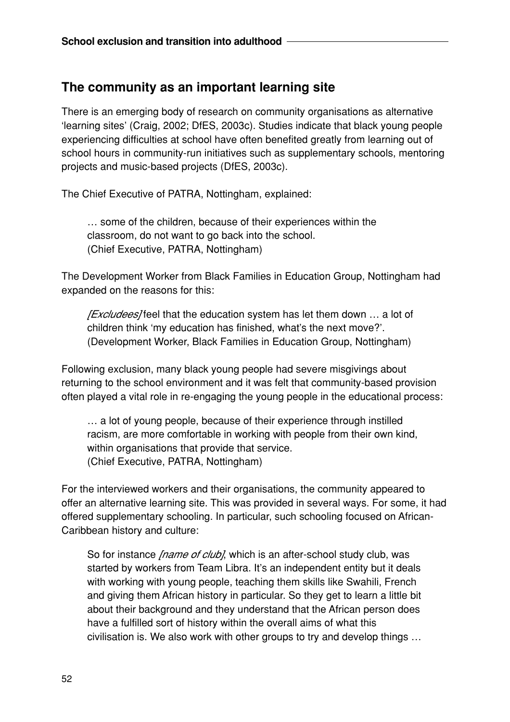### **The community as an important learning site**

There is an emerging body of research on community organisations as alternative 'learning sites' (Craig, 2002; DfES, 2003c). Studies indicate that black young people experiencing difficulties at school have often benefited greatly from learning out of school hours in community-run initiatives such as supplementary schools, mentoring projects and music-based projects (DfES, 2003c).

The Chief Executive of PATRA, Nottingham, explained:

… some of the children, because of their experiences within the classroom, do not want to go back into the school. (Chief Executive, PATRA, Nottingham)

The Development Worker from Black Families in Education Group, Nottingham had expanded on the reasons for this:

*[Excludees]* feel that the education system has let them down ... a lot of children think 'my education has finished, what's the next move?'. (Development Worker, Black Families in Education Group, Nottingham)

Following exclusion, many black young people had severe misgivings about returning to the school environment and it was felt that community-based provision often played a vital role in re-engaging the young people in the educational process:

… a lot of young people, because of their experience through instilled racism, are more comfortable in working with people from their own kind, within organisations that provide that service. (Chief Executive, PATRA, Nottingham)

For the interviewed workers and their organisations, the community appeared to offer an alternative learning site. This was provided in several ways. For some, it had offered supplementary schooling. In particular, such schooling focused on African-Caribbean history and culture:

So for instance *[name of club]*, which is an after-school study club, was started by workers from Team Libra. It's an independent entity but it deals with working with young people, teaching them skills like Swahili, French and giving them African history in particular. So they get to learn a little bit about their background and they understand that the African person does have a fulfilled sort of history within the overall aims of what this civilisation is. We also work with other groups to try and develop things …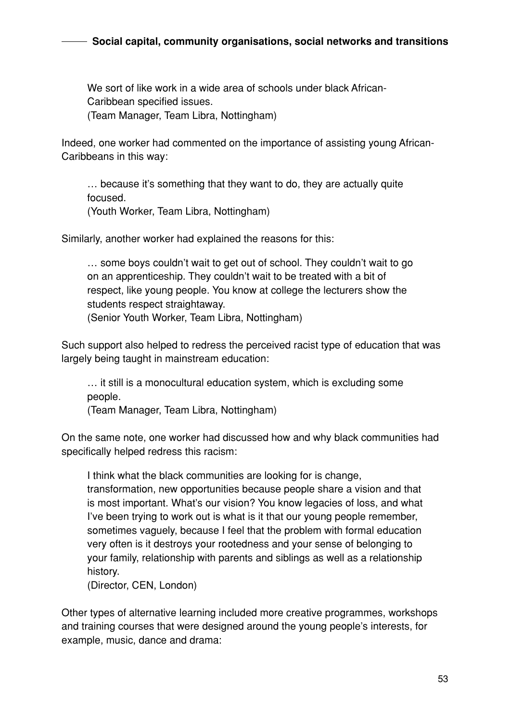We sort of like work in a wide area of schools under black African-Caribbean specified issues. (Team Manager, Team Libra, Nottingham)

Indeed, one worker had commented on the importance of assisting young African-Caribbeans in this way:

… because it's something that they want to do, they are actually quite focused.

(Youth Worker, Team Libra, Nottingham)

Similarly, another worker had explained the reasons for this:

… some boys couldn't wait to get out of school. They couldn't wait to go on an apprenticeship. They couldn't wait to be treated with a bit of respect, like young people. You know at college the lecturers show the students respect straightaway. (Senior Youth Worker, Team Libra, Nottingham)

Such support also helped to redress the perceived racist type of education that was largely being taught in mainstream education:

… it still is a monocultural education system, which is excluding some people.

(Team Manager, Team Libra, Nottingham)

On the same note, one worker had discussed how and why black communities had specifically helped redress this racism:

I think what the black communities are looking for is change, transformation, new opportunities because people share a vision and that is most important. What's our vision? You know legacies of loss, and what I've been trying to work out is what is it that our young people remember, sometimes vaguely, because I feel that the problem with formal education very often is it destroys your rootedness and your sense of belonging to your family, relationship with parents and siblings as well as a relationship history.

(Director, CEN, London)

Other types of alternative learning included more creative programmes, workshops and training courses that were designed around the young people's interests, for example, music, dance and drama: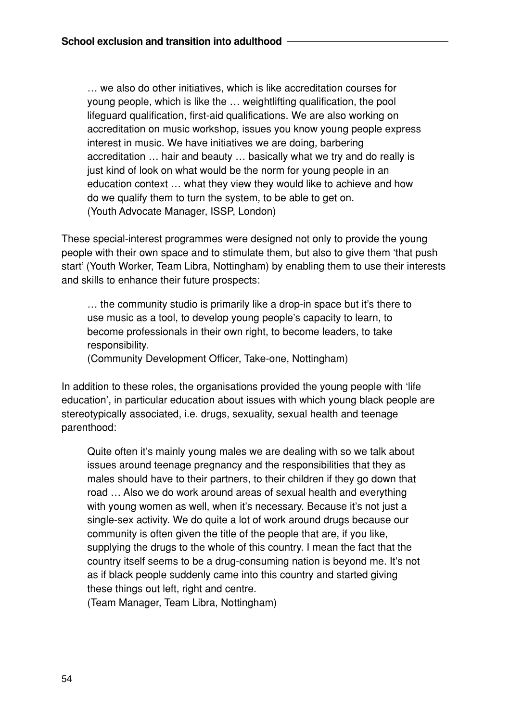… we also do other initiatives, which is like accreditation courses for young people, which is like the … weightlifting qualification, the pool lifeguard qualification, first-aid qualifications. We are also working on accreditation on music workshop, issues you know young people express interest in music. We have initiatives we are doing, barbering accreditation … hair and beauty … basically what we try and do really is just kind of look on what would be the norm for young people in an education context … what they view they would like to achieve and how do we qualify them to turn the system, to be able to get on. (Youth Advocate Manager, ISSP, London)

These special-interest programmes were designed not only to provide the young people with their own space and to stimulate them, but also to give them 'that push start' (Youth Worker, Team Libra, Nottingham) by enabling them to use their interests and skills to enhance their future prospects:

… the community studio is primarily like a drop-in space but it's there to use music as a tool, to develop young people's capacity to learn, to become professionals in their own right, to become leaders, to take responsibility.

(Community Development Officer, Take-one, Nottingham)

In addition to these roles, the organisations provided the young people with 'life education', in particular education about issues with which young black people are stereotypically associated, i.e. drugs, sexuality, sexual health and teenage parenthood:

Quite often it's mainly young males we are dealing with so we talk about issues around teenage pregnancy and the responsibilities that they as males should have to their partners, to their children if they go down that road … Also we do work around areas of sexual health and everything with young women as well, when it's necessary. Because it's not just a single-sex activity. We do quite a lot of work around drugs because our community is often given the title of the people that are, if you like, supplying the drugs to the whole of this country. I mean the fact that the country itself seems to be a drug-consuming nation is beyond me. It's not as if black people suddenly came into this country and started giving these things out left, right and centre.

(Team Manager, Team Libra, Nottingham)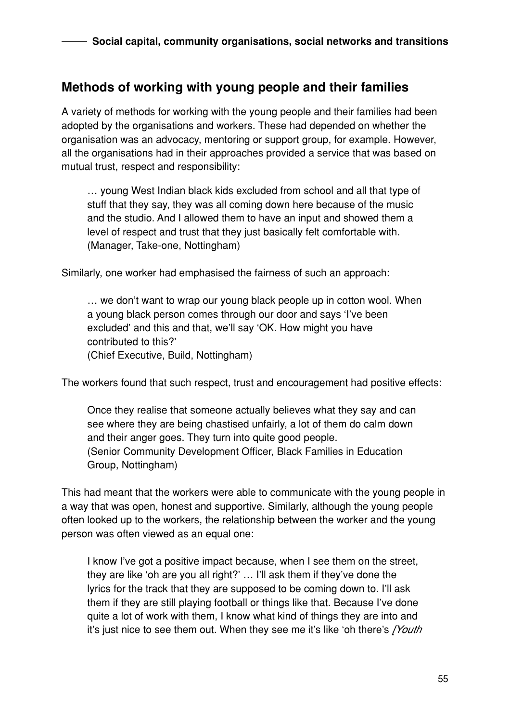## **Methods of working with young people and their families**

A variety of methods for working with the young people and their families had been adopted by the organisations and workers. These had depended on whether the organisation was an advocacy, mentoring or support group, for example. However, all the organisations had in their approaches provided a service that was based on mutual trust, respect and responsibility:

… young West Indian black kids excluded from school and all that type of stuff that they say, they was all coming down here because of the music and the studio. And I allowed them to have an input and showed them a level of respect and trust that they just basically felt comfortable with. (Manager, Take-one, Nottingham)

Similarly, one worker had emphasised the fairness of such an approach:

… we don't want to wrap our young black people up in cotton wool. When a young black person comes through our door and says 'I've been excluded' and this and that, we'll say 'OK. How might you have contributed to this?' (Chief Executive, Build, Nottingham)

The workers found that such respect, trust and encouragement had positive effects:

Once they realise that someone actually believes what they say and can see where they are being chastised unfairly, a lot of them do calm down and their anger goes. They turn into quite good people. (Senior Community Development Officer, Black Families in Education Group, Nottingham)

This had meant that the workers were able to communicate with the young people in a way that was open, honest and supportive. Similarly, although the young people often looked up to the workers, the relationship between the worker and the young person was often viewed as an equal one:

I know I've got a positive impact because, when I see them on the street, they are like 'oh are you all right?' … I'll ask them if they've done the lyrics for the track that they are supposed to be coming down to. I'll ask them if they are still playing football or things like that. Because I've done quite a lot of work with them, I know what kind of things they are into and it's just nice to see them out. When they see me it's like 'oh there's *[Youth*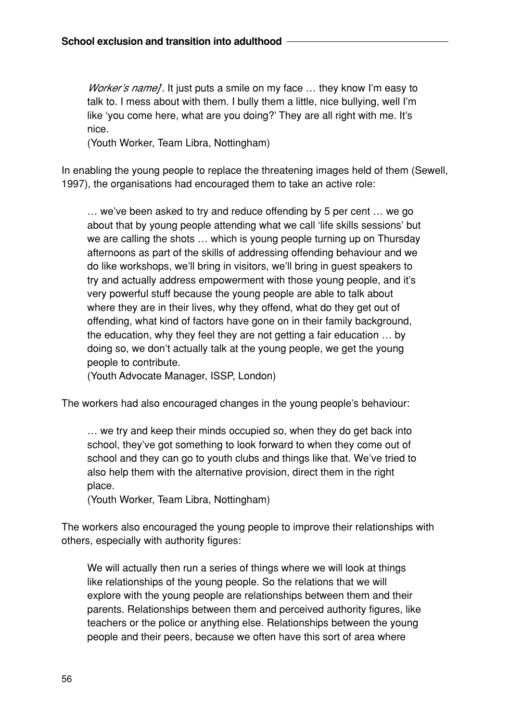Worker's name]. It just puts a smile on my face ... they know I'm easy to talk to. I mess about with them. I bully them a little, nice bullying, well I'm like 'you come here, what are you doing?' They are all right with me. It's nice.

(Youth Worker, Team Libra, Nottingham)

In enabling the young people to replace the threatening images held of them (Sewell, 1997), the organisations had encouraged them to take an active role:

… we've been asked to try and reduce offending by 5 per cent … we go about that by young people attending what we call 'life skills sessions' but we are calling the shots … which is young people turning up on Thursday afternoons as part of the skills of addressing offending behaviour and we do like workshops, we'll bring in visitors, we'll bring in guest speakers to try and actually address empowerment with those young people, and it's very powerful stuff because the young people are able to talk about where they are in their lives, why they offend, what do they get out of offending, what kind of factors have gone on in their family background, the education, why they feel they are not getting a fair education … by doing so, we don't actually talk at the young people, we get the young people to contribute.

(Youth Advocate Manager, ISSP, London)

The workers had also encouraged changes in the young people's behaviour:

… we try and keep their minds occupied so, when they do get back into school, they've got something to look forward to when they come out of school and they can go to youth clubs and things like that. We've tried to also help them with the alternative provision, direct them in the right place.

(Youth Worker, Team Libra, Nottingham)

The workers also encouraged the young people to improve their relationships with others, especially with authority figures:

We will actually then run a series of things where we will look at things like relationships of the young people. So the relations that we will explore with the young people are relationships between them and their parents. Relationships between them and perceived authority figures, like teachers or the police or anything else. Relationships between the young people and their peers, because we often have this sort of area where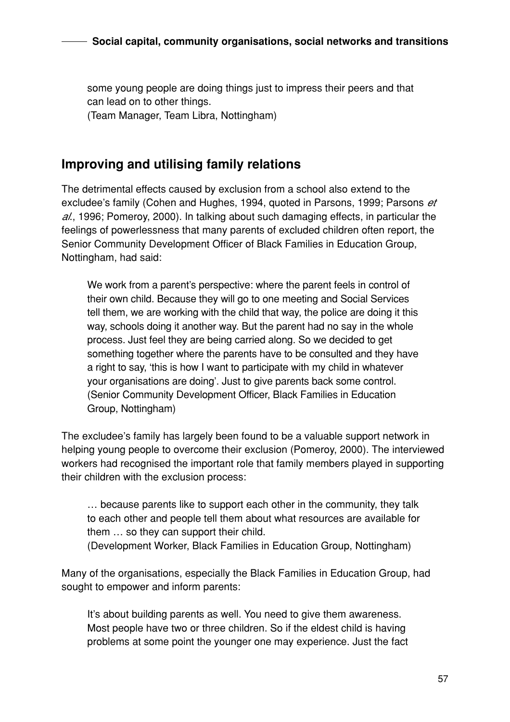some young people are doing things just to impress their peers and that can lead on to other things. (Team Manager, Team Libra, Nottingham)

## **Improving and utilising family relations**

The detrimental effects caused by exclusion from a school also extend to the excludee's family (Cohen and Hughes, 1994, quoted in Parsons, 1999; Parsons et al., 1996; Pomeroy, 2000). In talking about such damaging effects, in particular the feelings of powerlessness that many parents of excluded children often report, the Senior Community Development Officer of Black Families in Education Group, Nottingham, had said:

We work from a parent's perspective: where the parent feels in control of their own child. Because they will go to one meeting and Social Services tell them, we are working with the child that way, the police are doing it this way, schools doing it another way. But the parent had no say in the whole process. Just feel they are being carried along. So we decided to get something together where the parents have to be consulted and they have a right to say, 'this is how I want to participate with my child in whatever your organisations are doing'. Just to give parents back some control. (Senior Community Development Officer, Black Families in Education Group, Nottingham)

The excludee's family has largely been found to be a valuable support network in helping young people to overcome their exclusion (Pomeroy, 2000). The interviewed workers had recognised the important role that family members played in supporting their children with the exclusion process:

… because parents like to support each other in the community, they talk to each other and people tell them about what resources are available for them … so they can support their child.

(Development Worker, Black Families in Education Group, Nottingham)

Many of the organisations, especially the Black Families in Education Group, had sought to empower and inform parents:

It's about building parents as well. You need to give them awareness. Most people have two or three children. So if the eldest child is having problems at some point the younger one may experience. Just the fact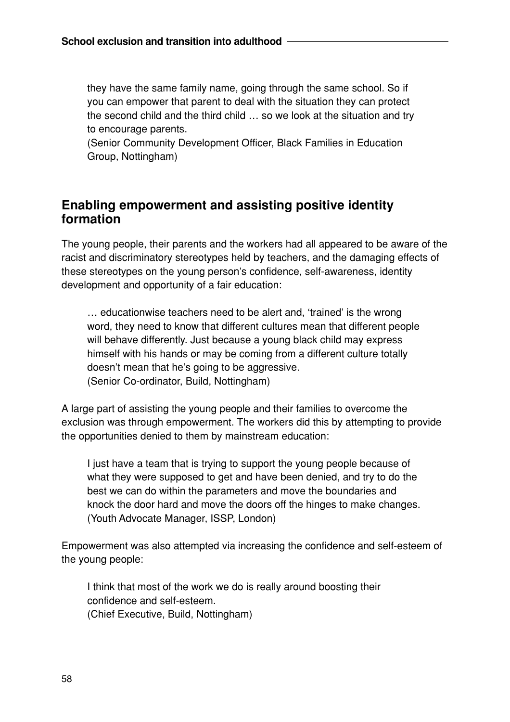they have the same family name, going through the same school. So if you can empower that parent to deal with the situation they can protect the second child and the third child … so we look at the situation and try to encourage parents.

(Senior Community Development Officer, Black Families in Education Group, Nottingham)

## **Enabling empowerment and assisting positive identity formation**

The young people, their parents and the workers had all appeared to be aware of the racist and discriminatory stereotypes held by teachers, and the damaging effects of these stereotypes on the young person's confidence, self-awareness, identity development and opportunity of a fair education:

… educationwise teachers need to be alert and, 'trained' is the wrong word, they need to know that different cultures mean that different people will behave differently. Just because a young black child may express himself with his hands or may be coming from a different culture totally doesn't mean that he's going to be aggressive. (Senior Co-ordinator, Build, Nottingham)

A large part of assisting the young people and their families to overcome the exclusion was through empowerment. The workers did this by attempting to provide the opportunities denied to them by mainstream education:

I just have a team that is trying to support the young people because of what they were supposed to get and have been denied, and try to do the best we can do within the parameters and move the boundaries and knock the door hard and move the doors off the hinges to make changes. (Youth Advocate Manager, ISSP, London)

Empowerment was also attempted via increasing the confidence and self-esteem of the young people:

I think that most of the work we do is really around boosting their confidence and self-esteem. (Chief Executive, Build, Nottingham)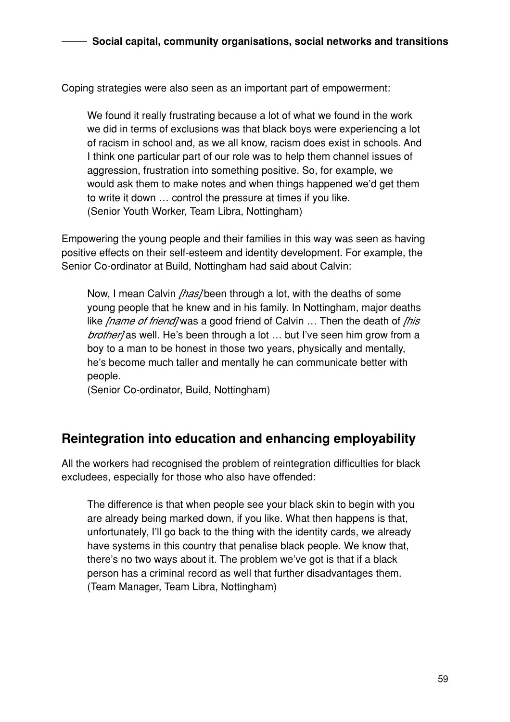Coping strategies were also seen as an important part of empowerment:

We found it really frustrating because a lot of what we found in the work we did in terms of exclusions was that black boys were experiencing a lot of racism in school and, as we all know, racism does exist in schools. And I think one particular part of our role was to help them channel issues of aggression, frustration into something positive. So, for example, we would ask them to make notes and when things happened we'd get them to write it down … control the pressure at times if you like. (Senior Youth Worker, Team Libra, Nottingham)

Empowering the young people and their families in this way was seen as having positive effects on their self-esteem and identity development. For example, the Senior Co-ordinator at Build, Nottingham had said about Calvin:

Now, I mean Calvin *[has]* been through a lot, with the deaths of some young people that he knew and in his family. In Nottingham, major deaths like *[name of friend]* was a good friend of Calvin  $\ldots$  Then the death of *[his*] brother/as well. He's been through a lot ... but I've seen him grow from a boy to a man to be honest in those two years, physically and mentally, he's become much taller and mentally he can communicate better with people.

(Senior Co-ordinator, Build, Nottingham)

## **Reintegration into education and enhancing employability**

All the workers had recognised the problem of reintegration difficulties for black excludees, especially for those who also have offended:

The difference is that when people see your black skin to begin with you are already being marked down, if you like. What then happens is that, unfortunately, I'll go back to the thing with the identity cards, we already have systems in this country that penalise black people. We know that, there's no two ways about it. The problem we've got is that if a black person has a criminal record as well that further disadvantages them. (Team Manager, Team Libra, Nottingham)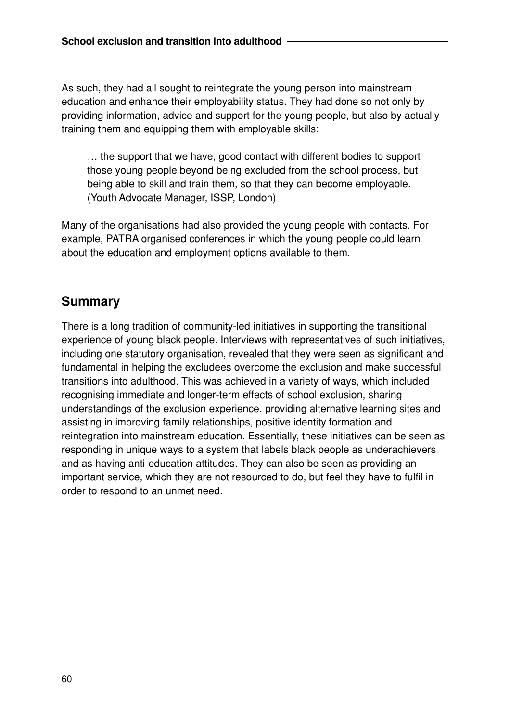As such, they had all sought to reintegrate the young person into mainstream education and enhance their employability status. They had done so not only by providing information, advice and support for the young people, but also by actually training them and equipping them with employable skills:

… the support that we have, good contact with different bodies to support those young people beyond being excluded from the school process, but being able to skill and train them, so that they can become employable. (Youth Advocate Manager, ISSP, London)

Many of the organisations had also provided the young people with contacts. For example, PATRA organised conferences in which the young people could learn about the education and employment options available to them.

# **Summary**

There is a long tradition of community-led initiatives in supporting the transitional experience of young black people. Interviews with representatives of such initiatives, including one statutory organisation, revealed that they were seen as significant and fundamental in helping the excludees overcome the exclusion and make successful transitions into adulthood. This was achieved in a variety of ways, which included recognising immediate and longer-term effects of school exclusion, sharing understandings of the exclusion experience, providing alternative learning sites and assisting in improving family relationships, positive identity formation and reintegration into mainstream education. Essentially, these initiatives can be seen as responding in unique ways to a system that labels black people as underachievers and as having anti-education attitudes. They can also be seen as providing an important service, which they are not resourced to do, but feel they have to fulfil in order to respond to an unmet need.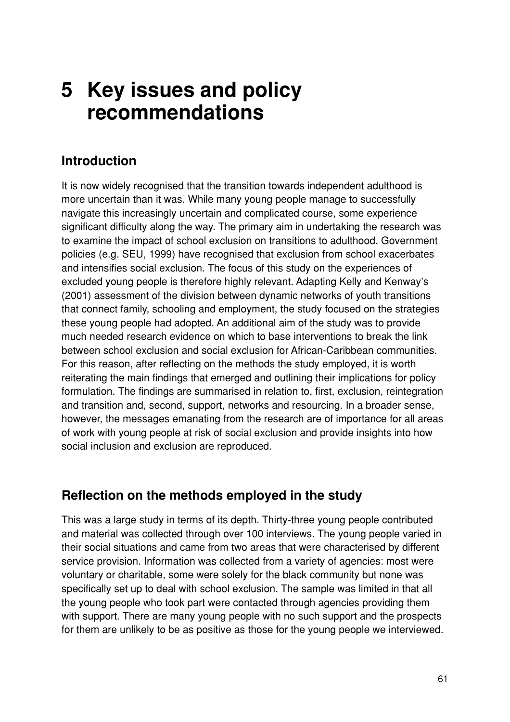# **5 Key issues and policy recommendations**

# **Introduction**

It is now widely recognised that the transition towards independent adulthood is more uncertain than it was. While many young people manage to successfully navigate this increasingly uncertain and complicated course, some experience significant difficulty along the way. The primary aim in undertaking the research was to examine the impact of school exclusion on transitions to adulthood. Government policies (e.g. SEU, 1999) have recognised that exclusion from school exacerbates and intensifies social exclusion. The focus of this study on the experiences of excluded young people is therefore highly relevant. Adapting Kelly and Kenway's (2001) assessment of the division between dynamic networks of youth transitions that connect family, schooling and employment, the study focused on the strategies these young people had adopted. An additional aim of the study was to provide much needed research evidence on which to base interventions to break the link between school exclusion and social exclusion for African-Caribbean communities. For this reason, after reflecting on the methods the study employed, it is worth reiterating the main findings that emerged and outlining their implications for policy formulation. The findings are summarised in relation to, first, exclusion, reintegration and transition and, second, support, networks and resourcing. In a broader sense, however, the messages emanating from the research are of importance for all areas of work with young people at risk of social exclusion and provide insights into how social inclusion and exclusion are reproduced.

## **Reflection on the methods employed in the study**

This was a large study in terms of its depth. Thirty-three young people contributed and material was collected through over 100 interviews. The young people varied in their social situations and came from two areas that were characterised by different service provision. Information was collected from a variety of agencies: most were voluntary or charitable, some were solely for the black community but none was specifically set up to deal with school exclusion. The sample was limited in that all the young people who took part were contacted through agencies providing them with support. There are many young people with no such support and the prospects for them are unlikely to be as positive as those for the young people we interviewed.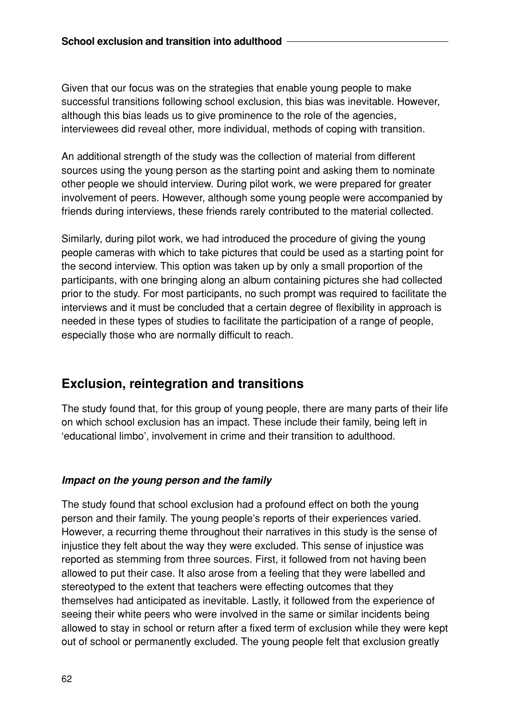Given that our focus was on the strategies that enable young people to make successful transitions following school exclusion, this bias was inevitable. However, although this bias leads us to give prominence to the role of the agencies, interviewees did reveal other, more individual, methods of coping with transition.

An additional strength of the study was the collection of material from different sources using the young person as the starting point and asking them to nominate other people we should interview. During pilot work, we were prepared for greater involvement of peers. However, although some young people were accompanied by friends during interviews, these friends rarely contributed to the material collected.

Similarly, during pilot work, we had introduced the procedure of giving the young people cameras with which to take pictures that could be used as a starting point for the second interview. This option was taken up by only a small proportion of the participants, with one bringing along an album containing pictures she had collected prior to the study. For most participants, no such prompt was required to facilitate the interviews and it must be concluded that a certain degree of flexibility in approach is needed in these types of studies to facilitate the participation of a range of people, especially those who are normally difficult to reach.

## **Exclusion, reintegration and transitions**

The study found that, for this group of young people, there are many parts of their life on which school exclusion has an impact. These include their family, being left in 'educational limbo', involvement in crime and their transition to adulthood.

## **Impact on the young person and the family**

The study found that school exclusion had a profound effect on both the young person and their family. The young people's reports of their experiences varied. However, a recurring theme throughout their narratives in this study is the sense of injustice they felt about the way they were excluded. This sense of injustice was reported as stemming from three sources. First, it followed from not having been allowed to put their case. It also arose from a feeling that they were labelled and stereotyped to the extent that teachers were effecting outcomes that they themselves had anticipated as inevitable. Lastly, it followed from the experience of seeing their white peers who were involved in the same or similar incidents being allowed to stay in school or return after a fixed term of exclusion while they were kept out of school or permanently excluded. The young people felt that exclusion greatly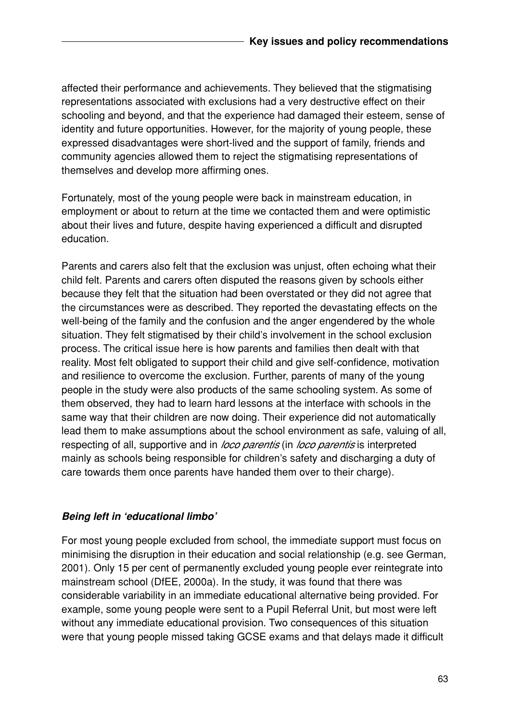affected their performance and achievements. They believed that the stigmatising representations associated with exclusions had a very destructive effect on their schooling and beyond, and that the experience had damaged their esteem, sense of identity and future opportunities. However, for the majority of young people, these expressed disadvantages were short-lived and the support of family, friends and community agencies allowed them to reject the stigmatising representations of themselves and develop more affirming ones.

Fortunately, most of the young people were back in mainstream education, in employment or about to return at the time we contacted them and were optimistic about their lives and future, despite having experienced a difficult and disrupted education.

Parents and carers also felt that the exclusion was unjust, often echoing what their child felt. Parents and carers often disputed the reasons given by schools either because they felt that the situation had been overstated or they did not agree that the circumstances were as described. They reported the devastating effects on the well-being of the family and the confusion and the anger engendered by the whole situation. They felt stigmatised by their child's involvement in the school exclusion process. The critical issue here is how parents and families then dealt with that reality. Most felt obligated to support their child and give self-confidence, motivation and resilience to overcome the exclusion. Further, parents of many of the young people in the study were also products of the same schooling system. As some of them observed, they had to learn hard lessons at the interface with schools in the same way that their children are now doing. Their experience did not automatically lead them to make assumptions about the school environment as safe, valuing of all, respecting of all, supportive and in *loco parentis* (in *loco parentis* is interpreted mainly as schools being responsible for children's safety and discharging a duty of care towards them once parents have handed them over to their charge).

### **Being left in 'educational limbo'**

For most young people excluded from school, the immediate support must focus on minimising the disruption in their education and social relationship (e.g. see German, 2001). Only 15 per cent of permanently excluded young people ever reintegrate into mainstream school (DfEE, 2000a). In the study, it was found that there was considerable variability in an immediate educational alternative being provided. For example, some young people were sent to a Pupil Referral Unit, but most were left without any immediate educational provision. Two consequences of this situation were that young people missed taking GCSE exams and that delays made it difficult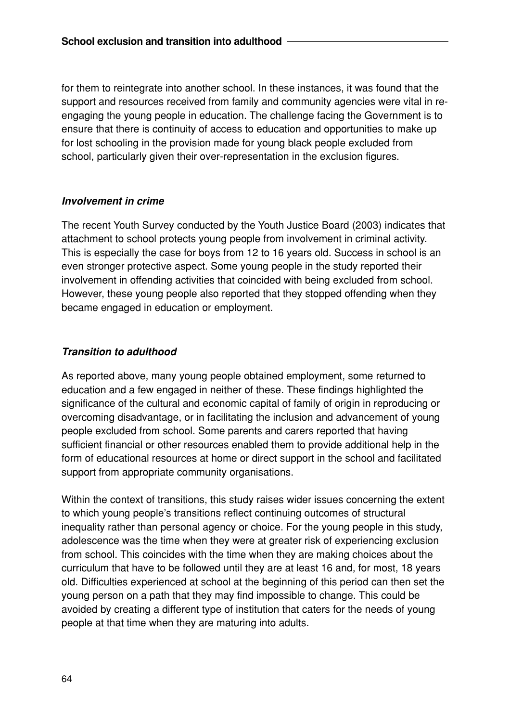for them to reintegrate into another school. In these instances, it was found that the support and resources received from family and community agencies were vital in reengaging the young people in education. The challenge facing the Government is to ensure that there is continuity of access to education and opportunities to make up for lost schooling in the provision made for young black people excluded from school, particularly given their over-representation in the exclusion figures.

### **Involvement in crime**

The recent Youth Survey conducted by the Youth Justice Board (2003) indicates that attachment to school protects young people from involvement in criminal activity. This is especially the case for boys from 12 to 16 years old. Success in school is an even stronger protective aspect. Some young people in the study reported their involvement in offending activities that coincided with being excluded from school. However, these young people also reported that they stopped offending when they became engaged in education or employment.

### **Transition to adulthood**

As reported above, many young people obtained employment, some returned to education and a few engaged in neither of these. These findings highlighted the significance of the cultural and economic capital of family of origin in reproducing or overcoming disadvantage, or in facilitating the inclusion and advancement of young people excluded from school. Some parents and carers reported that having sufficient financial or other resources enabled them to provide additional help in the form of educational resources at home or direct support in the school and facilitated support from appropriate community organisations.

Within the context of transitions, this study raises wider issues concerning the extent to which young people's transitions reflect continuing outcomes of structural inequality rather than personal agency or choice. For the young people in this study, adolescence was the time when they were at greater risk of experiencing exclusion from school. This coincides with the time when they are making choices about the curriculum that have to be followed until they are at least 16 and, for most, 18 years old. Difficulties experienced at school at the beginning of this period can then set the young person on a path that they may find impossible to change. This could be avoided by creating a different type of institution that caters for the needs of young people at that time when they are maturing into adults.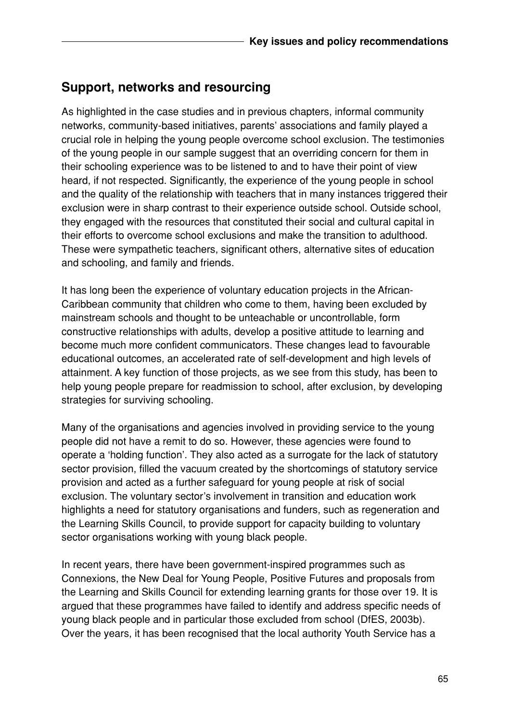## **Support, networks and resourcing**

As highlighted in the case studies and in previous chapters, informal community networks, community-based initiatives, parents' associations and family played a crucial role in helping the young people overcome school exclusion. The testimonies of the young people in our sample suggest that an overriding concern for them in their schooling experience was to be listened to and to have their point of view heard, if not respected. Significantly, the experience of the young people in school and the quality of the relationship with teachers that in many instances triggered their exclusion were in sharp contrast to their experience outside school. Outside school, they engaged with the resources that constituted their social and cultural capital in their efforts to overcome school exclusions and make the transition to adulthood. These were sympathetic teachers, significant others, alternative sites of education and schooling, and family and friends.

It has long been the experience of voluntary education projects in the African-Caribbean community that children who come to them, having been excluded by mainstream schools and thought to be unteachable or uncontrollable, form constructive relationships with adults, develop a positive attitude to learning and become much more confident communicators. These changes lead to favourable educational outcomes, an accelerated rate of self-development and high levels of attainment. A key function of those projects, as we see from this study, has been to help young people prepare for readmission to school, after exclusion, by developing strategies for surviving schooling.

Many of the organisations and agencies involved in providing service to the young people did not have a remit to do so. However, these agencies were found to operate a 'holding function'. They also acted as a surrogate for the lack of statutory sector provision, filled the vacuum created by the shortcomings of statutory service provision and acted as a further safeguard for young people at risk of social exclusion. The voluntary sector's involvement in transition and education work highlights a need for statutory organisations and funders, such as regeneration and the Learning Skills Council, to provide support for capacity building to voluntary sector organisations working with young black people.

In recent years, there have been government-inspired programmes such as Connexions, the New Deal for Young People, Positive Futures and proposals from the Learning and Skills Council for extending learning grants for those over 19. It is argued that these programmes have failed to identify and address specific needs of young black people and in particular those excluded from school (DfES, 2003b). Over the years, it has been recognised that the local authority Youth Service has a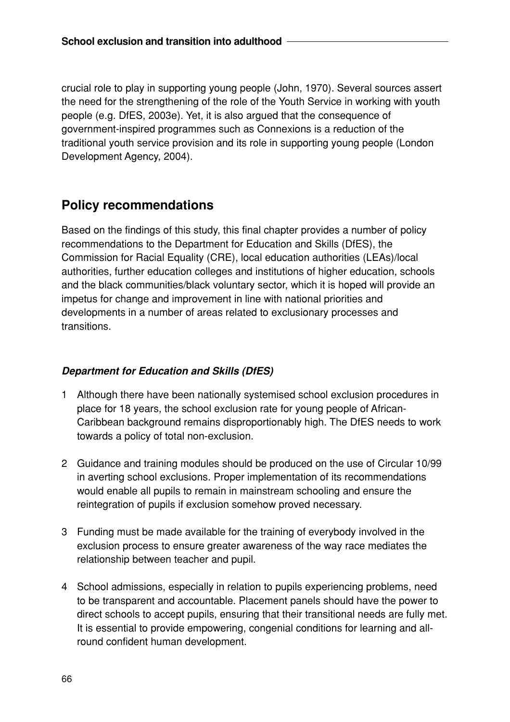crucial role to play in supporting young people (John, 1970). Several sources assert the need for the strengthening of the role of the Youth Service in working with youth people (e.g. DfES, 2003e). Yet, it is also argued that the consequence of government-inspired programmes such as Connexions is a reduction of the traditional youth service provision and its role in supporting young people (London Development Agency, 2004).

## **Policy recommendations**

Based on the findings of this study, this final chapter provides a number of policy recommendations to the Department for Education and Skills (DfES), the Commission for Racial Equality (CRE), local education authorities (LEAs)/local authorities, further education colleges and institutions of higher education, schools and the black communities/black voluntary sector, which it is hoped will provide an impetus for change and improvement in line with national priorities and developments in a number of areas related to exclusionary processes and transitions.

## **Department for Education and Skills (DfES)**

- 1 Although there have been nationally systemised school exclusion procedures in place for 18 years, the school exclusion rate for young people of African-Caribbean background remains disproportionably high. The DfES needs to work towards a policy of total non-exclusion.
- 2 Guidance and training modules should be produced on the use of Circular 10/99 in averting school exclusions. Proper implementation of its recommendations would enable all pupils to remain in mainstream schooling and ensure the reintegration of pupils if exclusion somehow proved necessary.
- 3 Funding must be made available for the training of everybody involved in the exclusion process to ensure greater awareness of the way race mediates the relationship between teacher and pupil.
- 4 School admissions, especially in relation to pupils experiencing problems, need to be transparent and accountable. Placement panels should have the power to direct schools to accept pupils, ensuring that their transitional needs are fully met. It is essential to provide empowering, congenial conditions for learning and allround confident human development.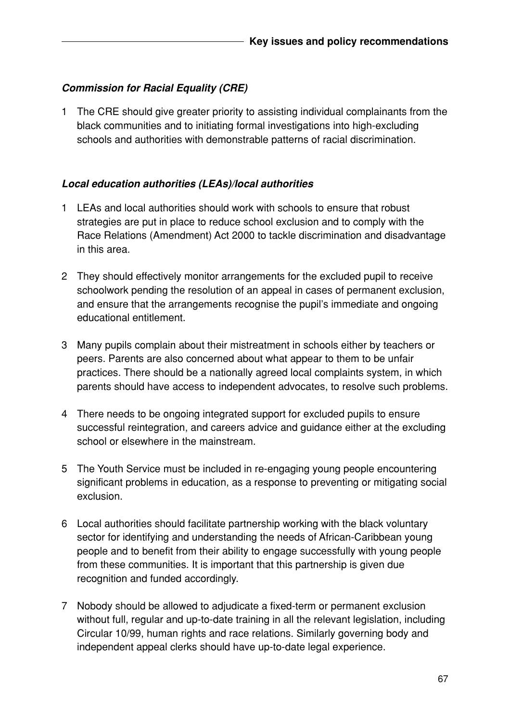## **Commission for Racial Equality (CRE)**

1 The CRE should give greater priority to assisting individual complainants from the black communities and to initiating formal investigations into high-excluding schools and authorities with demonstrable patterns of racial discrimination.

### **Local education authorities (LEAs)/local authorities**

- 1 LEAs and local authorities should work with schools to ensure that robust strategies are put in place to reduce school exclusion and to comply with the Race Relations (Amendment) Act 2000 to tackle discrimination and disadvantage in this area.
- 2 They should effectively monitor arrangements for the excluded pupil to receive schoolwork pending the resolution of an appeal in cases of permanent exclusion, and ensure that the arrangements recognise the pupil's immediate and ongoing educational entitlement.
- 3 Many pupils complain about their mistreatment in schools either by teachers or peers. Parents are also concerned about what appear to them to be unfair practices. There should be a nationally agreed local complaints system, in which parents should have access to independent advocates, to resolve such problems.
- 4 There needs to be ongoing integrated support for excluded pupils to ensure successful reintegration, and careers advice and guidance either at the excluding school or elsewhere in the mainstream.
- 5 The Youth Service must be included in re-engaging young people encountering significant problems in education, as a response to preventing or mitigating social exclusion.
- 6 Local authorities should facilitate partnership working with the black voluntary sector for identifying and understanding the needs of African-Caribbean young people and to benefit from their ability to engage successfully with young people from these communities. It is important that this partnership is given due recognition and funded accordingly.
- 7 Nobody should be allowed to adjudicate a fixed-term or permanent exclusion without full, regular and up-to-date training in all the relevant legislation, including Circular 10/99, human rights and race relations. Similarly governing body and independent appeal clerks should have up-to-date legal experience.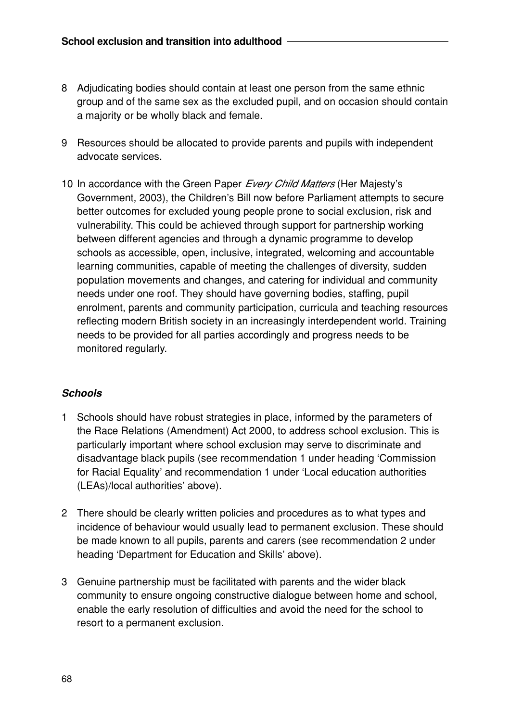- 8 Adjudicating bodies should contain at least one person from the same ethnic group and of the same sex as the excluded pupil, and on occasion should contain a majority or be wholly black and female.
- 9 Resources should be allocated to provide parents and pupils with independent advocate services.
- 10 In accordance with the Green Paper Every Child Matters (Her Majesty's Government, 2003), the Children's Bill now before Parliament attempts to secure better outcomes for excluded young people prone to social exclusion, risk and vulnerability. This could be achieved through support for partnership working between different agencies and through a dynamic programme to develop schools as accessible, open, inclusive, integrated, welcoming and accountable learning communities, capable of meeting the challenges of diversity, sudden population movements and changes, and catering for individual and community needs under one roof. They should have governing bodies, staffing, pupil enrolment, parents and community participation, curricula and teaching resources reflecting modern British society in an increasingly interdependent world. Training needs to be provided for all parties accordingly and progress needs to be monitored regularly.

## **Schools**

- 1 Schools should have robust strategies in place, informed by the parameters of the Race Relations (Amendment) Act 2000, to address school exclusion. This is particularly important where school exclusion may serve to discriminate and disadvantage black pupils (see recommendation 1 under heading 'Commission for Racial Equality' and recommendation 1 under 'Local education authorities (LEAs)/local authorities' above).
- 2 There should be clearly written policies and procedures as to what types and incidence of behaviour would usually lead to permanent exclusion. These should be made known to all pupils, parents and carers (see recommendation 2 under heading 'Department for Education and Skills' above).
- 3 Genuine partnership must be facilitated with parents and the wider black community to ensure ongoing constructive dialogue between home and school, enable the early resolution of difficulties and avoid the need for the school to resort to a permanent exclusion.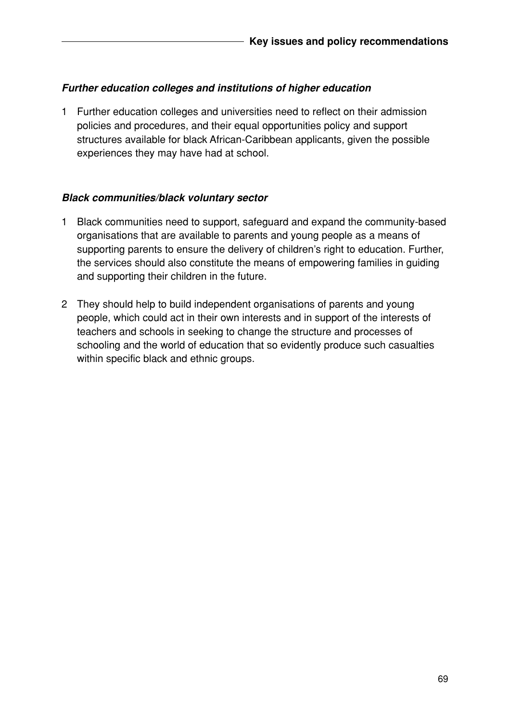### **Further education colleges and institutions of higher education**

1 Further education colleges and universities need to reflect on their admission policies and procedures, and their equal opportunities policy and support structures available for black African-Caribbean applicants, given the possible experiences they may have had at school.

### **Black communities/black voluntary sector**

- 1 Black communities need to support, safeguard and expand the community-based organisations that are available to parents and young people as a means of supporting parents to ensure the delivery of children's right to education. Further, the services should also constitute the means of empowering families in guiding and supporting their children in the future.
- 2 They should help to build independent organisations of parents and young people, which could act in their own interests and in support of the interests of teachers and schools in seeking to change the structure and processes of schooling and the world of education that so evidently produce such casualties within specific black and ethnic groups.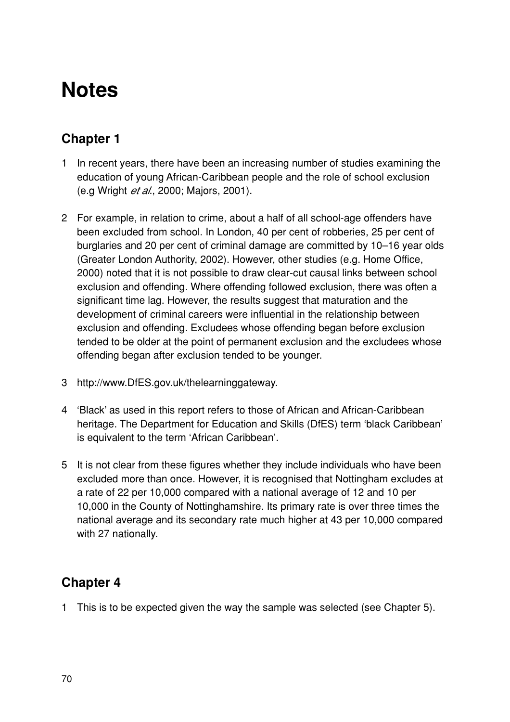# **Notes**

# **Chapter 1**

- 1 In recent years, there have been an increasing number of studies examining the education of young African-Caribbean people and the role of school exclusion (e.g Wright *et al.*, 2000; Majors, 2001).
- 2 For example, in relation to crime, about a half of all school-age offenders have been excluded from school. In London, 40 per cent of robberies, 25 per cent of burglaries and 20 per cent of criminal damage are committed by 10–16 year olds (Greater London Authority, 2002). However, other studies (e.g. Home Office, 2000) noted that it is not possible to draw clear-cut causal links between school exclusion and offending. Where offending followed exclusion, there was often a significant time lag. However, the results suggest that maturation and the development of criminal careers were influential in the relationship between exclusion and offending. Excludees whose offending began before exclusion tended to be older at the point of permanent exclusion and the excludees whose offending began after exclusion tended to be younger.
- 3 http://www.DfES.gov.uk/thelearninggateway.
- 4 'Black' as used in this report refers to those of African and African-Caribbean heritage. The Department for Education and Skills (DfES) term 'black Caribbean' is equivalent to the term 'African Caribbean'.
- 5 It is not clear from these figures whether they include individuals who have been excluded more than once. However, it is recognised that Nottingham excludes at a rate of 22 per 10,000 compared with a national average of 12 and 10 per 10,000 in the County of Nottinghamshire. Its primary rate is over three times the national average and its secondary rate much higher at 43 per 10,000 compared with 27 nationally.

## **Chapter 4**

1 This is to be expected given the way the sample was selected (see Chapter 5).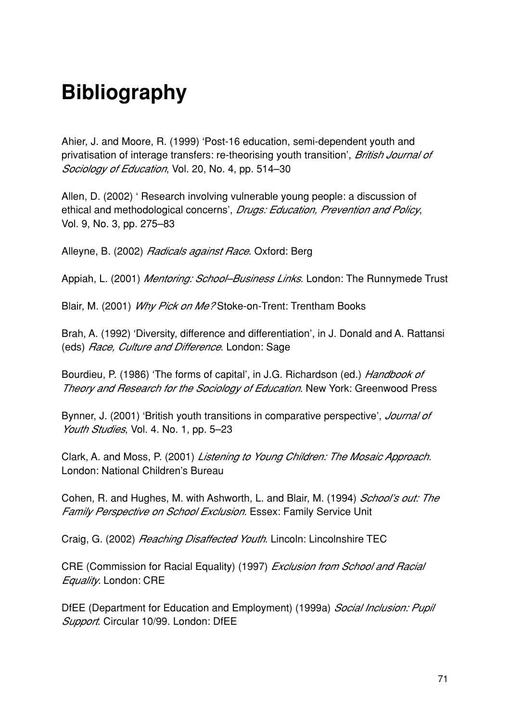# **Bibliography**

Ahier, J. and Moore, R. (1999) 'Post-16 education, semi-dependent youth and privatisation of interage transfers: re-theorising youth transition', *British Journal of* Sociology of Education, Vol. 20, No. 4, pp. 514-30

Allen, D. (2002) ' Research involving vulnerable young people: a discussion of ethical and methodological concerns', Drugs: Education, Prevention and Policy, Vol. 9, No. 3, pp. 275–83

Alleyne, B. (2002) *Radicals against Race*. Oxford: Berg

Appiah, L. (2001) Mentoring: School–Business Links. London: The Runnymede Trust

Blair, M. (2001) Why Pick on Me? Stoke-on-Trent: Trentham Books

Brah, A. (1992) 'Diversity, difference and differentiation', in J. Donald and A. Rattansi (eds) Race, Culture and Difference. London: Sage

Bourdieu, P. (1986) 'The forms of capital', in J.G. Richardson (ed.) *Handbook of* Theory and Research for the Sociology of Education. New York: Greenwood Press

Bynner, J. (2001) 'British youth transitions in comparative perspective', *Journal of* Youth Studies, Vol. 4. No. 1, pp. 5–23

Clark, A. and Moss, P. (2001) Listening to Young Children: The Mosaic Approach. London: National Children's Bureau

Cohen, R. and Hughes, M. with Ashworth, L. and Blair, M. (1994) School's out: The Family Perspective on School Exclusion. Essex: Family Service Unit

Craig, G. (2002) *Reaching Disaffected Youth*, Lincoln: Lincolnshire TEC

CRE (Commission for Racial Equality) (1997) Exclusion from School and Racial Equality. London: CRE

DfEE (Department for Education and Employment) (1999a) Social Inclusion: Pupil Support. Circular 10/99. London: DfEE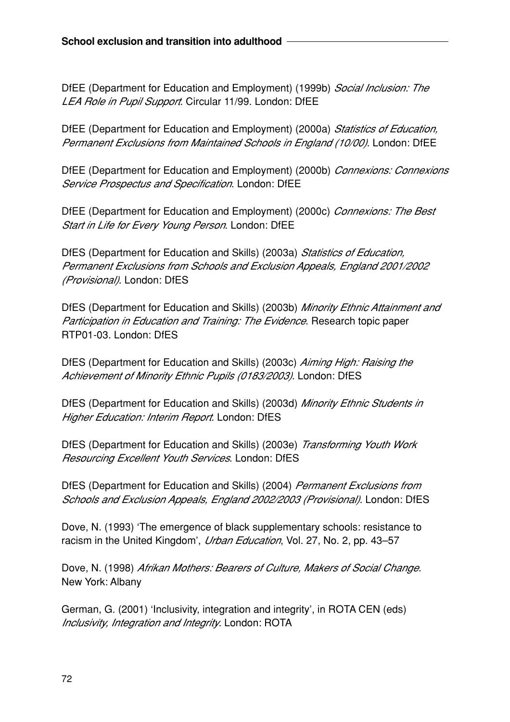DfEE (Department for Education and Employment) (1999b) Social Inclusion: The LEA Role in Pupil Support. Circular 11/99. London: DfEE

DfEE (Department for Education and Employment) (2000a) Statistics of Education, Permanent Exclusions from Maintained Schools in England (10/00). London: DfEE

DfEE (Department for Education and Employment) (2000b) Connexions: Connexions Service Prospectus and Specification. London: DfEE

DfEE (Department for Education and Employment) (2000c) Connexions: The Best Start in Life for Every Young Person. London: DfEE

DfES (Department for Education and Skills) (2003a) Statistics of Education, Permanent Exclusions from Schools and Exclusion Appeals, England 2001/2002 (Provisional). London: DfES

DfES (Department for Education and Skills) (2003b) Minority Ethnic Attainment and Participation in Education and Training: The Evidence. Research topic paper RTP01-03. London: DfES

DfES (Department for Education and Skills) (2003c) Aiming High: Raising the Achievement of Minority Ethnic Pupils (0183/2003). London: DfES

DfES (Department for Education and Skills) (2003d) Minority Ethnic Students in **Higher Education: Interim Report. London: DfES** 

DfES (Department for Education and Skills) (2003e) Transforming Youth Work Resourcing Excellent Youth Services. London: DfES

DfES (Department for Education and Skills) (2004) *Permanent Exclusions from* Schools and Exclusion Appeals, England 2002/2003 (Provisional). London: DfES

Dove, N. (1993) 'The emergence of black supplementary schools: resistance to racism in the United Kingdom', Urban Education, Vol. 27, No. 2, pp. 43–57

Dove, N. (1998) Afrikan Mothers: Bearers of Culture, Makers of Social Change. New York: Albany

German, G. (2001) 'Inclusivity, integration and integrity', in ROTA CEN (eds) Inclusivity, Integration and Integrity. London: ROTA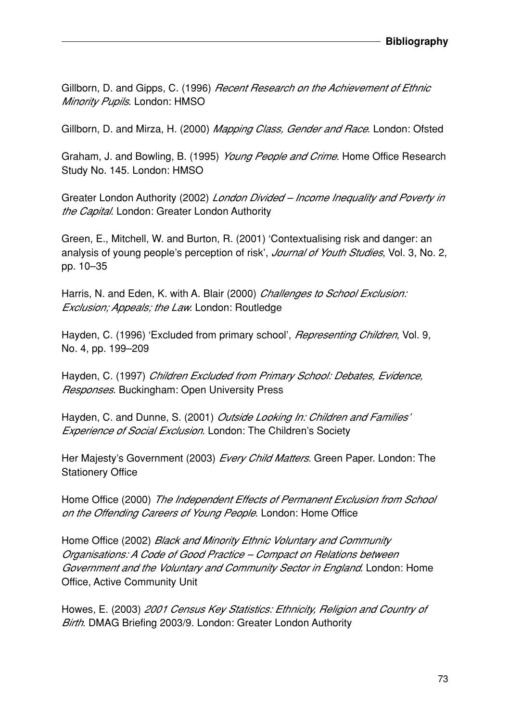Gillborn, D. and Gipps, C. (1996) Recent Research on the Achievement of Ethnic Minority Pupils. London: HMSO

Gillborn, D. and Mirza, H. (2000) *Mapping Class, Gender and Race*, London: Ofsted

Graham, J. and Bowling, B. (1995) *Young People and Crime*. Home Office Research Study No. 145. London: HMSO

Greater London Authority (2002) London Divided – Income Inequality and Poverty in the Capital. London: Greater London Authority

Green, E., Mitchell, W. and Burton, R. (2001) 'Contextualising risk and danger: an analysis of young people's perception of risk', *Journal of Youth Studies*, Vol. 3, No. 2, pp. 10–35

Harris, N. and Eden, K. with A. Blair (2000) Challenges to School Exclusion: Exclusion; Appeals; the Law. London: Routledge

Hayden, C. (1996) 'Excluded from primary school', Representing Children, Vol. 9, No. 4, pp. 199–209

Hayden, C. (1997) Children Excluded from Primary School: Debates, Evidence, Responses. Buckingham: Open University Press

Hayden, C. and Dunne, S. (2001) Outside Looking In: Children and Families' Experience of Social Exclusion. London: The Children's Society

Her Majesty's Government (2003) Every Child Matters. Green Paper. London: The Stationery Office

Home Office (2000) The Independent Effects of Permanent Exclusion from School on the Offending Careers of Young People. London: Home Office

Home Office (2002) Black and Minority Ethnic Voluntary and Community Organisations: A Code of Good Practice – Compact on Relations between Government and the Voluntary and Community Sector in England. London: Home Office, Active Community Unit

Howes, E. (2003) 2001 Census Key Statistics: Ethnicity, Religion and Country of Birth. DMAG Briefing 2003/9. London: Greater London Authority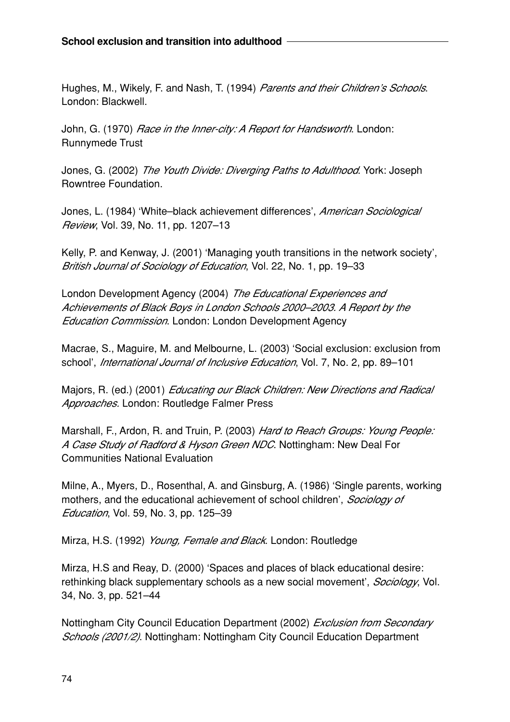Hughes, M., Wikely, F. and Nash, T. (1994) Parents and their Children's Schools. London: Blackwell.

John, G. (1970) *Race in the Inner-city: A Report for Handsworth*. London: Runnymede Trust

Jones, G. (2002) The Youth Divide: Diverging Paths to Adulthood. York: Joseph Rowntree Foundation.

Jones, L. (1984) 'White–black achievement differences', American Sociological Review, Vol. 39, No. 11, pp. 1207–13

Kelly, P. and Kenway, J. (2001) 'Managing youth transitions in the network society', British Journal of Sociology of Education, Vol. 22, No. 1, pp. 19-33

London Development Agency (2004) The Educational Experiences and Achievements of Black Boys in London Schools 2000–2003. A Report by the **Education Commission.** London: London Development Agency

Macrae, S., Maguire, M. and Melbourne, L. (2003) 'Social exclusion: exclusion from school', *International Journal of Inclusive Education*, Vol. 7, No. 2, pp. 89–101

Majors, R. (ed.) (2001) Educating our Black Children: New Directions and Radical Approaches. London: Routledge Falmer Press

Marshall, F., Ardon, R. and Truin, P. (2003) Hard to Reach Groups: Young People: A Case Study of Radford & Hyson Green NDC. Nottingham: New Deal For Communities National Evaluation

Milne, A., Myers, D., Rosenthal, A. and Ginsburg, A. (1986) 'Single parents, working mothers, and the educational achievement of school children', Sociology of Education, Vol. 59, No. 3, pp. 125–39

Mirza, H.S. (1992) *Young, Female and Black*. London: Routledge

Mirza, H.S and Reay, D. (2000) 'Spaces and places of black educational desire: rethinking black supplementary schools as a new social movement', Sociology, Vol. 34, No. 3, pp. 521–44

Nottingham City Council Education Department (2002) Exclusion from Secondary Schools (2001/2). Nottingham: Nottingham City Council Education Department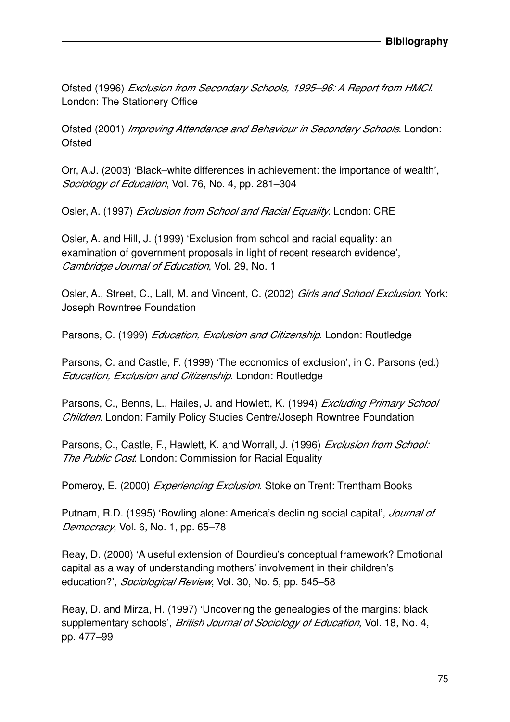Ofsted (1996) Exclusion from Secondary Schools, 1995–96: A Report from HMCI. London: The Stationery Office

Ofsted (2001) *Improving Attendance and Behaviour in Secondary Schools*. London: **Ofsted** 

Orr, A.J. (2003) 'Black–white differences in achievement: the importance of wealth', Sociology of Education, Vol. 76, No. 4, pp. 281-304

Osler, A. (1997) Exclusion from School and Racial Equality. London: CRE

Osler, A. and Hill, J. (1999) 'Exclusion from school and racial equality: an examination of government proposals in light of recent research evidence', Cambridge Journal of Education, Vol. 29, No. 1

Osler, A., Street, C., Lall, M. and Vincent, C. (2002) Girls and School Exclusion. York: Joseph Rowntree Foundation

Parsons, C. (1999) *Education, Exclusion and Citizenship*, London: Routledge

Parsons, C. and Castle, F. (1999) 'The economics of exclusion', in C. Parsons (ed.) Education, Exclusion and Citizenship. London: Routledge

Parsons, C., Benns, L., Hailes, J. and Howlett, K. (1994) Excluding Primary School Children. London: Family Policy Studies Centre/Joseph Rowntree Foundation

Parsons, C., Castle, F., Hawlett, K. and Worrall, J. (1996) *Exclusion from School:* The Public Cost. London: Commission for Racial Equality

Pomeroy, E. (2000) *Experiencing Exclusion*. Stoke on Trent: Trentham Books

Putnam, R.D. (1995) 'Bowling alone: America's declining social capital', Journal of Democracy, Vol. 6, No. 1, pp. 65-78

Reay, D. (2000) 'A useful extension of Bourdieu's conceptual framework? Emotional capital as a way of understanding mothers' involvement in their children's education?', Sociological Review, Vol. 30, No. 5, pp. 545-58

Reay, D. and Mirza, H. (1997) 'Uncovering the genealogies of the margins: black supplementary schools', British Journal of Sociology of Education, Vol. 18, No. 4, pp. 477–99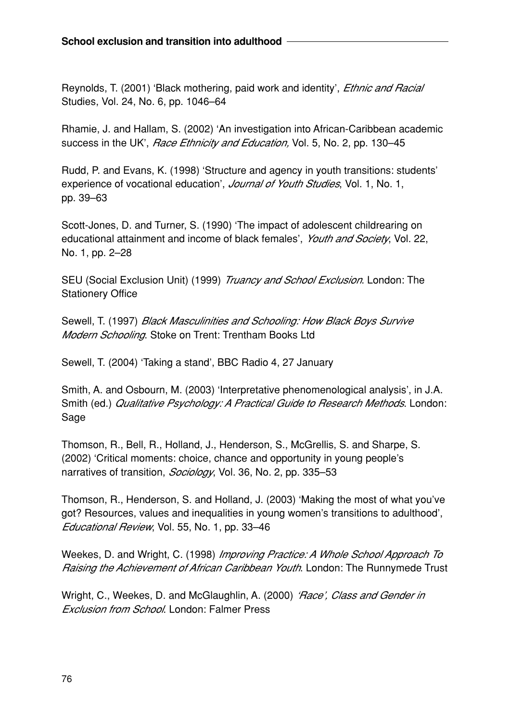Reynolds, T. (2001) 'Black mothering, paid work and identity', *Ethnic and Racial* Studies, Vol. 24, No. 6, pp. 1046–64

Rhamie, J. and Hallam, S. (2002) 'An investigation into African-Caribbean academic success in the UK', Race Ethnicity and Education, Vol. 5, No. 2, pp. 130-45

Rudd, P. and Evans, K. (1998) 'Structure and agency in youth transitions: students' experience of vocational education', Journal of Youth Studies, Vol. 1, No. 1, pp. 39–63

Scott-Jones, D. and Turner, S. (1990) 'The impact of adolescent childrearing on educational attainment and income of black females', Youth and Society, Vol. 22, No. 1, pp. 2–28

SEU (Social Exclusion Unit) (1999) Truancy and School Exclusion. London: The Stationery Office

Sewell, T. (1997) Black Masculinities and Schooling: How Black Boys Survive Modern Schooling. Stoke on Trent: Trentham Books Ltd

Sewell, T. (2004) 'Taking a stand', BBC Radio 4, 27 January

Smith, A. and Osbourn, M. (2003) 'Interpretative phenomenological analysis', in J.A. Smith (ed.) Qualitative Psychology: A Practical Guide to Research Methods. London: Sage

Thomson, R., Bell, R., Holland, J., Henderson, S., McGrellis, S. and Sharpe, S. (2002) 'Critical moments: choice, chance and opportunity in young people's narratives of transition, *Sociology*, Vol. 36, No. 2, pp. 335–53

Thomson, R., Henderson, S. and Holland, J. (2003) 'Making the most of what you've got? Resources, values and inequalities in young women's transitions to adulthood', Educational Review, Vol. 55, No. 1, pp. 33–46

Weekes, D. and Wright, C. (1998) Improving Practice: A Whole School Approach To Raising the Achievement of African Caribbean Youth. London: The Runnymede Trust

Wright, C., Weekes, D. and McGlaughlin, A. (2000) 'Race', Class and Gender in **Exclusion from School. London: Falmer Press**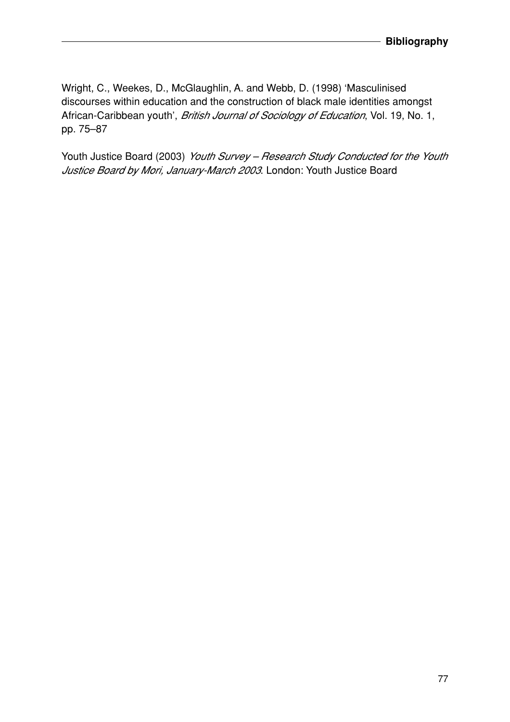Wright, C., Weekes, D., McGlaughlin, A. and Webb, D. (1998) 'Masculinised discourses within education and the construction of black male identities amongst African-Caribbean youth', British Journal of Sociology of Education, Vol. 19, No. 1, pp. 75–87

Youth Justice Board (2003) Youth Survey - Research Study Conducted for the Youth Justice Board by Mori, January-March 2003. London: Youth Justice Board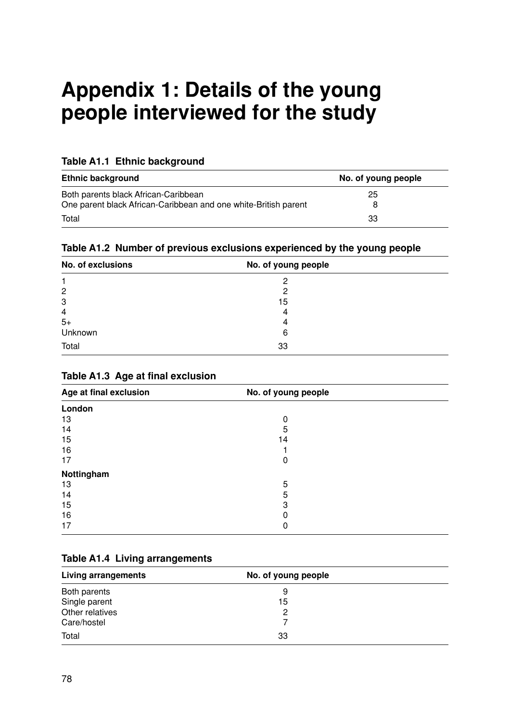# **Appendix 1: Details of the young people interviewed for the study**

| Table AT.T. Ethnic background                                   |                     |  |
|-----------------------------------------------------------------|---------------------|--|
| <b>Ethnic background</b>                                        | No. of young people |  |
| Both parents black African-Caribbean                            | 25                  |  |
| One parent black African-Caribbean and one white-British parent |                     |  |
| Total                                                           | 33                  |  |

### Table A1.1 Ethnic background

#### **Table A1.2 Number of previous exclusions experienced by the young people**

| <b>No. of exclusions</b> | No. of young people |  |
|--------------------------|---------------------|--|
|                          | 2                   |  |
| $\overline{2}$           | ヮ                   |  |
| 3                        | 15                  |  |
| $\overline{4}$           |                     |  |
| $5+$                     |                     |  |
| Unknown                  | 6                   |  |
| Total                    | 33                  |  |

| Table A1.3 Age at final exclusion |  |
|-----------------------------------|--|
|                                   |  |

| Age at final exclusion | No. of young people |  |
|------------------------|---------------------|--|
| London                 |                     |  |
| 13                     | 0                   |  |
| 14                     | 5                   |  |
| 15                     | 14                  |  |
| 16                     |                     |  |
| 17                     | 0                   |  |
| Nottingham             |                     |  |
| 13                     | 5                   |  |
| 14                     | 5                   |  |
| 15                     | 3                   |  |
| 16                     | 0                   |  |
| 17                     | 0                   |  |

#### **Table A1.4 Living arrangements**

| <b>Living arrangements</b> | No. of young people |  |
|----------------------------|---------------------|--|
| Both parents               | 9                   |  |
| Single parent              | 15                  |  |
| Other relatives            |                     |  |
| Care/hostel                |                     |  |
| Total                      | 33                  |  |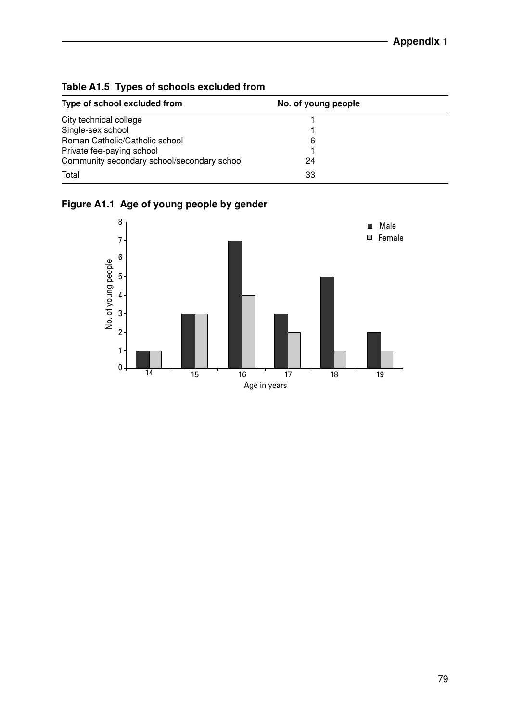| Type of school excluded from                | No. of young people |  |
|---------------------------------------------|---------------------|--|
| City technical college                      |                     |  |
| Single-sex school                           |                     |  |
| Roman Catholic/Catholic school              | 6                   |  |
| Private fee-paying school                   |                     |  |
| Community secondary school/secondary school | 24                  |  |
| Total                                       | 33                  |  |

## **Table A1.5 Types of schools excluded from**

## **Figure A1.1 Age of young people by gender**

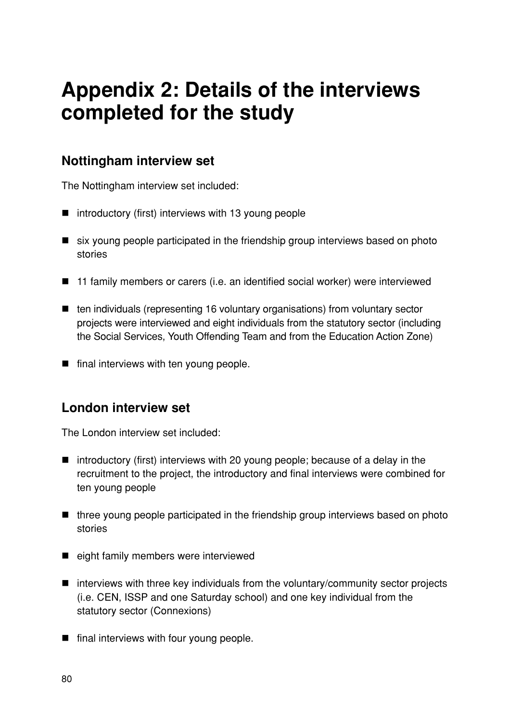# **Appendix 2: Details of the interviews completed for the study**

# **Nottingham interview set**

The Nottingham interview set included:

- $\blacksquare$  introductory (first) interviews with 13 young people
- six young people participated in the friendship group interviews based on photo stories
- 11 family members or carers (i.e. an identified social worker) were interviewed
- $\blacksquare$  ten individuals (representing 16 voluntary organisations) from voluntary sector projects were interviewed and eight individuals from the statutory sector (including the Social Services, Youth Offending Team and from the Education Action Zone)
- $\blacksquare$  final interviews with ten young people.

## **London interview set**

The London interview set included:

- $\blacksquare$  introductory (first) interviews with 20 young people; because of a delay in the recruitment to the project, the introductory and final interviews were combined for ten young people
- three young people participated in the friendship group interviews based on photo stories
- eight family members were interviewed
- $\blacksquare$  interviews with three key individuals from the voluntary/community sector projects (i.e. CEN, ISSP and one Saturday school) and one key individual from the statutory sector (Connexions)
- $\blacksquare$  final interviews with four young people.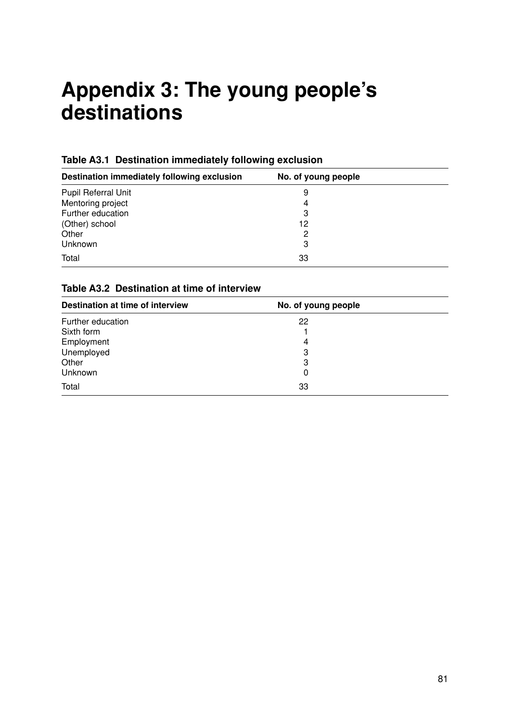# **Appendix 3: The young people's destinations**

| No. of young people |  |
|---------------------|--|
| 9                   |  |
|                     |  |
|                     |  |
| 12                  |  |
| 2                   |  |
| 3                   |  |
| 33                  |  |
|                     |  |

### **Table A3.1 Destination immediately following exclusion**

### **Table A3.2 Destination at time of interview**

| Destination at time of interview | No. of young people |  |
|----------------------------------|---------------------|--|
| Further education                | 22                  |  |
| Sixth form                       |                     |  |
| Employment                       | 4                   |  |
| Unemployed                       | 3                   |  |
| Other                            | 3                   |  |
| Unknown                          | 0                   |  |
| Total                            | 33                  |  |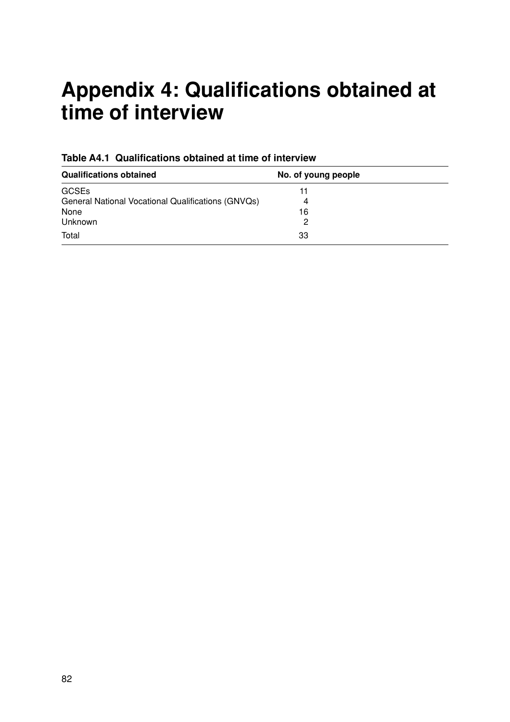# **Appendix 4: Qualifications obtained at time of interview**

| <b>Qualifications obtained</b>                     | No. of young people |  |
|----------------------------------------------------|---------------------|--|
| <b>GCSEs</b>                                       | 11                  |  |
| General National Vocational Qualifications (GNVQs) | 4                   |  |
| None                                               | 16                  |  |
| <b>Unknown</b>                                     |                     |  |
| Total                                              | 33                  |  |

#### **Table A4.1 Qualifications obtained at time of interview**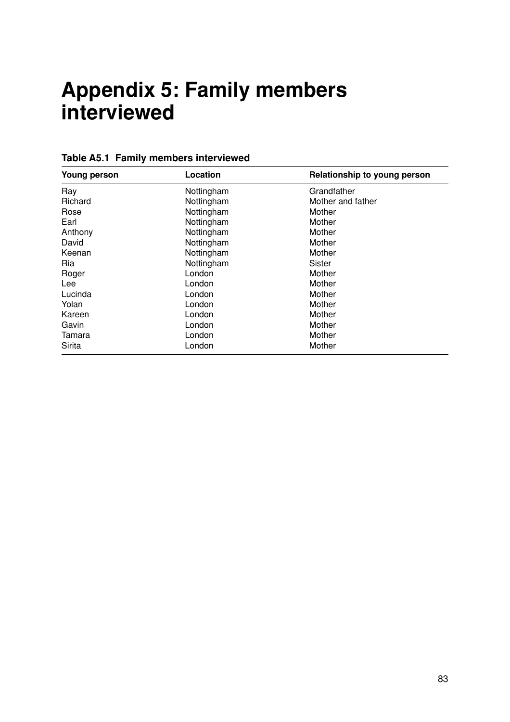# **Appendix 5: Family members interviewed**

| Young person | Location   | Relationship to young person |
|--------------|------------|------------------------------|
| Ray          | Nottingham | Grandfather                  |
| Richard      | Nottingham | Mother and father            |
| Rose         | Nottingham | Mother                       |
| Earl         | Nottingham | Mother                       |
| Anthony      | Nottingham | Mother                       |
| David        | Nottingham | Mother                       |
| Keenan       | Nottingham | Mother                       |
| Ria          | Nottingham | <b>Sister</b>                |
| Roger        | London     | Mother                       |
| Lee          | London     | Mother                       |
| Lucinda      | London     | Mother                       |
| Yolan        | London     | Mother                       |
| Kareen       | London     | Mother                       |
| Gavin        | London     | Mother                       |
| Tamara       | London     | Mother                       |
| Sirita       | London     | Mother                       |

**Table A5.1 Family members interviewed**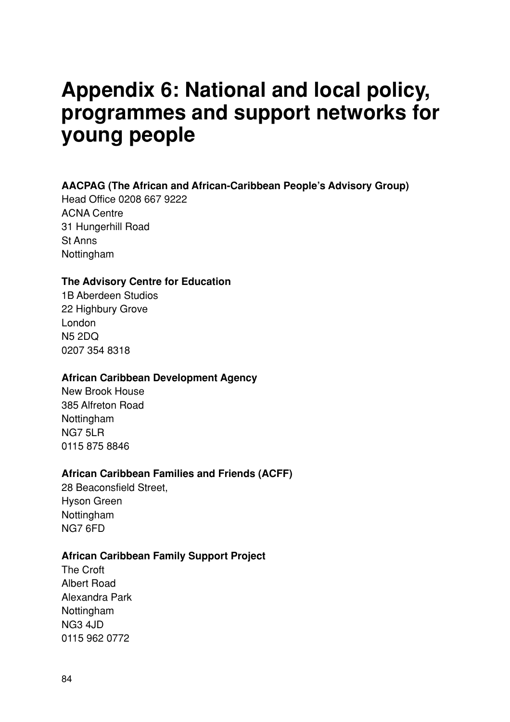# **Appendix 6: National and local policy, programmes and support networks for young people**

### **AACPAG (The African and African-Caribbean People's Advisory Group)**

Head Office 0208 667 9222 ACNA Centre 31 Hungerhill Road St Anns Nottingham

### **The Advisory Centre for Education**

1B Aberdeen Studios 22 Highbury Grove London N5 2DQ 0207 354 8318

#### **African Caribbean Development Agency**

New Brook House 385 Alfreton Road Nottingham NG7 5LR 0115 875 8846

### **African Caribbean Families and Friends (ACFF)**

28 Beaconsfield Street, Hyson Green Nottingham NG7 6FD

#### **African Caribbean Family Support Project**

The Croft Albert Road Alexandra Park Nottingham NG3 4JD 0115 962 0772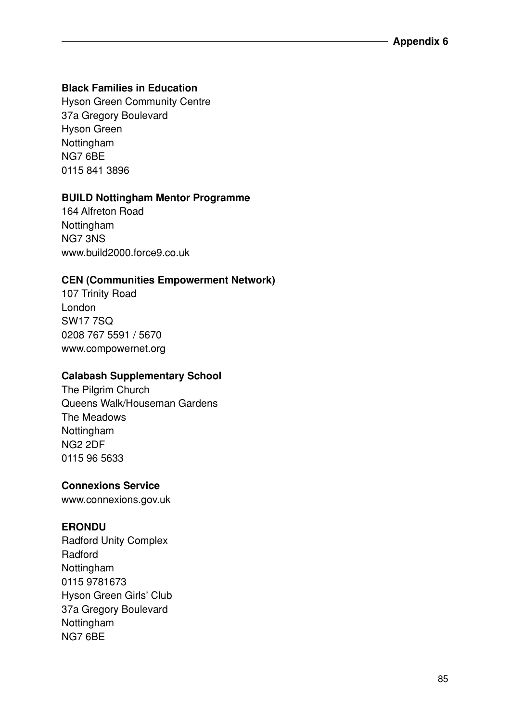### **Black Families in Education**

Hyson Green Community Centre 37a Gregory Boulevard Hyson Green Nottingham NG7 6BE 0115 841 3896

#### **BUILD Nottingham Mentor Programme**

164 Alfreton Road Nottingham NG7 3NS www.build2000.force9.co.uk

### **CEN (Communities Empowerment Network)**

107 Trinity Road London SW17 7SQ 0208 767 5591 / 5670 www.compowernet.org

### **Calabash Supplementary School**

The Pilgrim Church Queens Walk/Houseman Gardens The Meadows Nottingham NG2 2DF 0115 96 5633

### **Connexions Service**

www.connexions.gov.uk

#### **ERONDU**

Radford Unity Complex Radford Nottingham 0115 9781673 Hyson Green Girls' Club 37a Gregory Boulevard Nottingham NG7 6BE